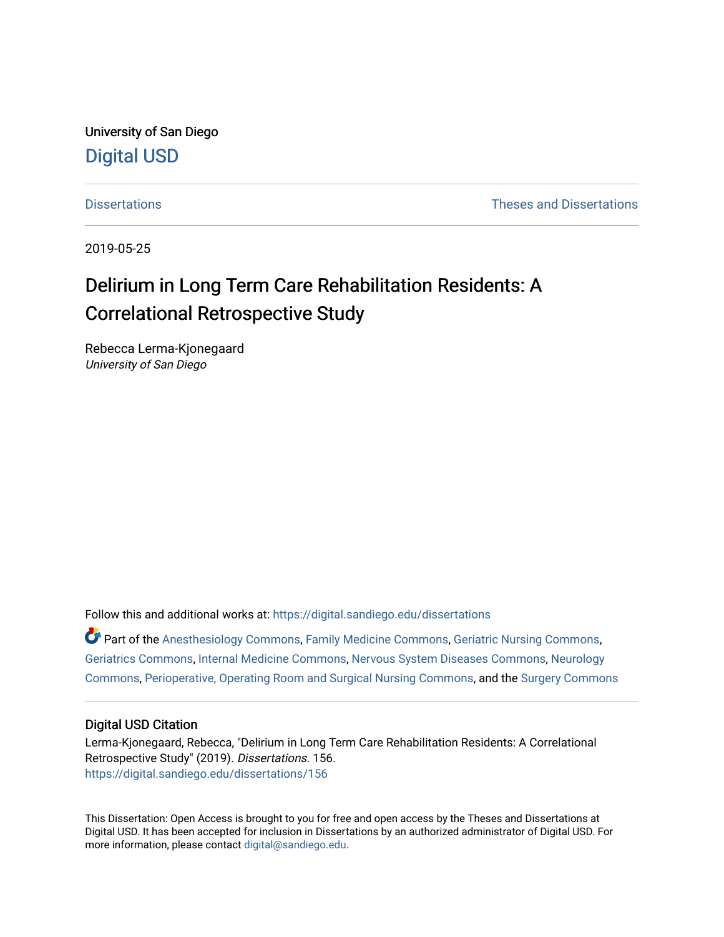University of San Diego [Digital USD](https://digital.sandiego.edu/)

[Dissertations](https://digital.sandiego.edu/dissertations) [Theses and Dissertations](https://digital.sandiego.edu/etd) 

2019-05-25

# Delirium in Long Term Care Rehabilitation Residents: A Correlational Retrospective Study

Rebecca Lerma-Kjonegaard University of San Diego

Follow this and additional works at: [https://digital.sandiego.edu/dissertations](https://digital.sandiego.edu/dissertations?utm_source=digital.sandiego.edu%2Fdissertations%2F156&utm_medium=PDF&utm_campaign=PDFCoverPages)

Part of the [Anesthesiology Commons](http://network.bepress.com/hgg/discipline/682?utm_source=digital.sandiego.edu%2Fdissertations%2F156&utm_medium=PDF&utm_campaign=PDFCoverPages), [Family Medicine Commons](http://network.bepress.com/hgg/discipline/1354?utm_source=digital.sandiego.edu%2Fdissertations%2F156&utm_medium=PDF&utm_campaign=PDFCoverPages), [Geriatric Nursing Commons](http://network.bepress.com/hgg/discipline/1034?utm_source=digital.sandiego.edu%2Fdissertations%2F156&utm_medium=PDF&utm_campaign=PDFCoverPages), [Geriatrics Commons](http://network.bepress.com/hgg/discipline/688?utm_source=digital.sandiego.edu%2Fdissertations%2F156&utm_medium=PDF&utm_campaign=PDFCoverPages), [Internal Medicine Commons](http://network.bepress.com/hgg/discipline/1356?utm_source=digital.sandiego.edu%2Fdissertations%2F156&utm_medium=PDF&utm_campaign=PDFCoverPages), [Nervous System Diseases Commons,](http://network.bepress.com/hgg/discipline/928?utm_source=digital.sandiego.edu%2Fdissertations%2F156&utm_medium=PDF&utm_campaign=PDFCoverPages) [Neurology](http://network.bepress.com/hgg/discipline/692?utm_source=digital.sandiego.edu%2Fdissertations%2F156&utm_medium=PDF&utm_campaign=PDFCoverPages)  [Commons](http://network.bepress.com/hgg/discipline/692?utm_source=digital.sandiego.edu%2Fdissertations%2F156&utm_medium=PDF&utm_campaign=PDFCoverPages), [Perioperative, Operating Room and Surgical Nursing Commons,](http://network.bepress.com/hgg/discipline/726?utm_source=digital.sandiego.edu%2Fdissertations%2F156&utm_medium=PDF&utm_campaign=PDFCoverPages) and the [Surgery Commons](http://network.bepress.com/hgg/discipline/706?utm_source=digital.sandiego.edu%2Fdissertations%2F156&utm_medium=PDF&utm_campaign=PDFCoverPages)

## Digital USD Citation

Lerma-Kjonegaard, Rebecca, "Delirium in Long Term Care Rehabilitation Residents: A Correlational Retrospective Study" (2019). Dissertations. 156. [https://digital.sandiego.edu/dissertations/156](https://digital.sandiego.edu/dissertations/156?utm_source=digital.sandiego.edu%2Fdissertations%2F156&utm_medium=PDF&utm_campaign=PDFCoverPages)

This Dissertation: Open Access is brought to you for free and open access by the Theses and Dissertations at Digital USD. It has been accepted for inclusion in Dissertations by an authorized administrator of Digital USD. For more information, please contact [digital@sandiego.edu.](mailto:digital@sandiego.edu)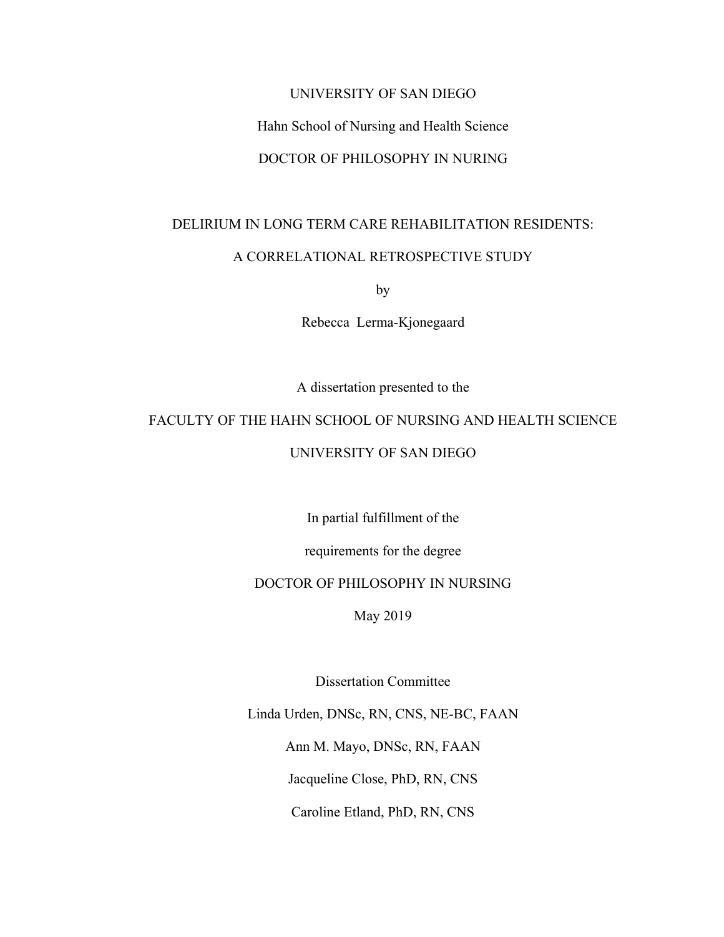### UNIVERSITY OF SAN DIEGO

## Hahn School of Nursing and Health Science

# DOCTOR OF PHILOSOPHY IN NURING

## DELIRIUM IN LONG TERM CARE REHABILITATION RESIDENTS:

## A CORRELATIONAL RETROSPECTIVE STUDY

by

Rebecca Lerma-Kjonegaard

A dissertation presented to the

# FACULTY OF THE HAHN SCHOOL OF NURSING AND HEALTH SCIENCE

## UNIVERSITY OF SAN DIEGO

In partial fulfillment of the

requirements for the degree

## DOCTOR OF PHILOSOPHY IN NURSING

May 2019

Dissertation Committee

Linda Urden, DNSc, RN, CNS, NE-BC, FAAN

Ann M. Mayo, DNSc, RN, FAAN

Jacqueline Close, PhD, RN, CNS

Caroline Etland, PhD, RN, CNS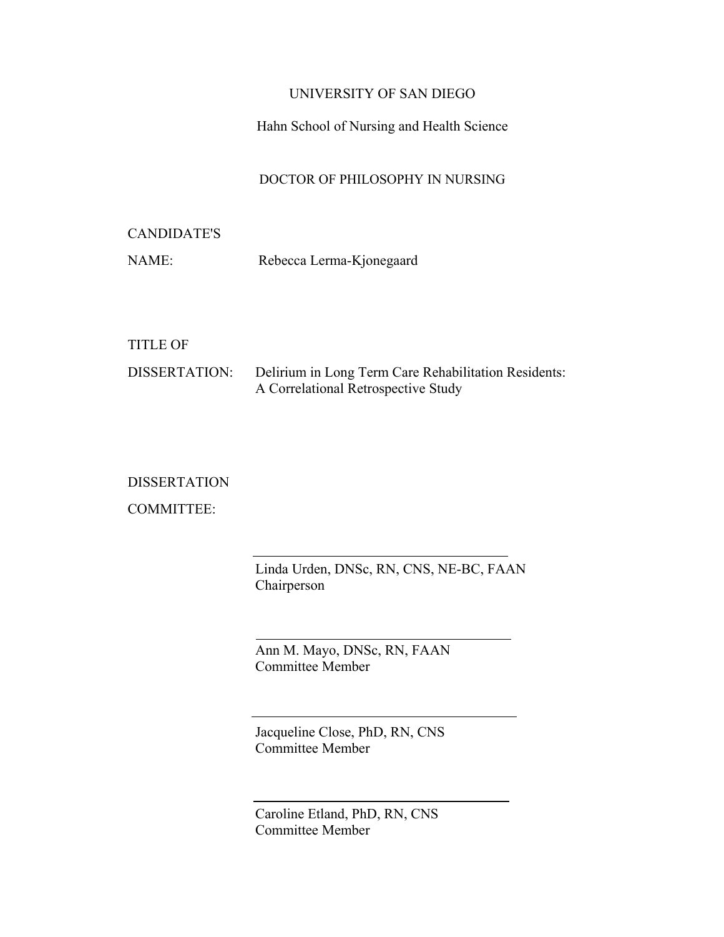# UNIVERSITY OF SAN DIEGO

# Hahn School of Nursing and Health Science

# DOCTOR OF PHILOSOPHY IN NURSING

# CANDIDATE'S

NAME: Rebecca Lerma-Kjonegaard

## TITLE OF

| DISSERTATION: | Delirium in Long Term Care Rehabilitation Residents: |
|---------------|------------------------------------------------------|
|               | A Correlational Retrospective Study                  |

# DISSERTATION

COMMITTEE:

Linda Urden, DNSc, RN, CNS, NE-BC, FAAN Chairperson

Ann M. Mayo, DNSc, RN, FAAN Committee Member

Jacqueline Close, PhD, RN, CNS Committee Member

Caroline Etland, PhD, RN, CNS Committee Member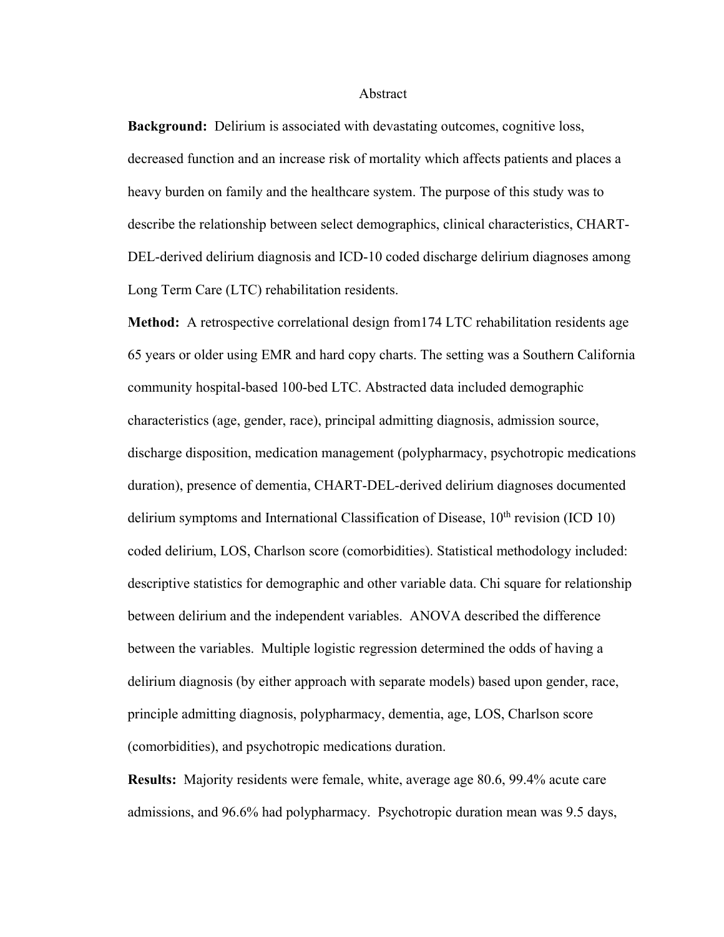### Abstract

**Background:** Delirium is associated with devastating outcomes, cognitive loss, decreased function and an increase risk of mortality which affects patients and places a heavy burden on family and the healthcare system. The purpose of this study was to describe the relationship between select demographics, clinical characteristics, CHART-DEL-derived delirium diagnosis and ICD-10 coded discharge delirium diagnoses among Long Term Care (LTC) rehabilitation residents.

**Method:** A retrospective correlational design from174 LTC rehabilitation residents age 65 years or older using EMR and hard copy charts. The setting was a Southern California community hospital-based 100-bed LTC. Abstracted data included demographic characteristics (age, gender, race), principal admitting diagnosis, admission source, discharge disposition, medication management (polypharmacy, psychotropic medications duration), presence of dementia, CHART-DEL-derived delirium diagnoses documented delirium symptoms and International Classification of Disease,  $10<sup>th</sup>$  revision (ICD 10) coded delirium, LOS, Charlson score (comorbidities). Statistical methodology included: descriptive statistics for demographic and other variable data. Chi square for relationship between delirium and the independent variables. ANOVA described the difference between the variables. Multiple logistic regression determined the odds of having a delirium diagnosis (by either approach with separate models) based upon gender, race, principle admitting diagnosis, polypharmacy, dementia, age, LOS, Charlson score (comorbidities), and psychotropic medications duration.

**Results:** Majority residents were female, white, average age 80.6, 99.4% acute care admissions, and 96.6% had polypharmacy. Psychotropic duration mean was 9.5 days,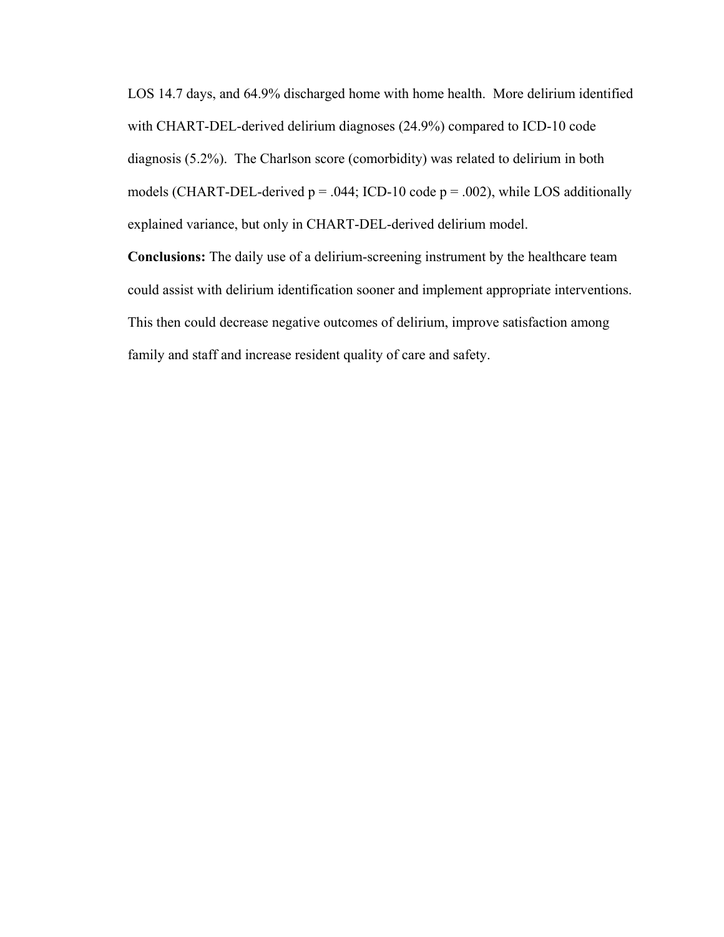LOS 14.7 days, and 64.9% discharged home with home health. More delirium identified with CHART-DEL-derived delirium diagnoses (24.9%) compared to ICD-10 code diagnosis (5.2%). The Charlson score (comorbidity) was related to delirium in both models (CHART-DEL-derived  $p = .044$ ; ICD-10 code  $p = .002$ ), while LOS additionally explained variance, but only in CHART-DEL-derived delirium model.

**Conclusions:** The daily use of a delirium-screening instrument by the healthcare team could assist with delirium identification sooner and implement appropriate interventions. This then could decrease negative outcomes of delirium, improve satisfaction among family and staff and increase resident quality of care and safety.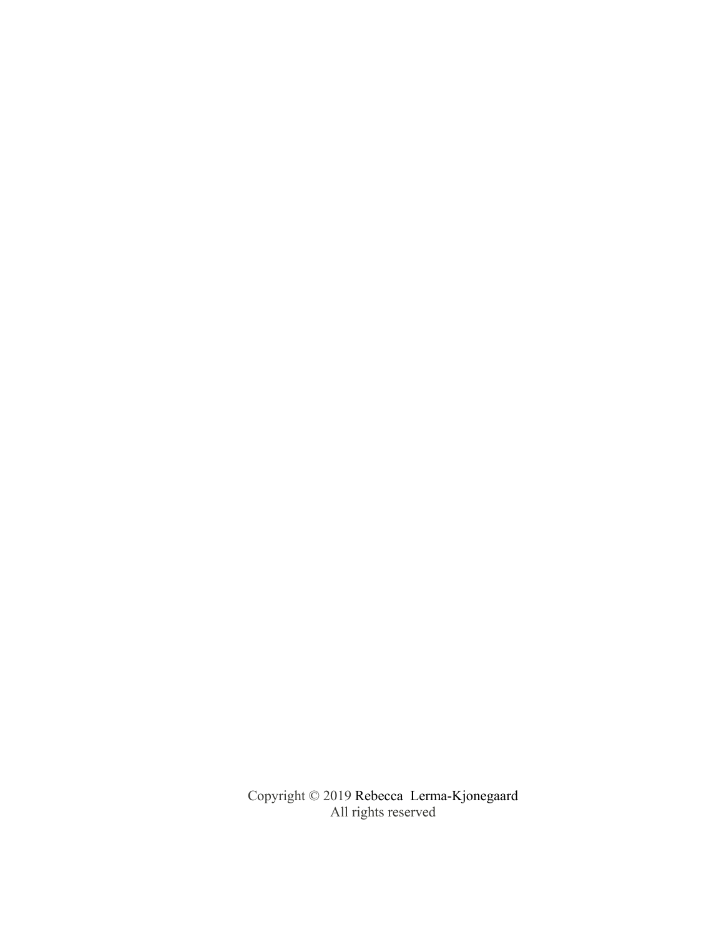Copyright © 2019 Rebecca Lerma-Kjonegaard All rights reserved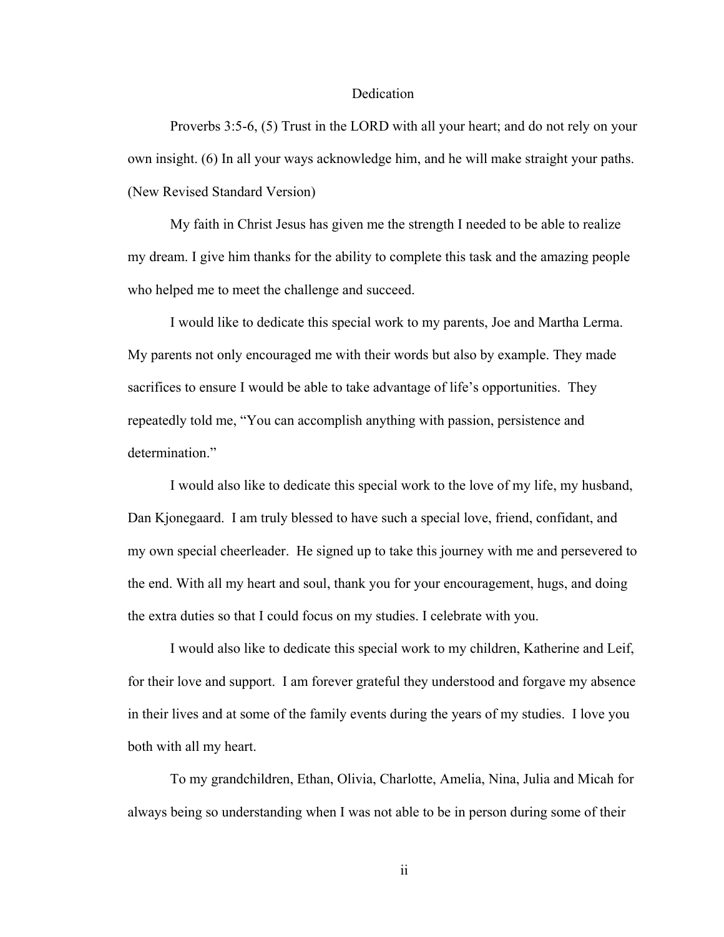### Dedication

Proverbs 3:5-6, (5) Trust in the LORD with all your heart; and do not rely on your own insight. (6) In all your ways acknowledge him, and he will make straight your paths. (New Revised Standard Version)

My faith in Christ Jesus has given me the strength I needed to be able to realize my dream. I give him thanks for the ability to complete this task and the amazing people who helped me to meet the challenge and succeed.

I would like to dedicate this special work to my parents, Joe and Martha Lerma. My parents not only encouraged me with their words but also by example. They made sacrifices to ensure I would be able to take advantage of life's opportunities. They repeatedly told me, "You can accomplish anything with passion, persistence and determination."

I would also like to dedicate this special work to the love of my life, my husband, Dan Kjonegaard. I am truly blessed to have such a special love, friend, confidant, and my own special cheerleader. He signed up to take this journey with me and persevered to the end. With all my heart and soul, thank you for your encouragement, hugs, and doing the extra duties so that I could focus on my studies. I celebrate with you.

I would also like to dedicate this special work to my children, Katherine and Leif, for their love and support. I am forever grateful they understood and forgave my absence in their lives and at some of the family events during the years of my studies. I love you both with all my heart.

To my grandchildren, Ethan, Olivia, Charlotte, Amelia, Nina, Julia and Micah for always being so understanding when I was not able to be in person during some of their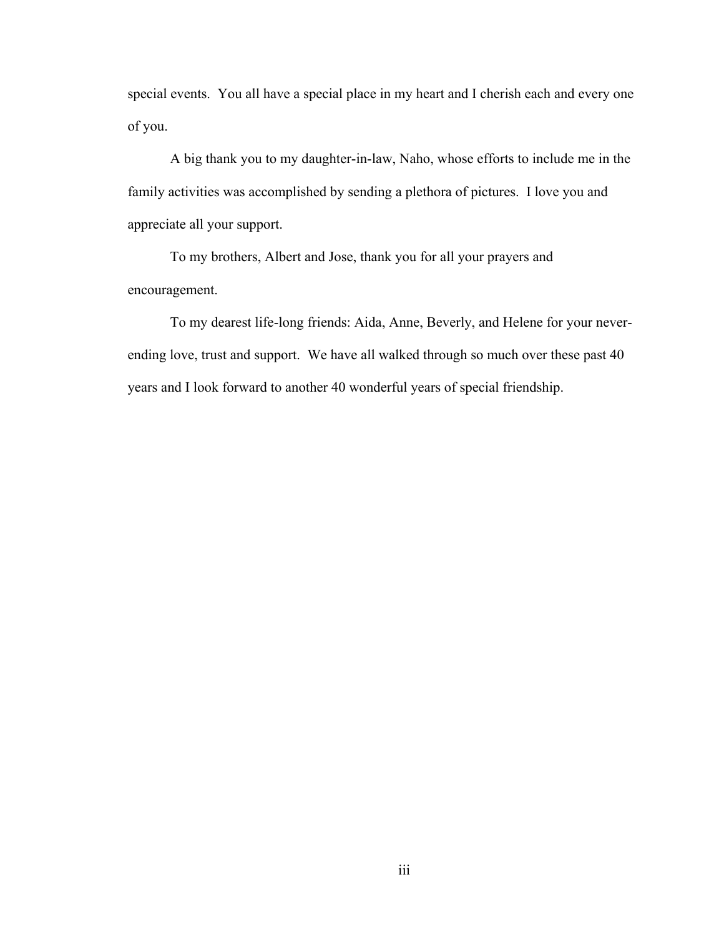special events. You all have a special place in my heart and I cherish each and every one of you.

A big thank you to my daughter-in-law, Naho, whose efforts to include me in the family activities was accomplished by sending a plethora of pictures. I love you and appreciate all your support.

To my brothers, Albert and Jose, thank you for all your prayers and encouragement.

To my dearest life-long friends: Aida, Anne, Beverly, and Helene for your neverending love, trust and support. We have all walked through so much over these past 40 years and I look forward to another 40 wonderful years of special friendship.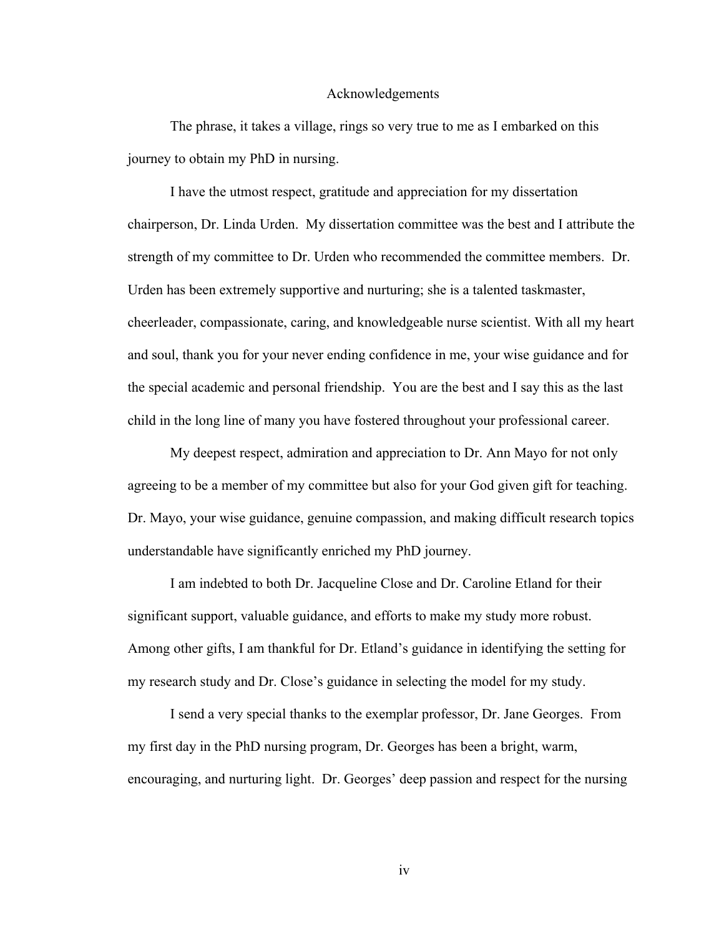### Acknowledgements

The phrase, it takes a village, rings so very true to me as I embarked on this journey to obtain my PhD in nursing.

I have the utmost respect, gratitude and appreciation for my dissertation chairperson, Dr. Linda Urden. My dissertation committee was the best and I attribute the strength of my committee to Dr. Urden who recommended the committee members. Dr. Urden has been extremely supportive and nurturing; she is a talented taskmaster, cheerleader, compassionate, caring, and knowledgeable nurse scientist. With all my heart and soul, thank you for your never ending confidence in me, your wise guidance and for the special academic and personal friendship. You are the best and I say this as the last child in the long line of many you have fostered throughout your professional career.

My deepest respect, admiration and appreciation to Dr. Ann Mayo for not only agreeing to be a member of my committee but also for your God given gift for teaching. Dr. Mayo, your wise guidance, genuine compassion, and making difficult research topics understandable have significantly enriched my PhD journey.

I am indebted to both Dr. Jacqueline Close and Dr. Caroline Etland for their significant support, valuable guidance, and efforts to make my study more robust. Among other gifts, I am thankful for Dr. Etland's guidance in identifying the setting for my research study and Dr. Close's guidance in selecting the model for my study.

I send a very special thanks to the exemplar professor, Dr. Jane Georges. From my first day in the PhD nursing program, Dr. Georges has been a bright, warm, encouraging, and nurturing light. Dr. Georges' deep passion and respect for the nursing

iv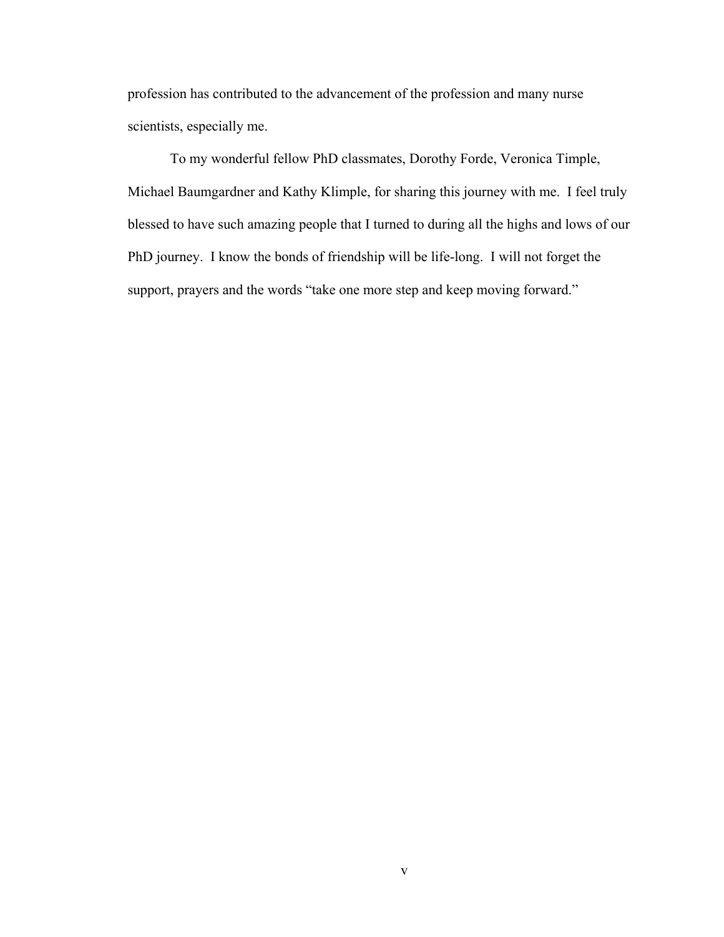profession has contributed to the advancement of the profession and many nurse scientists, especially me.

To my wonderful fellow PhD classmates, Dorothy Forde, Veronica Timple, Michael Baumgardner and Kathy Klimple, for sharing this journey with me. I feel truly blessed to have such amazing people that I turned to during all the highs and lows of our PhD journey. I know the bonds of friendship will be life-long. I will not forget the support, prayers and the words "take one more step and keep moving forward."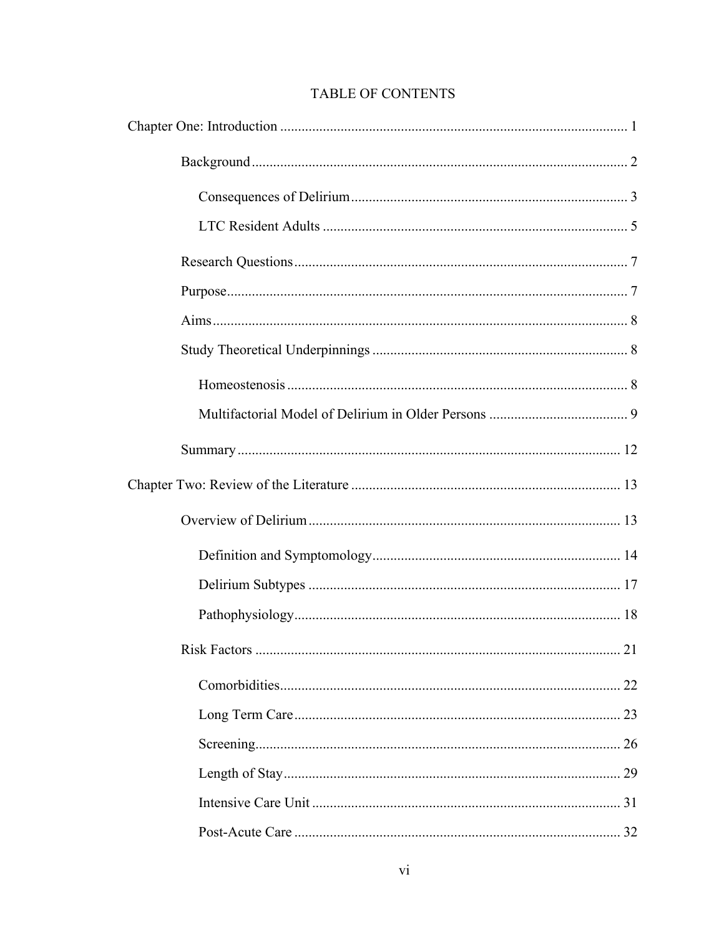# TABLE OF CONTENTS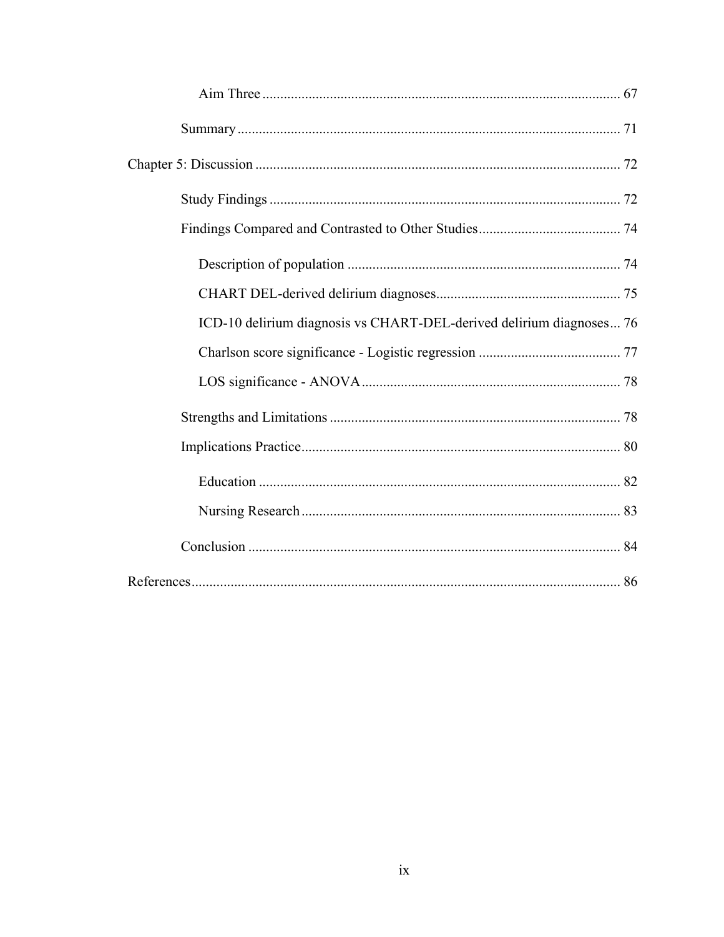| ICD-10 delirium diagnosis vs CHART-DEL-derived delirium diagnoses 76 |
|----------------------------------------------------------------------|
|                                                                      |
|                                                                      |
|                                                                      |
|                                                                      |
|                                                                      |
|                                                                      |
|                                                                      |
|                                                                      |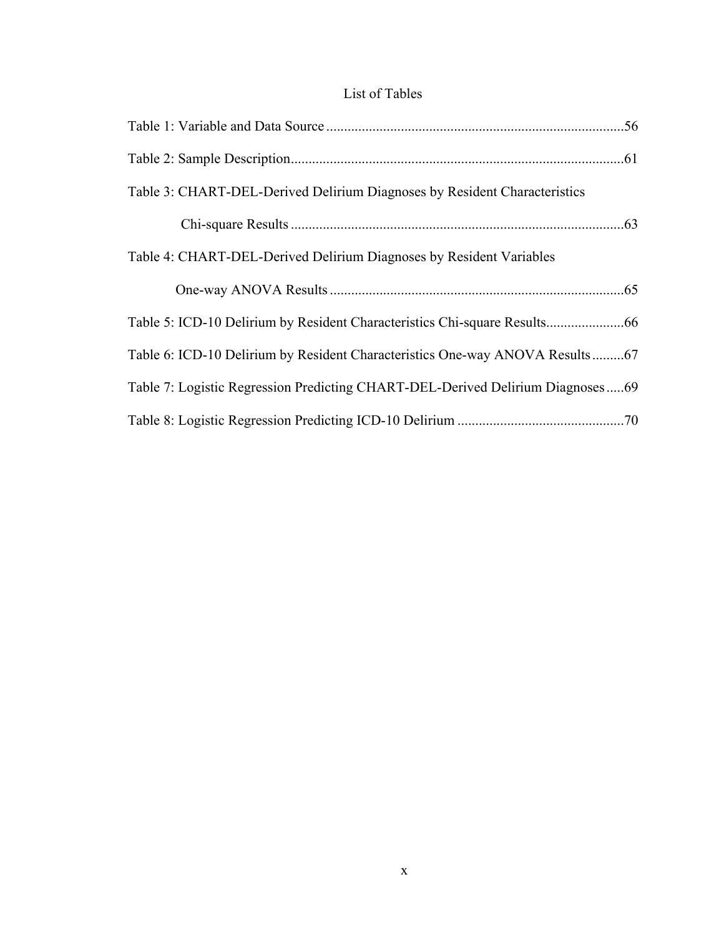# List of Tables

| Table 3: CHART-DEL-Derived Delirium Diagnoses by Resident Characteristics      |
|--------------------------------------------------------------------------------|
|                                                                                |
| Table 4: CHART-DEL-Derived Delirium Diagnoses by Resident Variables            |
|                                                                                |
|                                                                                |
| Table 6: ICD-10 Delirium by Resident Characteristics One-way ANOVA Results67   |
| Table 7: Logistic Regression Predicting CHART-DEL-Derived Delirium Diagnoses69 |
|                                                                                |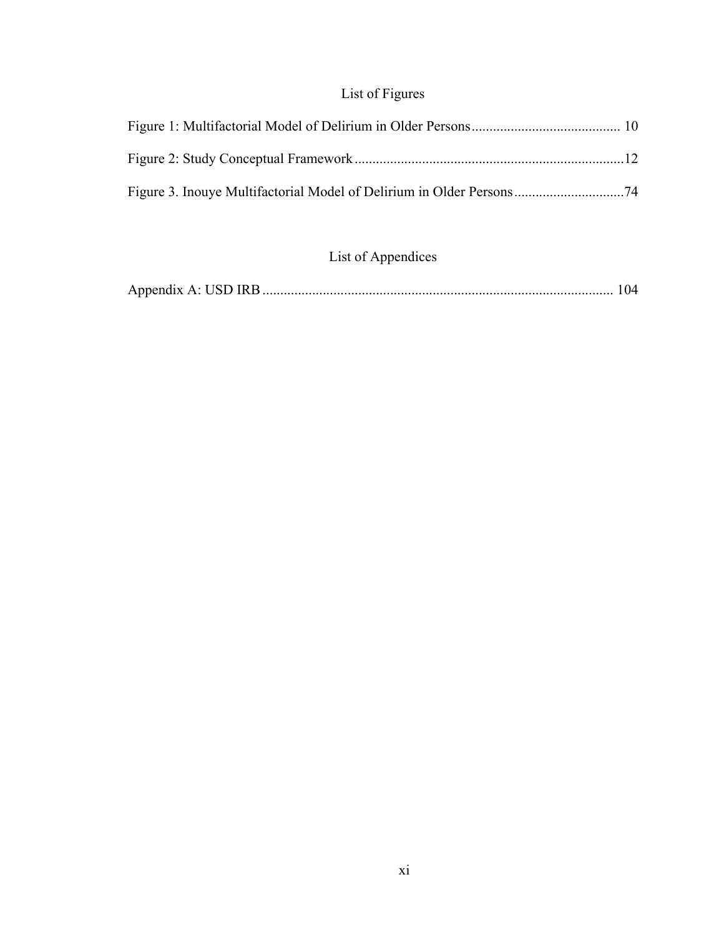# List of Figures

# List of Appendices

|--|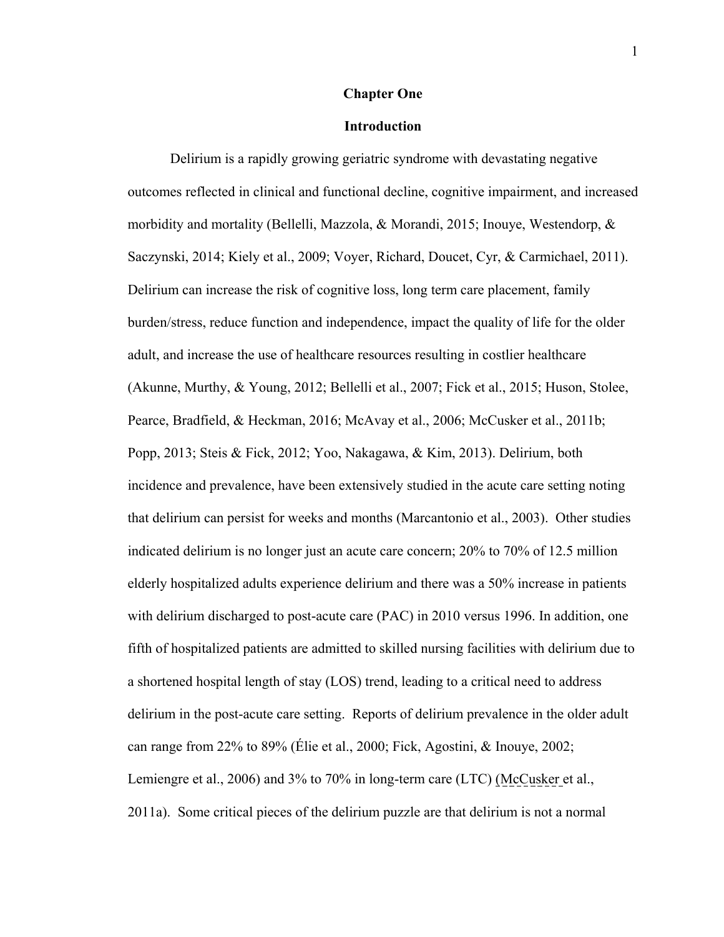### **Chapter One**

### **Introduction**

Delirium is a rapidly growing geriatric syndrome with devastating negative outcomes reflected in clinical and functional decline, cognitive impairment, and increased morbidity and mortality (Bellelli, Mazzola, & Morandi, 2015; Inouye, Westendorp, & Saczynski, 2014; Kiely et al., 2009; Voyer, Richard, Doucet, Cyr, & Carmichael, 2011). Delirium can increase the risk of cognitive loss, long term care placement, family burden/stress, reduce function and independence, impact the quality of life for the older adult, and increase the use of healthcare resources resulting in costlier healthcare (Akunne, Murthy, & Young, 2012; Bellelli et al., 2007; Fick et al., 2015; Huson, Stolee, Pearce, Bradfield, & Heckman, 2016; McAvay et al., 2006; McCusker et al., 2011b; Popp, 2013; Steis & Fick, 2012; Yoo, Nakagawa, & Kim, 2013). Delirium, both incidence and prevalence, have been extensively studied in the acute care setting noting that delirium can persist for weeks and months (Marcantonio et al., 2003). Other studies indicated delirium is no longer just an acute care concern; 20% to 70% of 12.5 million elderly hospitalized adults experience delirium and there was a 50% increase in patients with delirium discharged to post-acute care (PAC) in 2010 versus 1996. In addition, one fifth of hospitalized patients are admitted to skilled nursing facilities with delirium due to a shortened hospital length of stay (LOS) trend, leading to a critical need to address delirium in the post-acute care setting. Reports of delirium prevalence in the older adult can range from 22% to 89% (Élie et al., 2000; Fick, Agostini, & Inouye, 2002; Lemiengre et al., 2006) and 3% to 70% in long-term care (LTC) (McCusker et al., 2011a). Some critical pieces of the delirium puzzle are that delirium is not a normal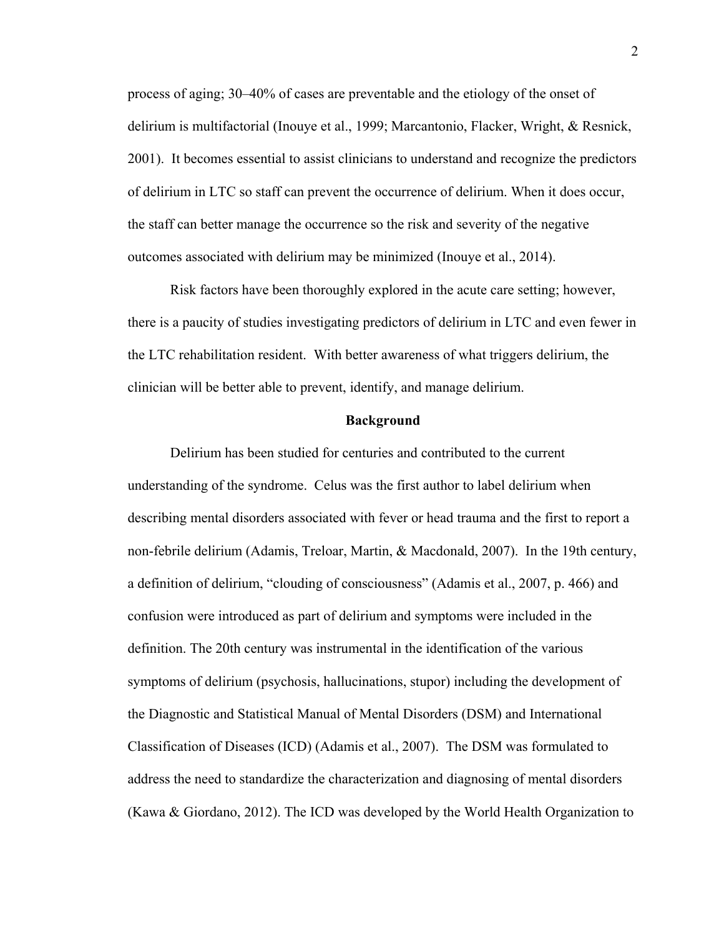process of aging; 30–40% of cases are preventable and the etiology of the onset of delirium is multifactorial (Inouye et al., 1999; Marcantonio, Flacker, Wright, & Resnick, 2001). It becomes essential to assist clinicians to understand and recognize the predictors of delirium in LTC so staff can prevent the occurrence of delirium. When it does occur, the staff can better manage the occurrence so the risk and severity of the negative outcomes associated with delirium may be minimized (Inouye et al., 2014).

Risk factors have been thoroughly explored in the acute care setting; however, there is a paucity of studies investigating predictors of delirium in LTC and even fewer in the LTC rehabilitation resident. With better awareness of what triggers delirium, the clinician will be better able to prevent, identify, and manage delirium.

### **Background**

Delirium has been studied for centuries and contributed to the current understanding of the syndrome. Celus was the first author to label delirium when describing mental disorders associated with fever or head trauma and the first to report a non-febrile delirium (Adamis, Treloar, Martin, & Macdonald, 2007). In the 19th century, a definition of delirium, "clouding of consciousness" (Adamis et al., 2007, p. 466) and confusion were introduced as part of delirium and symptoms were included in the definition. The 20th century was instrumental in the identification of the various symptoms of delirium (psychosis, hallucinations, stupor) including the development of the Diagnostic and Statistical Manual of Mental Disorders (DSM) and International Classification of Diseases (ICD) (Adamis et al., 2007). The DSM was formulated to address the need to standardize the characterization and diagnosing of mental disorders (Kawa & Giordano, 2012). The ICD was developed by the World Health Organization to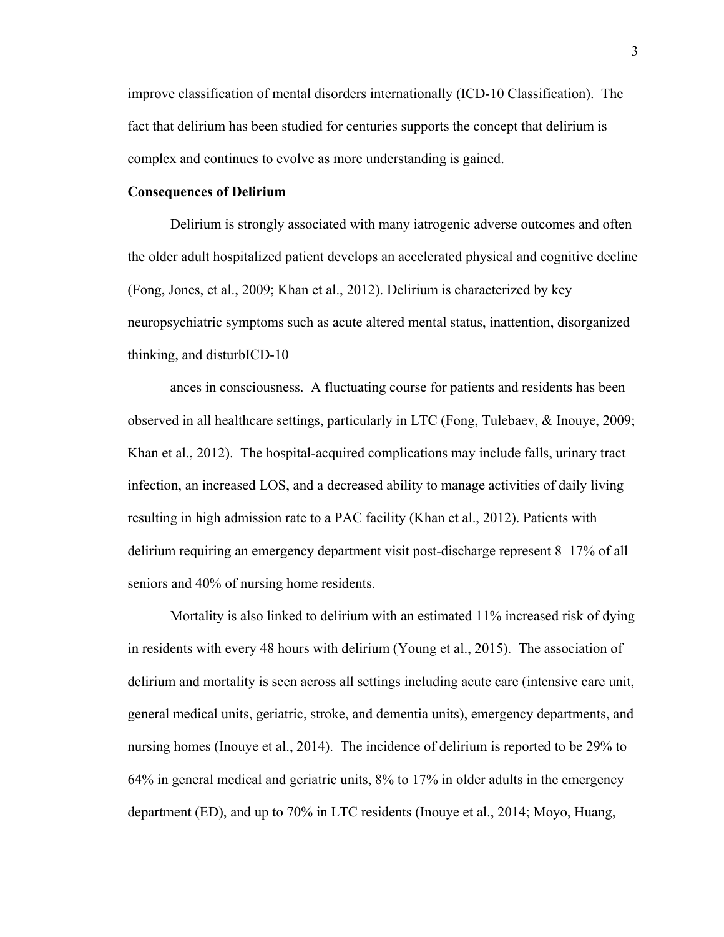improve classification of mental disorders internationally (ICD-10 Classification). The fact that delirium has been studied for centuries supports the concept that delirium is complex and continues to evolve as more understanding is gained.

### **Consequences of Delirium**

Delirium is strongly associated with many iatrogenic adverse outcomes and often the older adult hospitalized patient develops an accelerated physical and cognitive decline (Fong, Jones, et al., 2009; Khan et al., 2012). Delirium is characterized by key neuropsychiatric symptoms such as acute altered mental status, inattention, disorganized thinking, and disturbICD-10

ances in consciousness. A fluctuating course for patients and residents has been observed in all healthcare settings, particularly in LTC (Fong, Tulebaev, & Inouye, 2009; Khan et al., 2012). The hospital-acquired complications may include falls, urinary tract infection, an increased LOS, and a decreased ability to manage activities of daily living resulting in high admission rate to a PAC facility (Khan et al., 2012). Patients with delirium requiring an emergency department visit post-discharge represent 8–17% of all seniors and 40% of nursing home residents.

Mortality is also linked to delirium with an estimated 11% increased risk of dying in residents with every 48 hours with delirium (Young et al., 2015). The association of delirium and mortality is seen across all settings including acute care (intensive care unit, general medical units, geriatric, stroke, and dementia units), emergency departments, and nursing homes (Inouye et al., 2014). The incidence of delirium is reported to be 29% to 64% in general medical and geriatric units, 8% to 17% in older adults in the emergency department (ED), and up to 70% in LTC residents (Inouye et al., 2014; Moyo, Huang,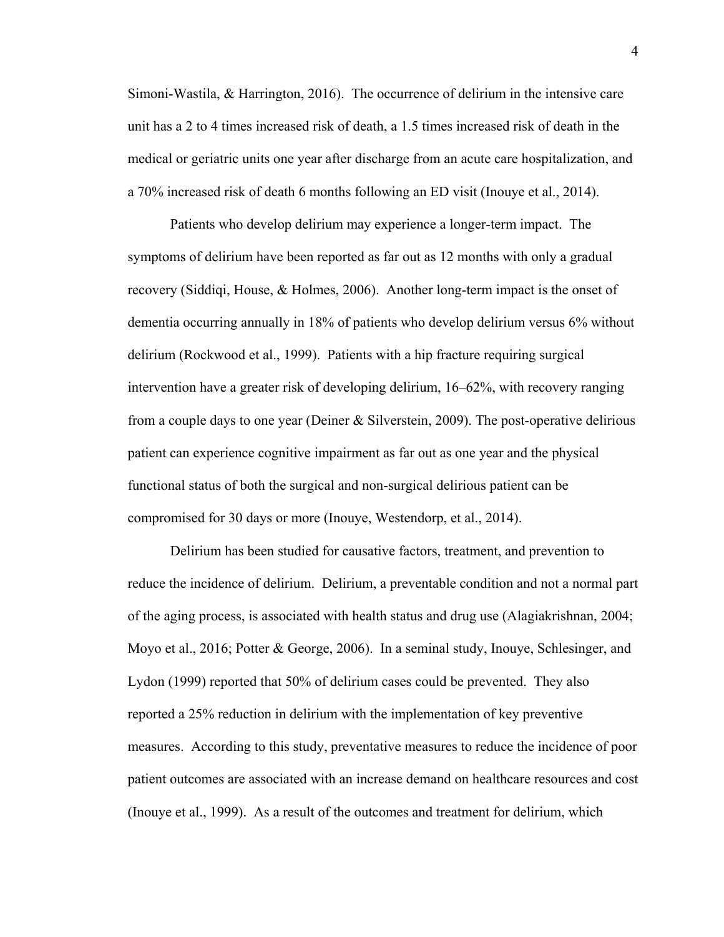Simoni-Wastila, & Harrington, 2016). The occurrence of delirium in the intensive care unit has a 2 to 4 times increased risk of death, a 1.5 times increased risk of death in the medical or geriatric units one year after discharge from an acute care hospitalization, and a 70% increased risk of death 6 months following an ED visit (Inouye et al., 2014).

Patients who develop delirium may experience a longer-term impact. The symptoms of delirium have been reported as far out as 12 months with only a gradual recovery (Siddiqi, House, & Holmes, 2006). Another long-term impact is the onset of dementia occurring annually in 18% of patients who develop delirium versus 6% without delirium (Rockwood et al., 1999). Patients with a hip fracture requiring surgical intervention have a greater risk of developing delirium, 16–62%, with recovery ranging from a couple days to one year (Deiner & Silverstein, 2009). The post-operative delirious patient can experience cognitive impairment as far out as one year and the physical functional status of both the surgical and non-surgical delirious patient can be compromised for 30 days or more (Inouye, Westendorp, et al., 2014).

Delirium has been studied for causative factors, treatment, and prevention to reduce the incidence of delirium. Delirium, a preventable condition and not a normal part of the aging process, is associated with health status and drug use (Alagiakrishnan, 2004; Moyo et al., 2016; Potter & George, 2006). In a seminal study, Inouye, Schlesinger, and Lydon (1999) reported that 50% of delirium cases could be prevented. They also reported a 25% reduction in delirium with the implementation of key preventive measures. According to this study, preventative measures to reduce the incidence of poor patient outcomes are associated with an increase demand on healthcare resources and cost (Inouye et al., 1999). As a result of the outcomes and treatment for delirium, which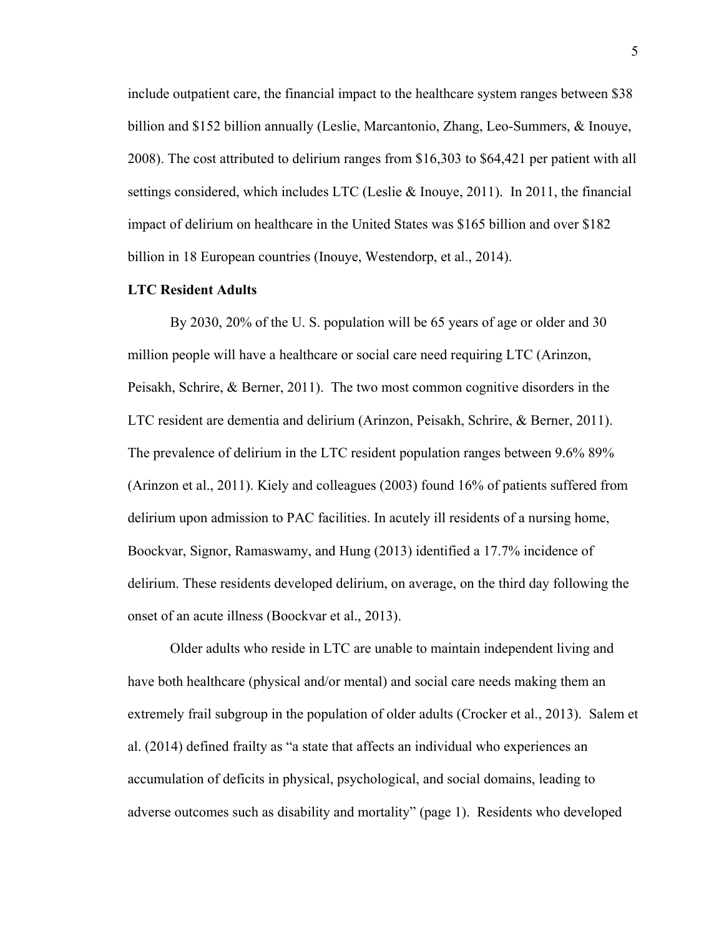include outpatient care, the financial impact to the healthcare system ranges between \$38 billion and \$152 billion annually (Leslie, Marcantonio, Zhang, Leo-Summers, & Inouye, 2008). The cost attributed to delirium ranges from \$16,303 to \$64,421 per patient with all settings considered, which includes LTC (Leslie & Inouye, 2011). In 2011, the financial impact of delirium on healthcare in the United States was \$165 billion and over \$182 billion in 18 European countries (Inouye, Westendorp, et al., 2014).

### **LTC Resident Adults**

By 2030, 20% of the U. S. population will be 65 years of age or older and 30 million people will have a healthcare or social care need requiring LTC (Arinzon, Peisakh, Schrire, & Berner, 2011). The two most common cognitive disorders in the LTC resident are dementia and delirium (Arinzon, Peisakh, Schrire, & Berner, 2011). The prevalence of delirium in the LTC resident population ranges between 9.6% 89% (Arinzon et al., 2011). Kiely and colleagues (2003) found 16% of patients suffered from delirium upon admission to PAC facilities. In acutely ill residents of a nursing home, Boockvar, Signor, Ramaswamy, and Hung (2013) identified a 17.7% incidence of delirium. These residents developed delirium, on average, on the third day following the onset of an acute illness (Boockvar et al., 2013).

Older adults who reside in LTC are unable to maintain independent living and have both healthcare (physical and/or mental) and social care needs making them an extremely frail subgroup in the population of older adults (Crocker et al., 2013). Salem et al. (2014) defined frailty as "a state that affects an individual who experiences an accumulation of deficits in physical, psychological, and social domains, leading to adverse outcomes such as disability and mortality" (page 1). Residents who developed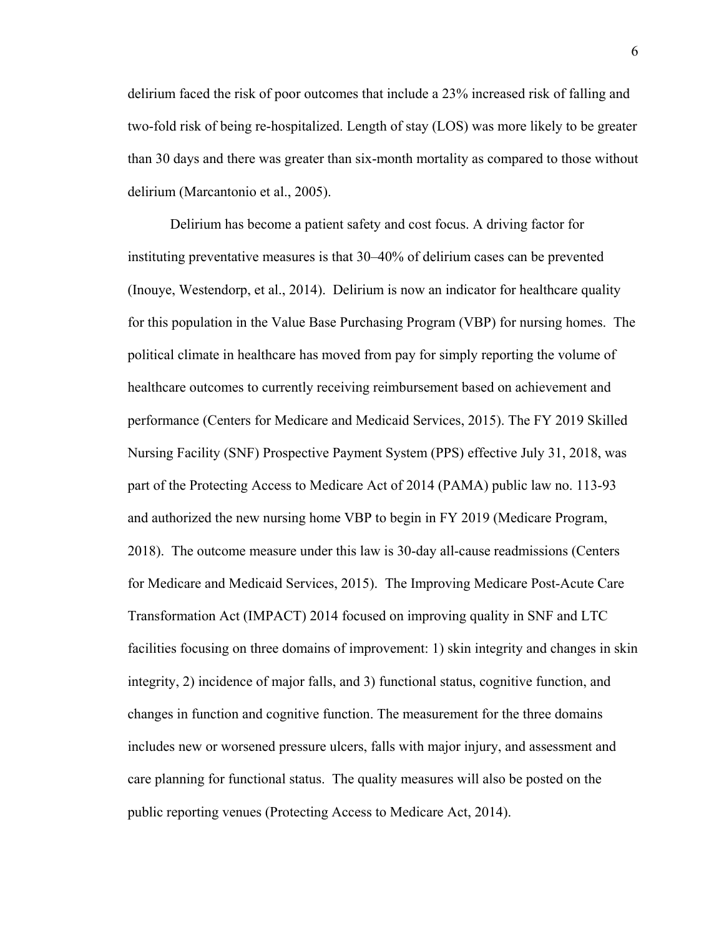delirium faced the risk of poor outcomes that include a 23% increased risk of falling and two-fold risk of being re-hospitalized. Length of stay (LOS) was more likely to be greater than 30 days and there was greater than six-month mortality as compared to those without delirium (Marcantonio et al., 2005).

Delirium has become a patient safety and cost focus. A driving factor for instituting preventative measures is that 30–40% of delirium cases can be prevented (Inouye, Westendorp, et al., 2014). Delirium is now an indicator for healthcare quality for this population in the Value Base Purchasing Program (VBP) for nursing homes. The political climate in healthcare has moved from pay for simply reporting the volume of healthcare outcomes to currently receiving reimbursement based on achievement and performance (Centers for Medicare and Medicaid Services, 2015). The FY 2019 Skilled Nursing Facility (SNF) Prospective Payment System (PPS) effective July 31, 2018, was part of the Protecting Access to Medicare Act of 2014 (PAMA) public law no. 113-93 and authorized the new nursing home VBP to begin in FY 2019 (Medicare Program, 2018). The outcome measure under this law is 30-day all-cause readmissions (Centers for Medicare and Medicaid Services, 2015). The Improving Medicare Post-Acute Care Transformation Act (IMPACT) 2014 focused on improving quality in SNF and LTC facilities focusing on three domains of improvement: 1) skin integrity and changes in skin integrity, 2) incidence of major falls, and 3) functional status, cognitive function, and changes in function and cognitive function. The measurement for the three domains includes new or worsened pressure ulcers, falls with major injury, and assessment and care planning for functional status. The quality measures will also be posted on the public reporting venues (Protecting Access to Medicare Act, 2014).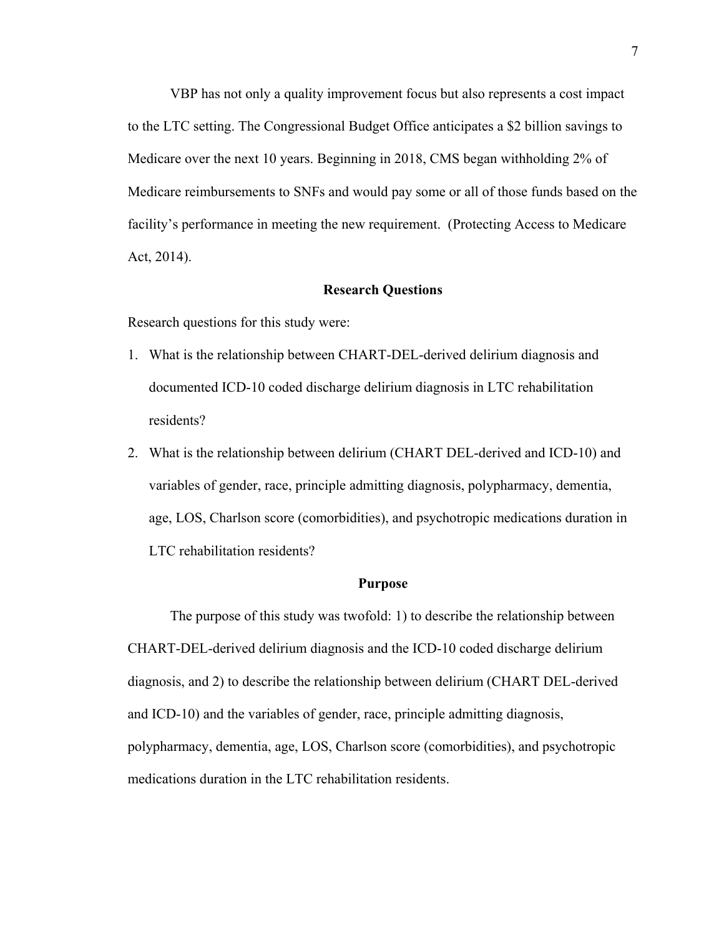VBP has not only a quality improvement focus but also represents a cost impact to the LTC setting. The Congressional Budget Office anticipates a \$2 billion savings to Medicare over the next 10 years. Beginning in 2018, CMS began withholding 2% of Medicare reimbursements to SNFs and would pay some or all of those funds based on the facility's performance in meeting the new requirement. (Protecting Access to Medicare Act, 2014).

### **Research Questions**

Research questions for this study were:

- 1. What is the relationship between CHART-DEL-derived delirium diagnosis and documented ICD-10 coded discharge delirium diagnosis in LTC rehabilitation residents?
- 2. What is the relationship between delirium (CHART DEL-derived and ICD-10) and variables of gender, race, principle admitting diagnosis, polypharmacy, dementia, age, LOS, Charlson score (comorbidities), and psychotropic medications duration in LTC rehabilitation residents?

#### **Purpose**

The purpose of this study was twofold: 1) to describe the relationship between CHART-DEL-derived delirium diagnosis and the ICD-10 coded discharge delirium diagnosis, and 2) to describe the relationship between delirium (CHART DEL-derived and ICD-10) and the variables of gender, race, principle admitting diagnosis, polypharmacy, dementia, age, LOS, Charlson score (comorbidities), and psychotropic medications duration in the LTC rehabilitation residents.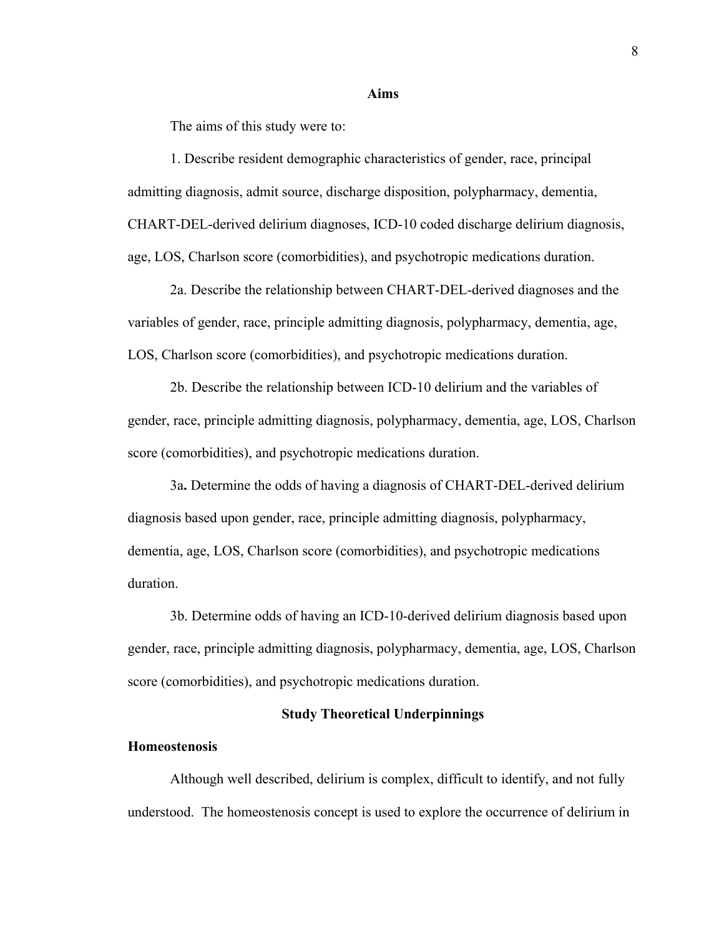#### **Aims**

The aims of this study were to:

1. Describe resident demographic characteristics of gender, race, principal admitting diagnosis, admit source, discharge disposition, polypharmacy, dementia, CHART-DEL-derived delirium diagnoses, ICD-10 coded discharge delirium diagnosis, age, LOS, Charlson score (comorbidities), and psychotropic medications duration.

2a. Describe the relationship between CHART-DEL-derived diagnoses and the variables of gender, race, principle admitting diagnosis, polypharmacy, dementia, age, LOS, Charlson score (comorbidities), and psychotropic medications duration.

2b. Describe the relationship between ICD-10 delirium and the variables of gender, race, principle admitting diagnosis, polypharmacy, dementia, age, LOS, Charlson score (comorbidities), and psychotropic medications duration.

3a**.** Determine the odds of having a diagnosis of CHART-DEL-derived delirium diagnosis based upon gender, race, principle admitting diagnosis, polypharmacy, dementia, age, LOS, Charlson score (comorbidities), and psychotropic medications duration.

3b. Determine odds of having an ICD-10-derived delirium diagnosis based upon gender, race, principle admitting diagnosis, polypharmacy, dementia, age, LOS, Charlson score (comorbidities), and psychotropic medications duration.

### **Study Theoretical Underpinnings**

#### **Homeostenosis**

Although well described, delirium is complex, difficult to identify, and not fully understood. The homeostenosis concept is used to explore the occurrence of delirium in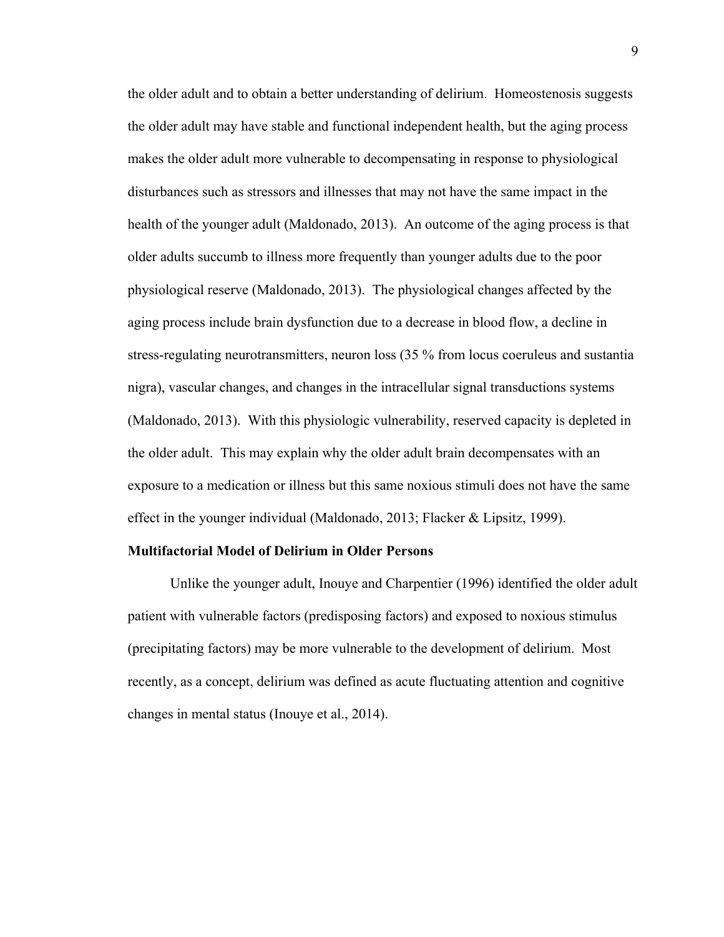the older adult and to obtain a better understanding of delirium. Homeostenosis suggests the older adult may have stable and functional independent health, but the aging process makes the older adult more vulnerable to decompensating in response to physiological disturbances such as stressors and illnesses that may not have the same impact in the health of the younger adult (Maldonado, 2013). An outcome of the aging process is that older adults succumb to illness more frequently than younger adults due to the poor physiological reserve (Maldonado, 2013). The physiological changes affected by the aging process include brain dysfunction due to a decrease in blood flow, a decline in stress-regulating neurotransmitters, neuron loss (35 % from locus coeruleus and sustantia nigra), vascular changes, and changes in the intracellular signal transductions systems (Maldonado, 2013). With this physiologic vulnerability, reserved capacity is depleted in the older adult. This may explain why the older adult brain decompensates with an exposure to a medication or illness but this same noxious stimuli does not have the same effect in the younger individual (Maldonado, 2013; Flacker & Lipsitz, 1999).

### **Multifactorial Model of Delirium in Older Persons**

Unlike the younger adult, Inouye and Charpentier (1996) identified the older adult patient with vulnerable factors (predisposing factors) and exposed to noxious stimulus (precipitating factors) may be more vulnerable to the development of delirium. Most recently, as a concept, delirium was defined as acute fluctuating attention and cognitive changes in mental status (Inouye et al., 2014).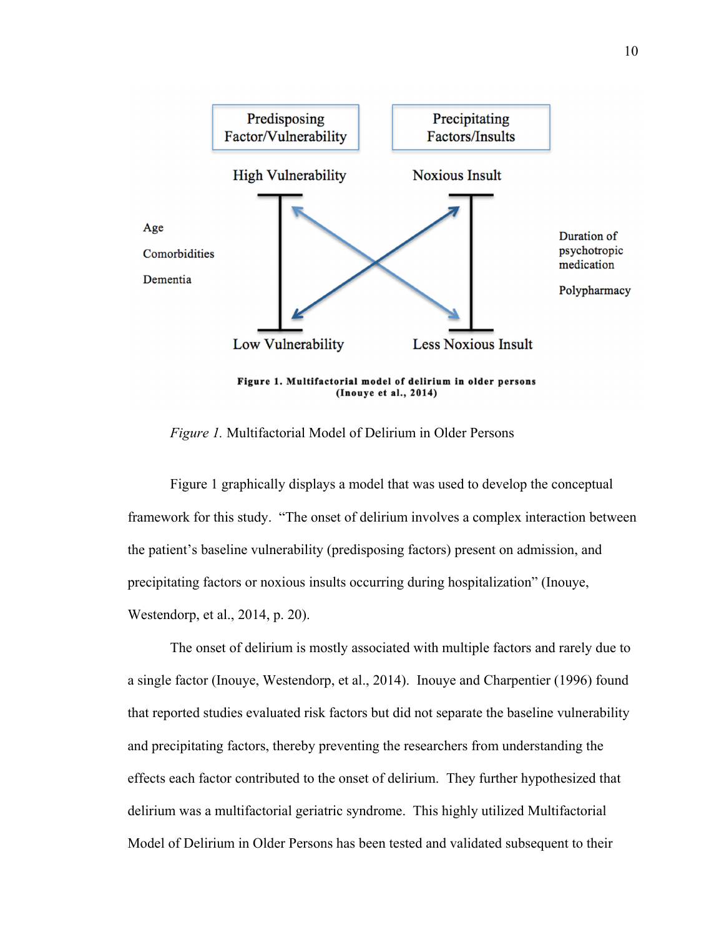

*Figure 1.* Multifactorial Model of Delirium in Older Persons

Figure 1 graphically displays a model that was used to develop the conceptual framework for this study. "The onset of delirium involves a complex interaction between the patient's baseline vulnerability (predisposing factors) present on admission, and precipitating factors or noxious insults occurring during hospitalization" (Inouye, Westendorp, et al., 2014, p. 20).

The onset of delirium is mostly associated with multiple factors and rarely due to a single factor (Inouye, Westendorp, et al., 2014). Inouye and Charpentier (1996) found that reported studies evaluated risk factors but did not separate the baseline vulnerability and precipitating factors, thereby preventing the researchers from understanding the effects each factor contributed to the onset of delirium. They further hypothesized that delirium was a multifactorial geriatric syndrome. This highly utilized Multifactorial Model of Delirium in Older Persons has been tested and validated subsequent to their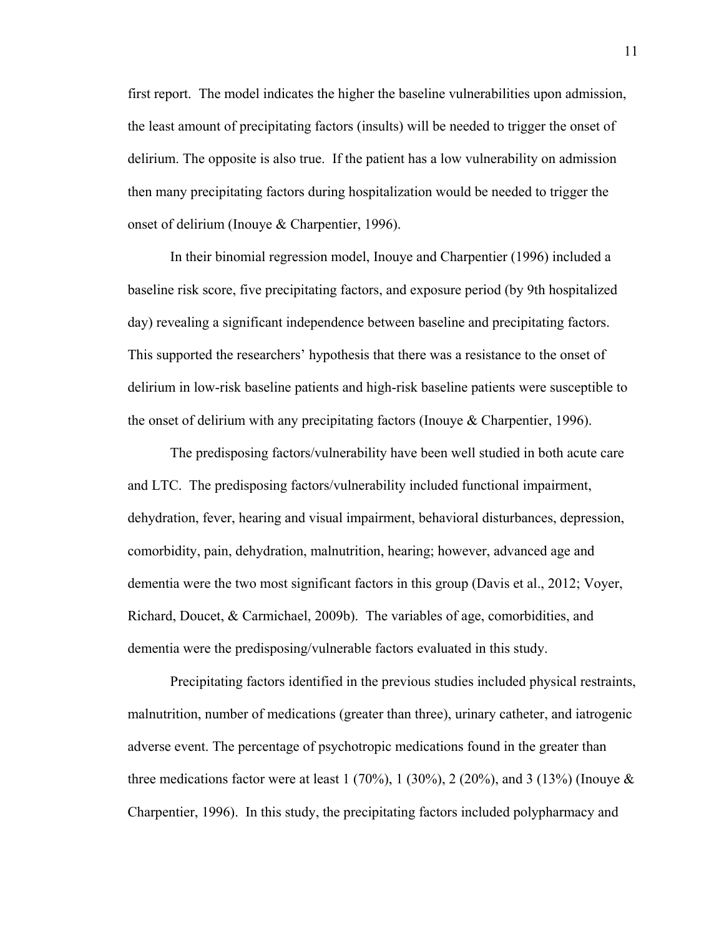first report. The model indicates the higher the baseline vulnerabilities upon admission, the least amount of precipitating factors (insults) will be needed to trigger the onset of delirium. The opposite is also true. If the patient has a low vulnerability on admission then many precipitating factors during hospitalization would be needed to trigger the onset of delirium (Inouye & Charpentier, 1996).

In their binomial regression model, Inouye and Charpentier (1996) included a baseline risk score, five precipitating factors, and exposure period (by 9th hospitalized day) revealing a significant independence between baseline and precipitating factors. This supported the researchers' hypothesis that there was a resistance to the onset of delirium in low-risk baseline patients and high-risk baseline patients were susceptible to the onset of delirium with any precipitating factors (Inouye & Charpentier, 1996).

The predisposing factors/vulnerability have been well studied in both acute care and LTC. The predisposing factors/vulnerability included functional impairment, dehydration, fever, hearing and visual impairment, behavioral disturbances, depression, comorbidity, pain, dehydration, malnutrition, hearing; however, advanced age and dementia were the two most significant factors in this group (Davis et al., 2012; Voyer, Richard, Doucet, & Carmichael, 2009b). The variables of age, comorbidities, and dementia were the predisposing/vulnerable factors evaluated in this study.

Precipitating factors identified in the previous studies included physical restraints, malnutrition, number of medications (greater than three), urinary catheter, and iatrogenic adverse event. The percentage of psychotropic medications found in the greater than three medications factor were at least  $1 (70\%)$ ,  $1 (30\%)$ ,  $2 (20\%)$ , and  $3 (13\%)$  (Inouye & Charpentier, 1996). In this study, the precipitating factors included polypharmacy and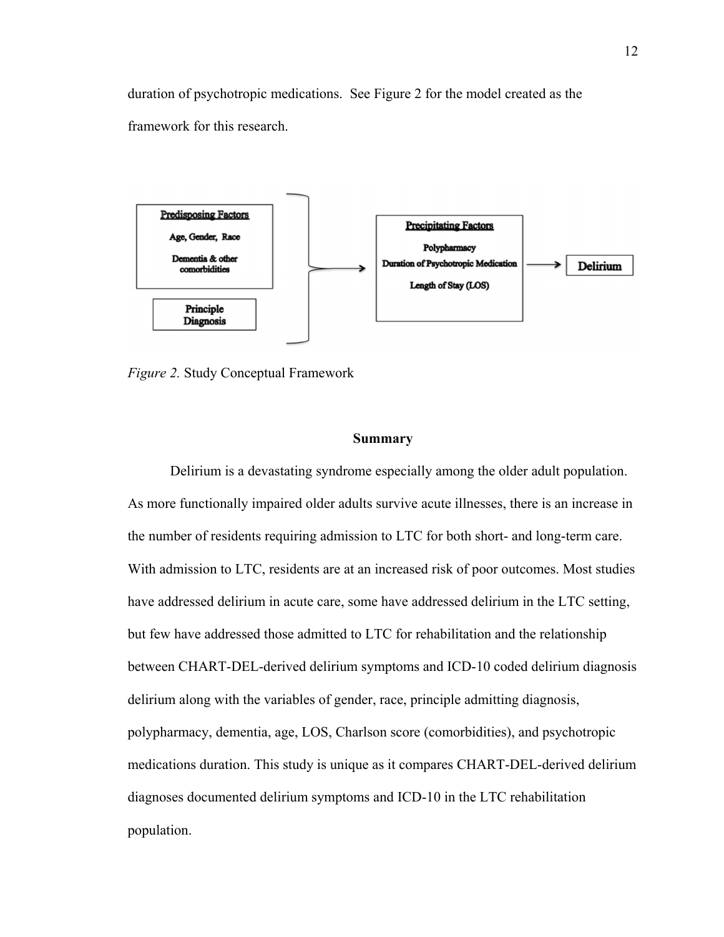duration of psychotropic medications. See Figure 2 for the model created as the framework for this research.



*Figure 2.* Study Conceptual Framework

### **Summary**

Delirium is a devastating syndrome especially among the older adult population. As more functionally impaired older adults survive acute illnesses, there is an increase in the number of residents requiring admission to LTC for both short- and long-term care. With admission to LTC, residents are at an increased risk of poor outcomes. Most studies have addressed delirium in acute care, some have addressed delirium in the LTC setting, but few have addressed those admitted to LTC for rehabilitation and the relationship between CHART-DEL-derived delirium symptoms and ICD-10 coded delirium diagnosis delirium along with the variables of gender, race, principle admitting diagnosis, polypharmacy, dementia, age, LOS, Charlson score (comorbidities), and psychotropic medications duration. This study is unique as it compares CHART-DEL-derived delirium diagnoses documented delirium symptoms and ICD-10 in the LTC rehabilitation population.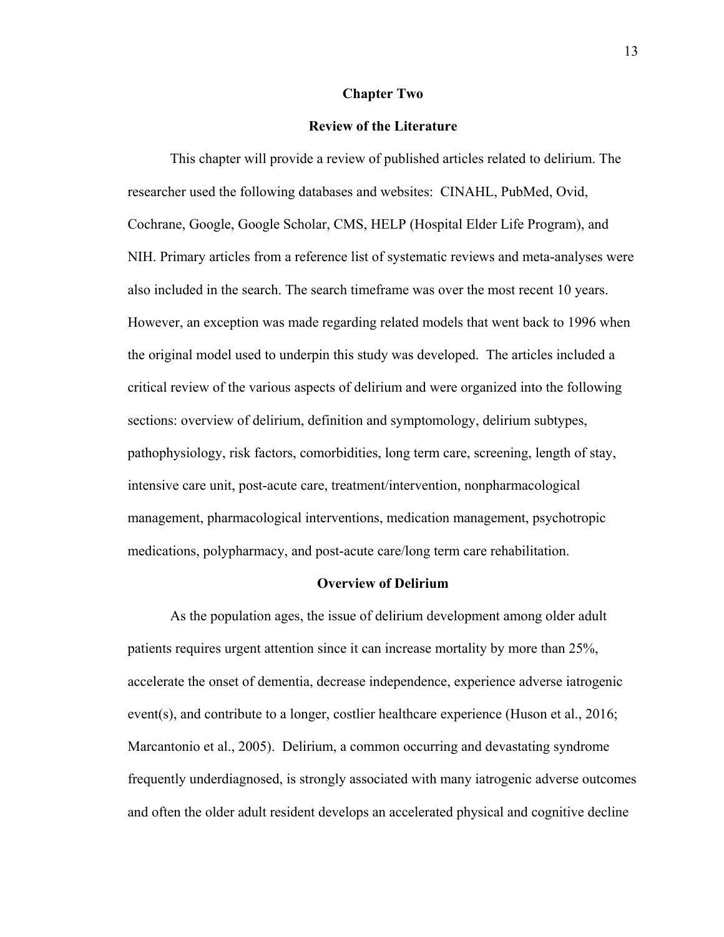#### **Chapter Two**

### **Review of the Literature**

This chapter will provide a review of published articles related to delirium. The researcher used the following databases and websites: CINAHL, PubMed, Ovid, Cochrane, Google, Google Scholar, CMS, HELP (Hospital Elder Life Program), and NIH. Primary articles from a reference list of systematic reviews and meta-analyses were also included in the search. The search timeframe was over the most recent 10 years. However, an exception was made regarding related models that went back to 1996 when the original model used to underpin this study was developed. The articles included a critical review of the various aspects of delirium and were organized into the following sections: overview of delirium, definition and symptomology, delirium subtypes, pathophysiology, risk factors, comorbidities, long term care, screening, length of stay, intensive care unit, post-acute care, treatment/intervention, nonpharmacological management, pharmacological interventions, medication management, psychotropic medications, polypharmacy, and post-acute care/long term care rehabilitation.

### **Overview of Delirium**

As the population ages, the issue of delirium development among older adult patients requires urgent attention since it can increase mortality by more than 25%, accelerate the onset of dementia, decrease independence, experience adverse iatrogenic event(s), and contribute to a longer, costlier healthcare experience (Huson et al., 2016; Marcantonio et al., 2005). Delirium, a common occurring and devastating syndrome frequently underdiagnosed, is strongly associated with many iatrogenic adverse outcomes and often the older adult resident develops an accelerated physical and cognitive decline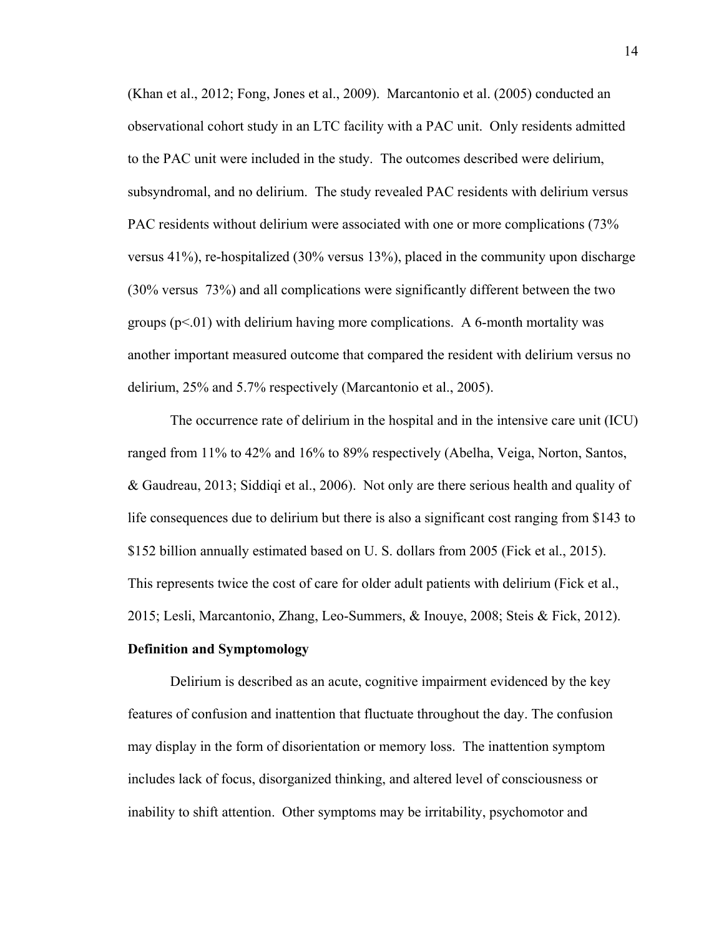(Khan et al., 2012; Fong, Jones et al., 2009). Marcantonio et al. (2005) conducted an observational cohort study in an LTC facility with a PAC unit. Only residents admitted to the PAC unit were included in the study. The outcomes described were delirium, subsyndromal, and no delirium. The study revealed PAC residents with delirium versus PAC residents without delirium were associated with one or more complications (73% versus 41%), re-hospitalized (30% versus 13%), placed in the community upon discharge (30% versus 73%) and all complications were significantly different between the two groups  $(p<.01)$  with delirium having more complications. A 6-month mortality was another important measured outcome that compared the resident with delirium versus no delirium, 25% and 5.7% respectively (Marcantonio et al., 2005).

The occurrence rate of delirium in the hospital and in the intensive care unit (ICU) ranged from 11% to 42% and 16% to 89% respectively (Abelha, Veiga, Norton, Santos, & Gaudreau, 2013; Siddiqi et al., 2006). Not only are there serious health and quality of life consequences due to delirium but there is also a significant cost ranging from \$143 to \$152 billion annually estimated based on U. S. dollars from 2005 (Fick et al., 2015). This represents twice the cost of care for older adult patients with delirium (Fick et al., 2015; Lesli, Marcantonio, Zhang, Leo-Summers, & Inouye, 2008; Steis & Fick, 2012).

## **Definition and Symptomology**

Delirium is described as an acute, cognitive impairment evidenced by the key features of confusion and inattention that fluctuate throughout the day. The confusion may display in the form of disorientation or memory loss. The inattention symptom includes lack of focus, disorganized thinking, and altered level of consciousness or inability to shift attention. Other symptoms may be irritability, psychomotor and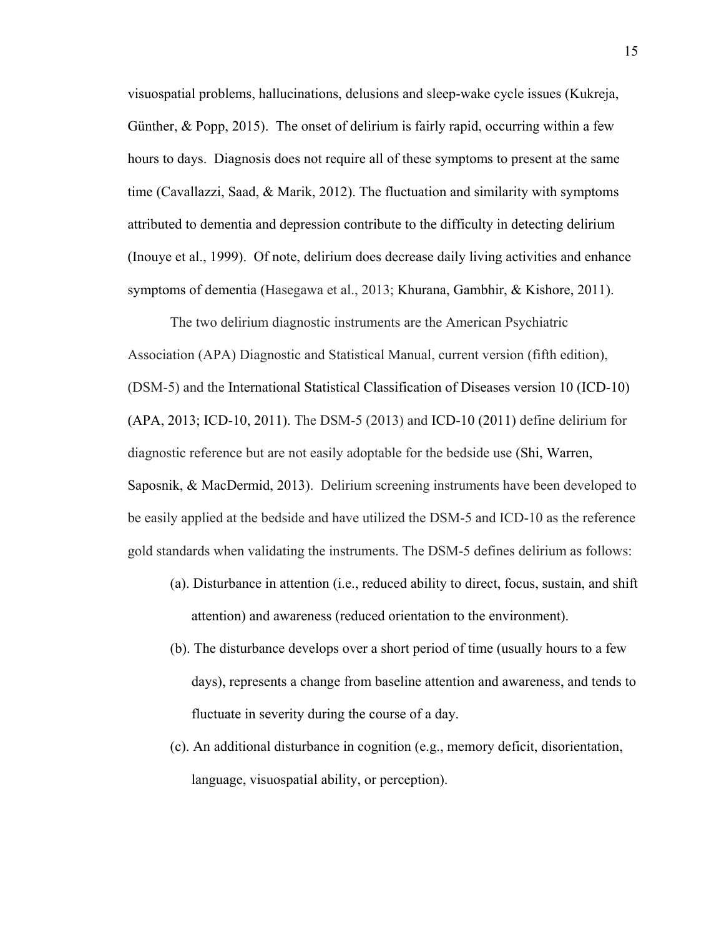visuospatial problems, hallucinations, delusions and sleep-wake cycle issues (Kukreja, Günther, & Popp, 2015). The onset of delirium is fairly rapid, occurring within a few hours to days. Diagnosis does not require all of these symptoms to present at the same time (Cavallazzi, Saad, & Marik, 2012). The fluctuation and similarity with symptoms attributed to dementia and depression contribute to the difficulty in detecting delirium (Inouye et al., 1999). Of note, delirium does decrease daily living activities and enhance symptoms of dementia (Hasegawa et al., 2013; Khurana, Gambhir, & Kishore, 2011).

The two delirium diagnostic instruments are the American Psychiatric Association (APA) Diagnostic and Statistical Manual, current version (fifth edition), (DSM-5) and the International Statistical Classification of Diseases version 10 (ICD-10) (APA, 2013; ICD-10, 2011). The DSM-5 (2013) and ICD-10 (2011) define delirium for diagnostic reference but are not easily adoptable for the bedside use (Shi, Warren, Saposnik, & MacDermid, 2013). Delirium screening instruments have been developed to be easily applied at the bedside and have utilized the DSM-5 and ICD-10 as the reference gold standards when validating the instruments. The DSM-5 defines delirium as follows:

- (a). Disturbance in attention (i.e., reduced ability to direct, focus, sustain, and shift attention) and awareness (reduced orientation to the environment).
- (b). The disturbance develops over a short period of time (usually hours to a few days), represents a change from baseline attention and awareness, and tends to fluctuate in severity during the course of a day.
- (c). An additional disturbance in cognition (e.g., memory deficit, disorientation, language, visuospatial ability, or perception).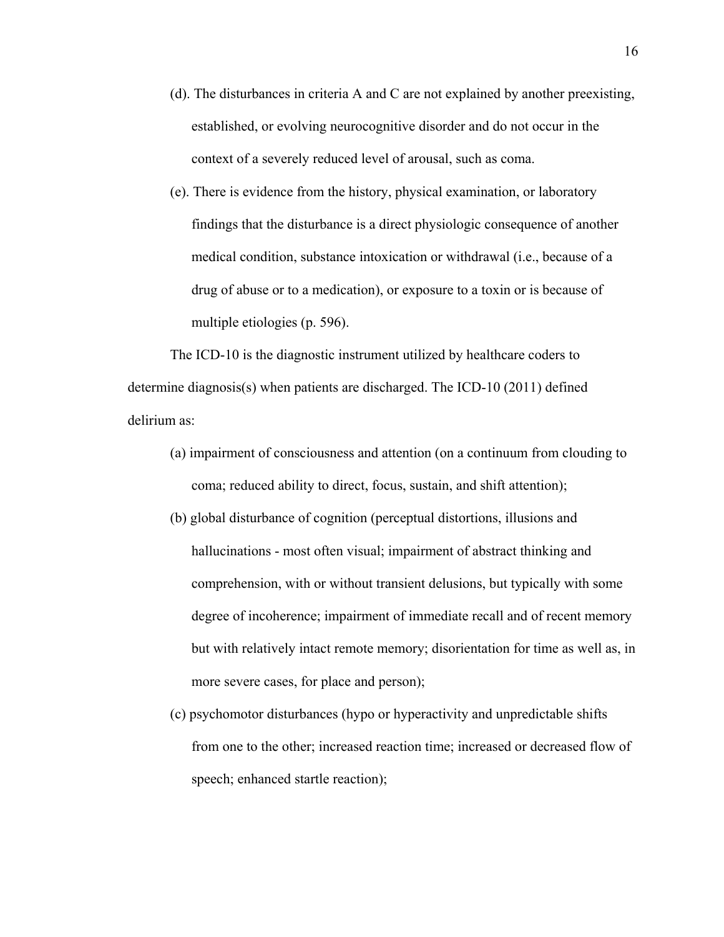(d). The disturbances in criteria A and C are not explained by another preexisting, established, or evolving neurocognitive disorder and do not occur in the context of a severely reduced level of arousal, such as coma.

(e). There is evidence from the history, physical examination, or laboratory findings that the disturbance is a direct physiologic consequence of another medical condition, substance intoxication or withdrawal (i.e., because of a drug of abuse or to a medication), or exposure to a toxin or is because of multiple etiologies (p. 596).

The ICD-10 is the diagnostic instrument utilized by healthcare coders to determine diagnosis(s) when patients are discharged. The ICD-10 (2011) defined delirium as:

- (a) impairment of consciousness and attention (on a continuum from clouding to coma; reduced ability to direct, focus, sustain, and shift attention);
- (b) global disturbance of cognition (perceptual distortions, illusions and hallucinations - most often visual; impairment of abstract thinking and comprehension, with or without transient delusions, but typically with some degree of incoherence; impairment of immediate recall and of recent memory but with relatively intact remote memory; disorientation for time as well as, in more severe cases, for place and person);
- (c) psychomotor disturbances (hypo or hyperactivity and unpredictable shifts from one to the other; increased reaction time; increased or decreased flow of speech; enhanced startle reaction);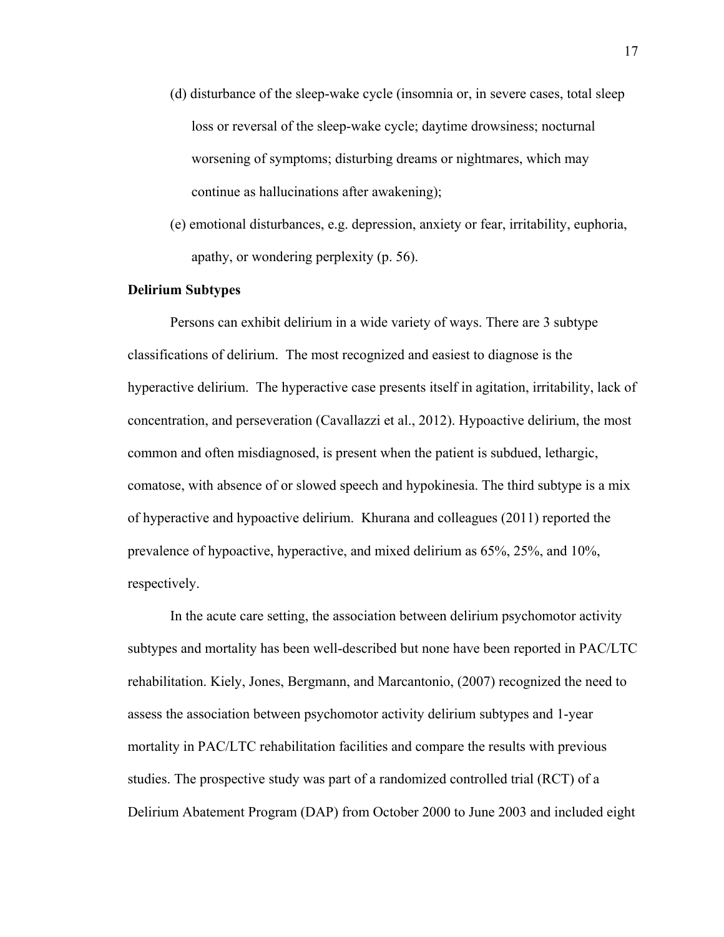- (d) disturbance of the sleep-wake cycle (insomnia or, in severe cases, total sleep loss or reversal of the sleep-wake cycle; daytime drowsiness; nocturnal worsening of symptoms; disturbing dreams or nightmares, which may continue as hallucinations after awakening);
- (e) emotional disturbances, e.g. depression, anxiety or fear, irritability, euphoria, apathy, or wondering perplexity (p. 56).

### **Delirium Subtypes**

 Persons can exhibit delirium in a wide variety of ways. There are 3 subtype classifications of delirium. The most recognized and easiest to diagnose is the hyperactive delirium. The hyperactive case presents itself in agitation, irritability, lack of concentration, and perseveration (Cavallazzi et al., 2012). Hypoactive delirium, the most common and often misdiagnosed, is present when the patient is subdued, lethargic, comatose, with absence of or slowed speech and hypokinesia. The third subtype is a mix of hyperactive and hypoactive delirium. Khurana and colleagues (2011) reported the prevalence of hypoactive, hyperactive, and mixed delirium as 65%, 25%, and 10%, respectively.

In the acute care setting, the association between delirium psychomotor activity subtypes and mortality has been well-described but none have been reported in PAC/LTC rehabilitation. Kiely, Jones, Bergmann, and Marcantonio, (2007) recognized the need to assess the association between psychomotor activity delirium subtypes and 1-year mortality in PAC/LTC rehabilitation facilities and compare the results with previous studies. The prospective study was part of a randomized controlled trial (RCT) of a Delirium Abatement Program (DAP) from October 2000 to June 2003 and included eight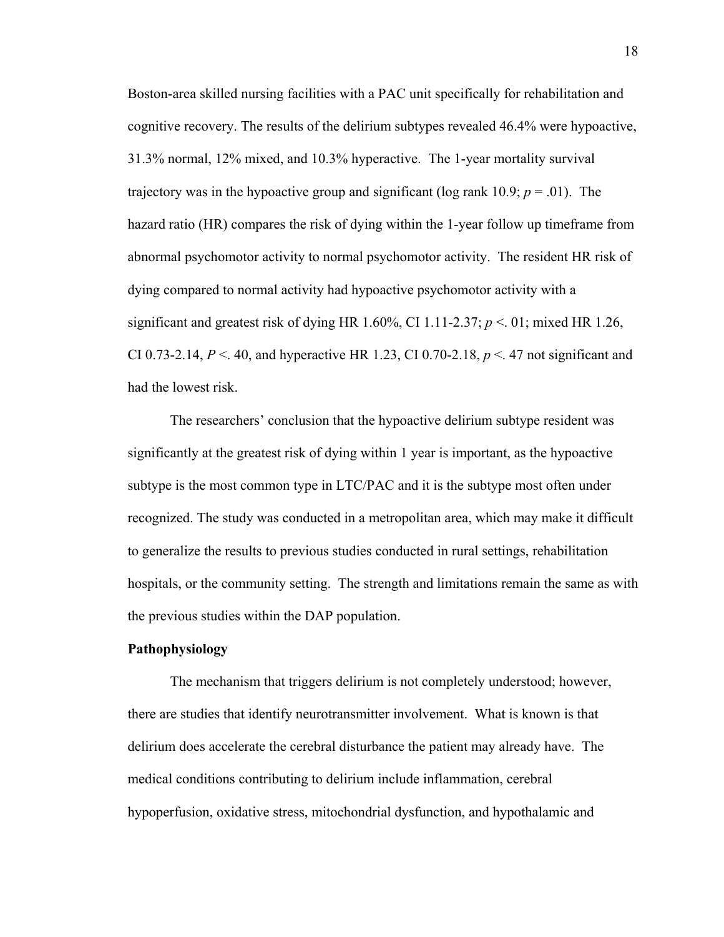Boston-area skilled nursing facilities with a PAC unit specifically for rehabilitation and cognitive recovery. The results of the delirium subtypes revealed 46.4% were hypoactive, 31.3% normal, 12% mixed, and 10.3% hyperactive. The 1-year mortality survival trajectory was in the hypoactive group and significant (log rank 10.9;  $p = .01$ ). The hazard ratio (HR) compares the risk of dying within the 1-year follow up timeframe from abnormal psychomotor activity to normal psychomotor activity. The resident HR risk of dying compared to normal activity had hypoactive psychomotor activity with a significant and greatest risk of dying HR 1.60%, CI 1.11-2.37;  $p < 01$ ; mixed HR 1.26, CI 0.73-2.14, *P* <. 40, and hyperactive HR 1.23, CI 0.70-2.18, *p* <. 47 not significant and had the lowest risk.

The researchers' conclusion that the hypoactive delirium subtype resident was significantly at the greatest risk of dying within 1 year is important, as the hypoactive subtype is the most common type in LTC/PAC and it is the subtype most often under recognized. The study was conducted in a metropolitan area, which may make it difficult to generalize the results to previous studies conducted in rural settings, rehabilitation hospitals, or the community setting. The strength and limitations remain the same as with the previous studies within the DAP population.

### **Pathophysiology**

 The mechanism that triggers delirium is not completely understood; however, there are studies that identify neurotransmitter involvement. What is known is that delirium does accelerate the cerebral disturbance the patient may already have. The medical conditions contributing to delirium include inflammation, cerebral hypoperfusion, oxidative stress, mitochondrial dysfunction, and hypothalamic and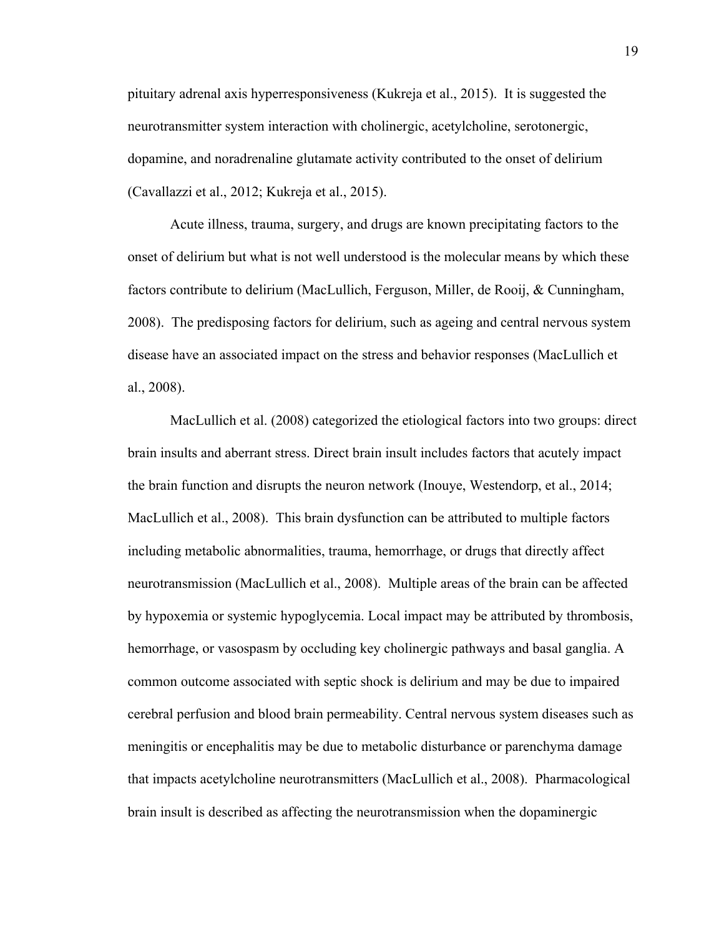pituitary adrenal axis hyperresponsiveness (Kukreja et al., 2015). It is suggested the neurotransmitter system interaction with cholinergic, acetylcholine, serotonergic, dopamine, and noradrenaline glutamate activity contributed to the onset of delirium (Cavallazzi et al., 2012; Kukreja et al., 2015).

Acute illness, trauma, surgery, and drugs are known precipitating factors to the onset of delirium but what is not well understood is the molecular means by which these factors contribute to delirium (MacLullich, Ferguson, Miller, de Rooij, & Cunningham, 2008). The predisposing factors for delirium, such as ageing and central nervous system disease have an associated impact on the stress and behavior responses (MacLullich et al., 2008).

MacLullich et al. (2008) categorized the etiological factors into two groups: direct brain insults and aberrant stress. Direct brain insult includes factors that acutely impact the brain function and disrupts the neuron network (Inouye, Westendorp, et al., 2014; MacLullich et al., 2008). This brain dysfunction can be attributed to multiple factors including metabolic abnormalities, trauma, hemorrhage, or drugs that directly affect neurotransmission (MacLullich et al., 2008). Multiple areas of the brain can be affected by hypoxemia or systemic hypoglycemia. Local impact may be attributed by thrombosis, hemorrhage, or vasospasm by occluding key cholinergic pathways and basal ganglia. A common outcome associated with septic shock is delirium and may be due to impaired cerebral perfusion and blood brain permeability. Central nervous system diseases such as meningitis or encephalitis may be due to metabolic disturbance or parenchyma damage that impacts acetylcholine neurotransmitters (MacLullich et al., 2008). Pharmacological brain insult is described as affecting the neurotransmission when the dopaminergic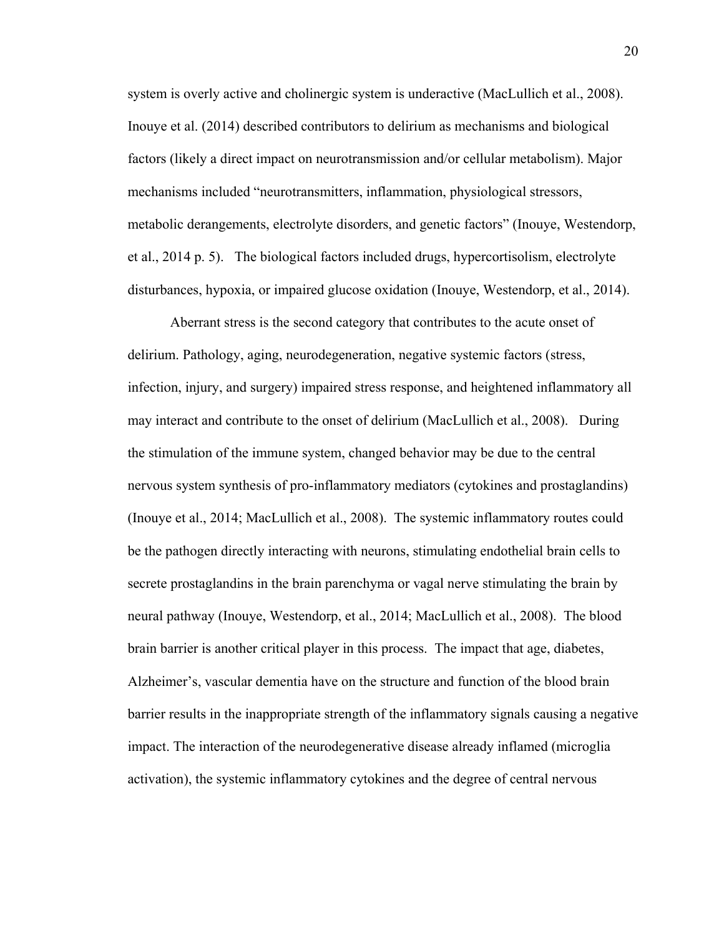system is overly active and cholinergic system is underactive (MacLullich et al., 2008). Inouye et al. (2014) described contributors to delirium as mechanisms and biological factors (likely a direct impact on neurotransmission and/or cellular metabolism). Major mechanisms included "neurotransmitters, inflammation, physiological stressors, metabolic derangements, electrolyte disorders, and genetic factors" (Inouye, Westendorp, et al., 2014 p. 5). The biological factors included drugs, hypercortisolism, electrolyte disturbances, hypoxia, or impaired glucose oxidation (Inouye, Westendorp, et al., 2014).

Aberrant stress is the second category that contributes to the acute onset of delirium. Pathology, aging, neurodegeneration, negative systemic factors (stress, infection, injury, and surgery) impaired stress response, and heightened inflammatory all may interact and contribute to the onset of delirium (MacLullich et al., 2008). During the stimulation of the immune system, changed behavior may be due to the central nervous system synthesis of pro-inflammatory mediators (cytokines and prostaglandins) (Inouye et al., 2014; MacLullich et al., 2008). The systemic inflammatory routes could be the pathogen directly interacting with neurons, stimulating endothelial brain cells to secrete prostaglandins in the brain parenchyma or vagal nerve stimulating the brain by neural pathway (Inouye, Westendorp, et al., 2014; MacLullich et al., 2008). The blood brain barrier is another critical player in this process. The impact that age, diabetes, Alzheimer's, vascular dementia have on the structure and function of the blood brain barrier results in the inappropriate strength of the inflammatory signals causing a negative impact. The interaction of the neurodegenerative disease already inflamed (microglia activation), the systemic inflammatory cytokines and the degree of central nervous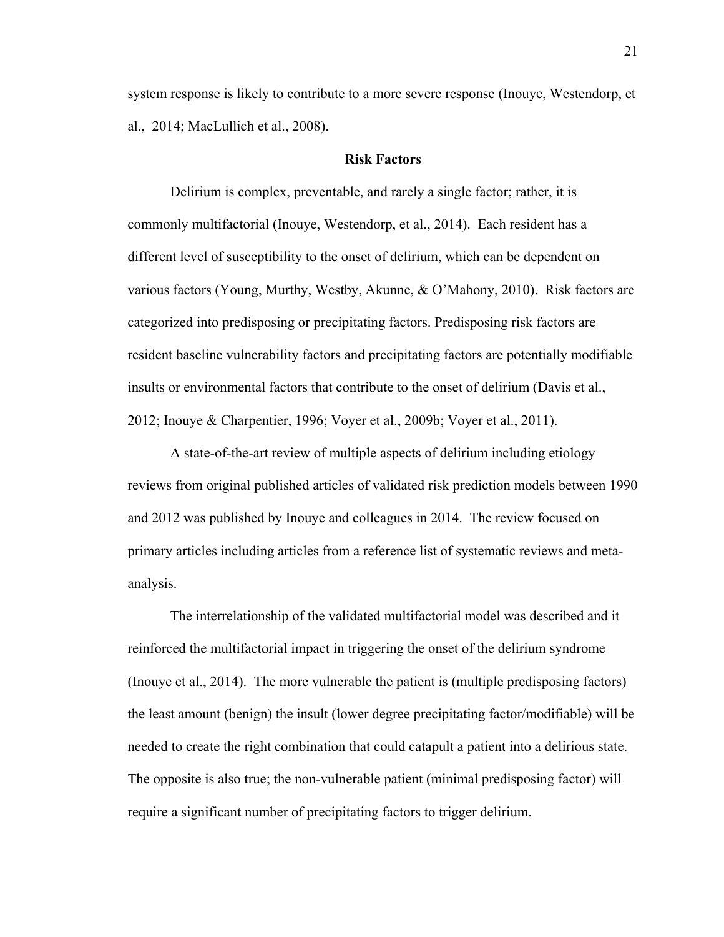system response is likely to contribute to a more severe response (Inouye, Westendorp, et al., 2014; MacLullich et al., 2008).

### **Risk Factors**

Delirium is complex, preventable, and rarely a single factor; rather, it is commonly multifactorial (Inouye, Westendorp, et al., 2014). Each resident has a different level of susceptibility to the onset of delirium, which can be dependent on various factors (Young, Murthy, Westby, Akunne, & O'Mahony, 2010). Risk factors are categorized into predisposing or precipitating factors. Predisposing risk factors are resident baseline vulnerability factors and precipitating factors are potentially modifiable insults or environmental factors that contribute to the onset of delirium (Davis et al., 2012; Inouye & Charpentier, 1996; Voyer et al., 2009b; Voyer et al., 2011).

A state-of-the-art review of multiple aspects of delirium including etiology reviews from original published articles of validated risk prediction models between 1990 and 2012 was published by Inouye and colleagues in 2014. The review focused on primary articles including articles from a reference list of systematic reviews and metaanalysis.

The interrelationship of the validated multifactorial model was described and it reinforced the multifactorial impact in triggering the onset of the delirium syndrome (Inouye et al., 2014). The more vulnerable the patient is (multiple predisposing factors) the least amount (benign) the insult (lower degree precipitating factor/modifiable) will be needed to create the right combination that could catapult a patient into a delirious state. The opposite is also true; the non-vulnerable patient (minimal predisposing factor) will require a significant number of precipitating factors to trigger delirium.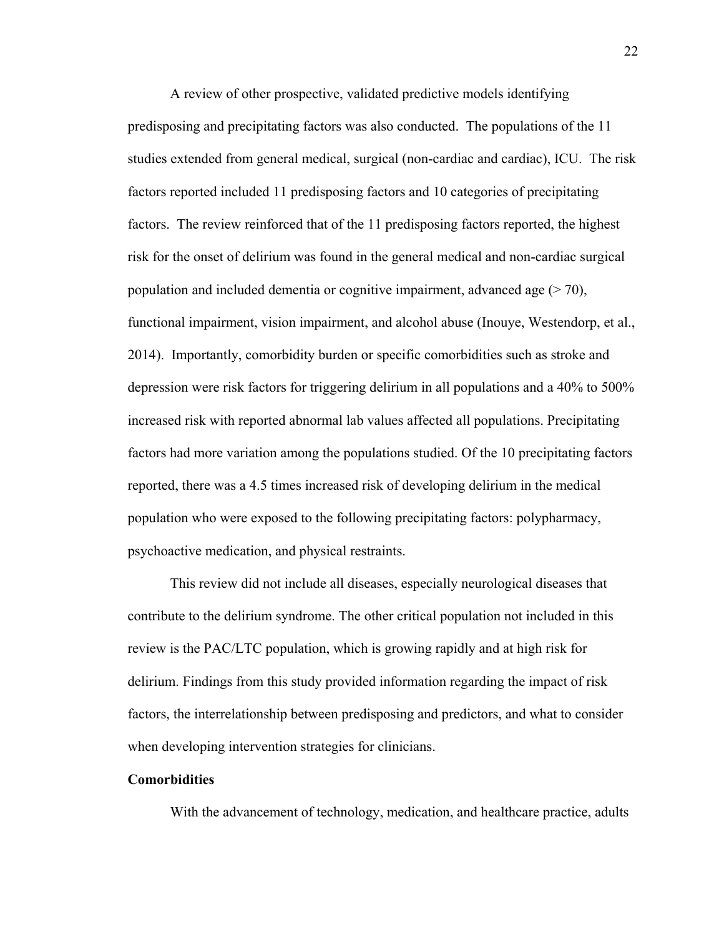A review of other prospective, validated predictive models identifying predisposing and precipitating factors was also conducted. The populations of the 11 studies extended from general medical, surgical (non-cardiac and cardiac), ICU. The risk factors reported included 11 predisposing factors and 10 categories of precipitating factors. The review reinforced that of the 11 predisposing factors reported, the highest risk for the onset of delirium was found in the general medical and non-cardiac surgical population and included dementia or cognitive impairment, advanced age  $(270)$ , functional impairment, vision impairment, and alcohol abuse (Inouye, Westendorp, et al., 2014). Importantly, comorbidity burden or specific comorbidities such as stroke and depression were risk factors for triggering delirium in all populations and a 40% to 500% increased risk with reported abnormal lab values affected all populations. Precipitating factors had more variation among the populations studied. Of the 10 precipitating factors reported, there was a 4.5 times increased risk of developing delirium in the medical population who were exposed to the following precipitating factors: polypharmacy, psychoactive medication, and physical restraints.

This review did not include all diseases, especially neurological diseases that contribute to the delirium syndrome. The other critical population not included in this review is the PAC/LTC population, which is growing rapidly and at high risk for delirium. Findings from this study provided information regarding the impact of risk factors, the interrelationship between predisposing and predictors, and what to consider when developing intervention strategies for clinicians.

## **Comorbidities**

With the advancement of technology, medication, and healthcare practice, adults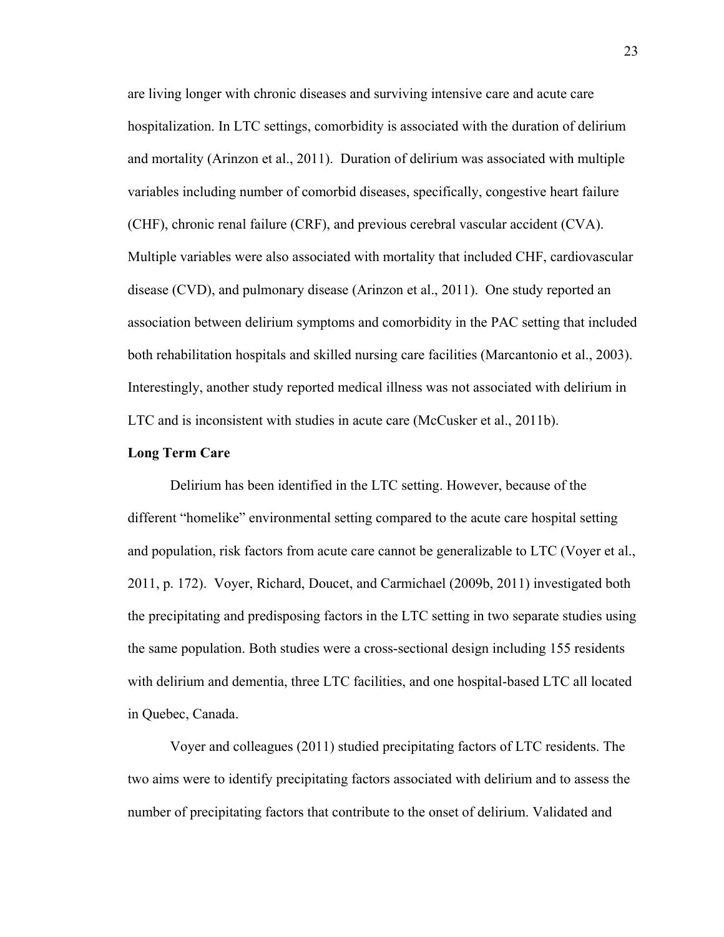are living longer with chronic diseases and surviving intensive care and acute care hospitalization. In LTC settings, comorbidity is associated with the duration of delirium and mortality (Arinzon et al., 2011). Duration of delirium was associated with multiple variables including number of comorbid diseases, specifically, congestive heart failure (CHF), chronic renal failure (CRF), and previous cerebral vascular accident (CVA). Multiple variables were also associated with mortality that included CHF, cardiovascular disease (CVD), and pulmonary disease (Arinzon et al., 2011). One study reported an association between delirium symptoms and comorbidity in the PAC setting that included both rehabilitation hospitals and skilled nursing care facilities (Marcantonio et al., 2003). Interestingly, another study reported medical illness was not associated with delirium in LTC and is inconsistent with studies in acute care (McCusker et al., 2011b).

### **Long Term Care**

Delirium has been identified in the LTC setting. However, because of the different "homelike" environmental setting compared to the acute care hospital setting and population, risk factors from acute care cannot be generalizable to LTC (Voyer et al., 2011, p. 172). Voyer, Richard, Doucet, and Carmichael (2009b, 2011) investigated both the precipitating and predisposing factors in the LTC setting in two separate studies using the same population. Both studies were a cross-sectional design including 155 residents with delirium and dementia, three LTC facilities, and one hospital-based LTC all located in Quebec, Canada.

Voyer and colleagues (2011) studied precipitating factors of LTC residents. The two aims were to identify precipitating factors associated with delirium and to assess the number of precipitating factors that contribute to the onset of delirium. Validated and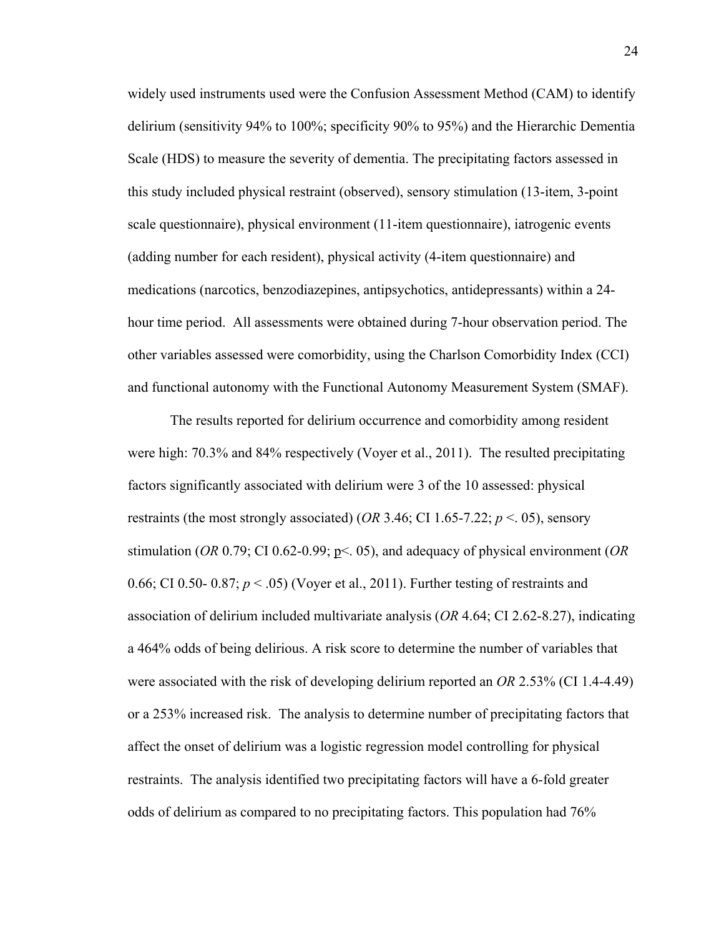widely used instruments used were the Confusion Assessment Method (CAM) to identify delirium (sensitivity 94% to 100%; specificity 90% to 95%) and the Hierarchic Dementia Scale (HDS) to measure the severity of dementia. The precipitating factors assessed in this study included physical restraint (observed), sensory stimulation (13-item, 3-point scale questionnaire), physical environment (11-item questionnaire), iatrogenic events (adding number for each resident), physical activity (4-item questionnaire) and medications (narcotics, benzodiazepines, antipsychotics, antidepressants) within a 24 hour time period. All assessments were obtained during 7-hour observation period. The other variables assessed were comorbidity, using the Charlson Comorbidity Index (CCI) and functional autonomy with the Functional Autonomy Measurement System (SMAF).

The results reported for delirium occurrence and comorbidity among resident were high: 70.3% and 84% respectively (Voyer et al., 2011). The resulted precipitating factors significantly associated with delirium were 3 of the 10 assessed: physical restraints (the most strongly associated) (*OR* 3.46; CI 1.65-7.22;  $p < 0.05$ ), sensory stimulation (*OR* 0.79; CI 0.62-0.99; p<. 05), and adequacy of physical environment (*OR* 0.66; CI 0.50- 0.87;  $p < .05$ ) (Voyer et al., 2011). Further testing of restraints and association of delirium included multivariate analysis (*OR* 4.64; CI 2.62-8.27), indicating a 464% odds of being delirious. A risk score to determine the number of variables that were associated with the risk of developing delirium reported an *OR* 2.53% (CI 1.4-4.49) or a 253% increased risk. The analysis to determine number of precipitating factors that affect the onset of delirium was a logistic regression model controlling for physical restraints. The analysis identified two precipitating factors will have a 6-fold greater odds of delirium as compared to no precipitating factors. This population had 76%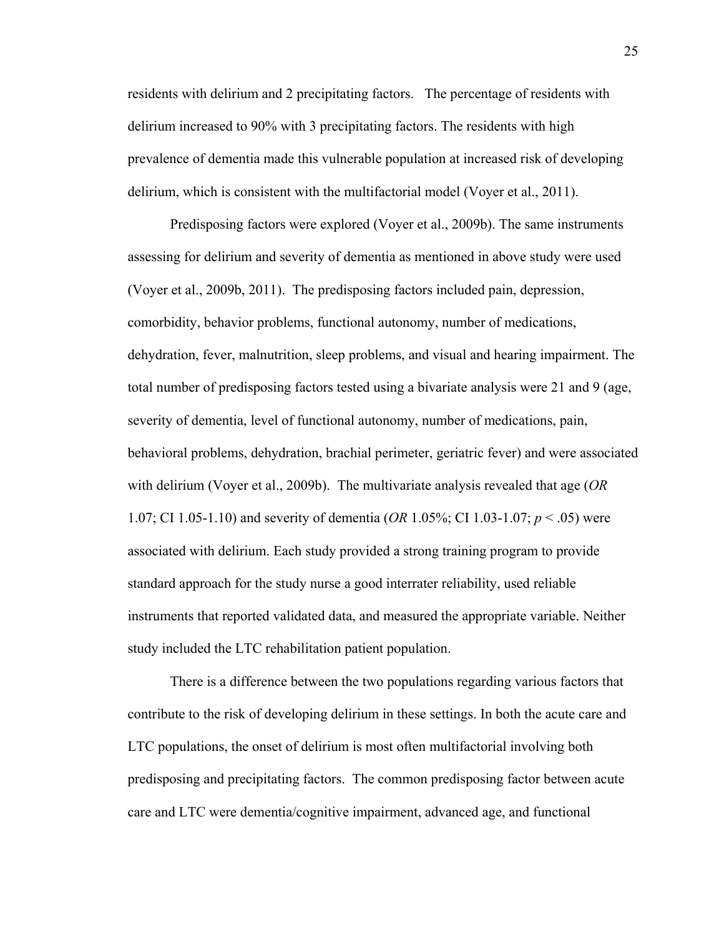residents with delirium and 2 precipitating factors. The percentage of residents with delirium increased to 90% with 3 precipitating factors. The residents with high prevalence of dementia made this vulnerable population at increased risk of developing delirium, which is consistent with the multifactorial model (Voyer et al., 2011).

Predisposing factors were explored (Voyer et al., 2009b). The same instruments assessing for delirium and severity of dementia as mentioned in above study were used (Voyer et al., 2009b, 2011). The predisposing factors included pain, depression, comorbidity, behavior problems, functional autonomy, number of medications, dehydration, fever, malnutrition, sleep problems, and visual and hearing impairment. The total number of predisposing factors tested using a bivariate analysis were 21 and 9 (age, severity of dementia, level of functional autonomy, number of medications, pain, behavioral problems, dehydration, brachial perimeter, geriatric fever) and were associated with delirium (Voyer et al., 2009b). The multivariate analysis revealed that age (*OR* 1.07; CI 1.05-1.10) and severity of dementia (*OR* 1.05%; CI 1.03-1.07; *p* < .05) were associated with delirium. Each study provided a strong training program to provide standard approach for the study nurse a good interrater reliability, used reliable instruments that reported validated data, and measured the appropriate variable. Neither study included the LTC rehabilitation patient population.

There is a difference between the two populations regarding various factors that contribute to the risk of developing delirium in these settings. In both the acute care and LTC populations, the onset of delirium is most often multifactorial involving both predisposing and precipitating factors. The common predisposing factor between acute care and LTC were dementia/cognitive impairment, advanced age, and functional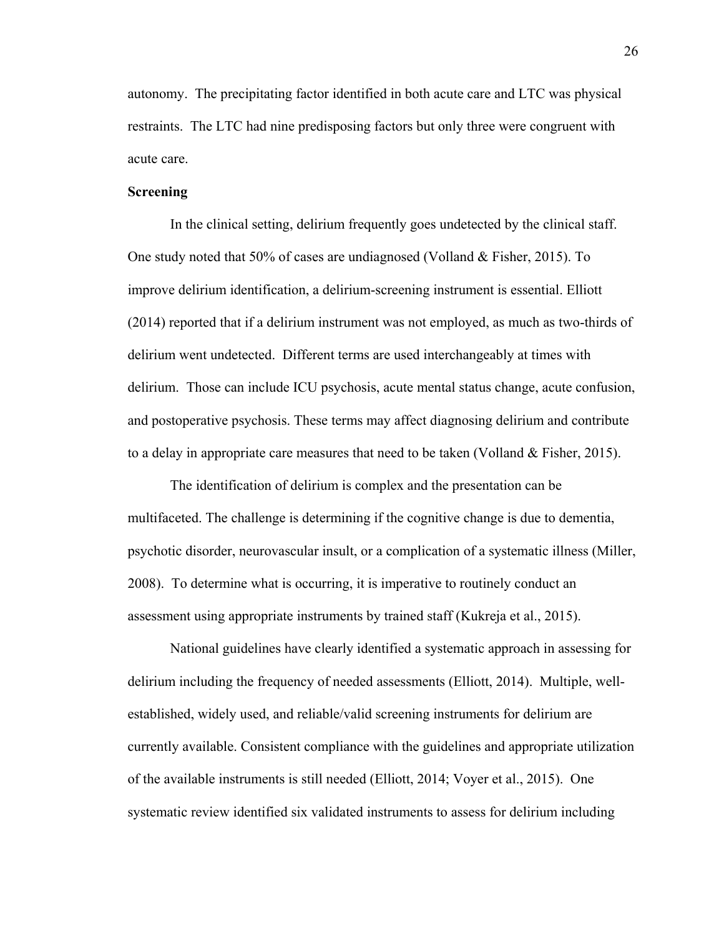autonomy. The precipitating factor identified in both acute care and LTC was physical restraints. The LTC had nine predisposing factors but only three were congruent with acute care.

### **Screening**

In the clinical setting, delirium frequently goes undetected by the clinical staff. One study noted that 50% of cases are undiagnosed (Volland & Fisher, 2015). To improve delirium identification, a delirium-screening instrument is essential. Elliott (2014) reported that if a delirium instrument was not employed, as much as two-thirds of delirium went undetected. Different terms are used interchangeably at times with delirium. Those can include ICU psychosis, acute mental status change, acute confusion, and postoperative psychosis. These terms may affect diagnosing delirium and contribute to a delay in appropriate care measures that need to be taken (Volland & Fisher, 2015).

The identification of delirium is complex and the presentation can be multifaceted. The challenge is determining if the cognitive change is due to dementia, psychotic disorder, neurovascular insult, or a complication of a systematic illness (Miller, 2008). To determine what is occurring, it is imperative to routinely conduct an assessment using appropriate instruments by trained staff (Kukreja et al., 2015).

National guidelines have clearly identified a systematic approach in assessing for delirium including the frequency of needed assessments (Elliott, 2014). Multiple, wellestablished, widely used, and reliable/valid screening instruments for delirium are currently available. Consistent compliance with the guidelines and appropriate utilization of the available instruments is still needed (Elliott, 2014; Voyer et al., 2015). One systematic review identified six validated instruments to assess for delirium including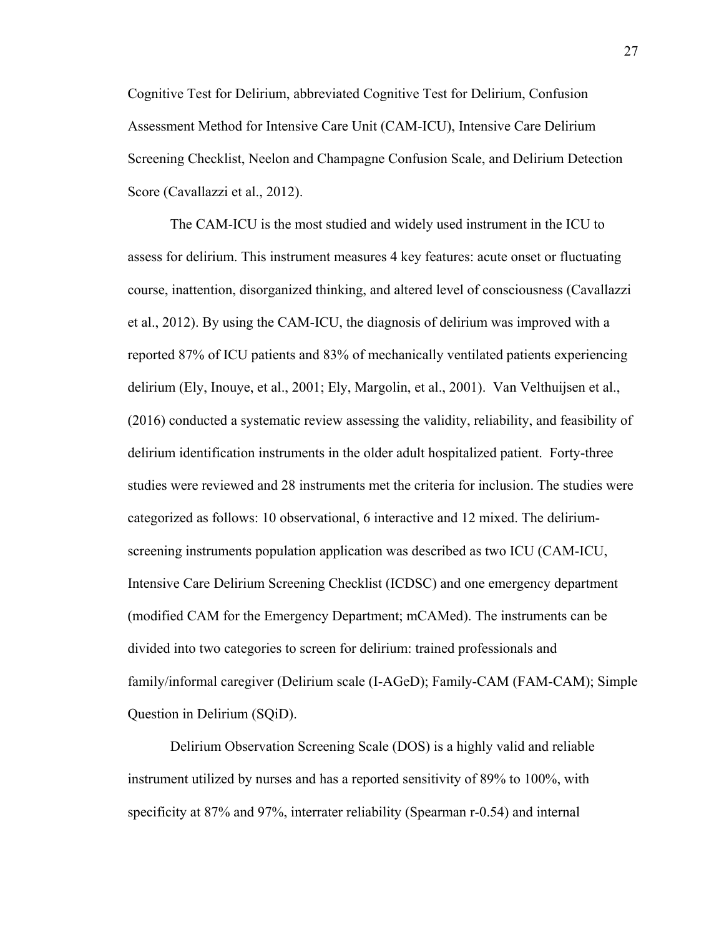Cognitive Test for Delirium, abbreviated Cognitive Test for Delirium, Confusion Assessment Method for Intensive Care Unit (CAM-ICU), Intensive Care Delirium Screening Checklist, Neelon and Champagne Confusion Scale, and Delirium Detection Score (Cavallazzi et al., 2012).

The CAM-ICU is the most studied and widely used instrument in the ICU to assess for delirium. This instrument measures 4 key features: acute onset or fluctuating course, inattention, disorganized thinking, and altered level of consciousness (Cavallazzi et al., 2012). By using the CAM-ICU, the diagnosis of delirium was improved with a reported 87% of ICU patients and 83% of mechanically ventilated patients experiencing delirium (Ely, Inouye, et al., 2001; Ely, Margolin, et al., 2001). Van Velthuijsen et al., (2016) conducted a systematic review assessing the validity, reliability, and feasibility of delirium identification instruments in the older adult hospitalized patient. Forty-three studies were reviewed and 28 instruments met the criteria for inclusion. The studies were categorized as follows: 10 observational, 6 interactive and 12 mixed. The deliriumscreening instruments population application was described as two ICU (CAM-ICU, Intensive Care Delirium Screening Checklist (ICDSC) and one emergency department (modified CAM for the Emergency Department; mCAMed). The instruments can be divided into two categories to screen for delirium: trained professionals and family/informal caregiver (Delirium scale (I-AGeD); Family-CAM (FAM-CAM); Simple Question in Delirium (SQiD).

Delirium Observation Screening Scale (DOS) is a highly valid and reliable instrument utilized by nurses and has a reported sensitivity of 89% to 100%, with specificity at 87% and 97%, interrater reliability (Spearman r-0.54) and internal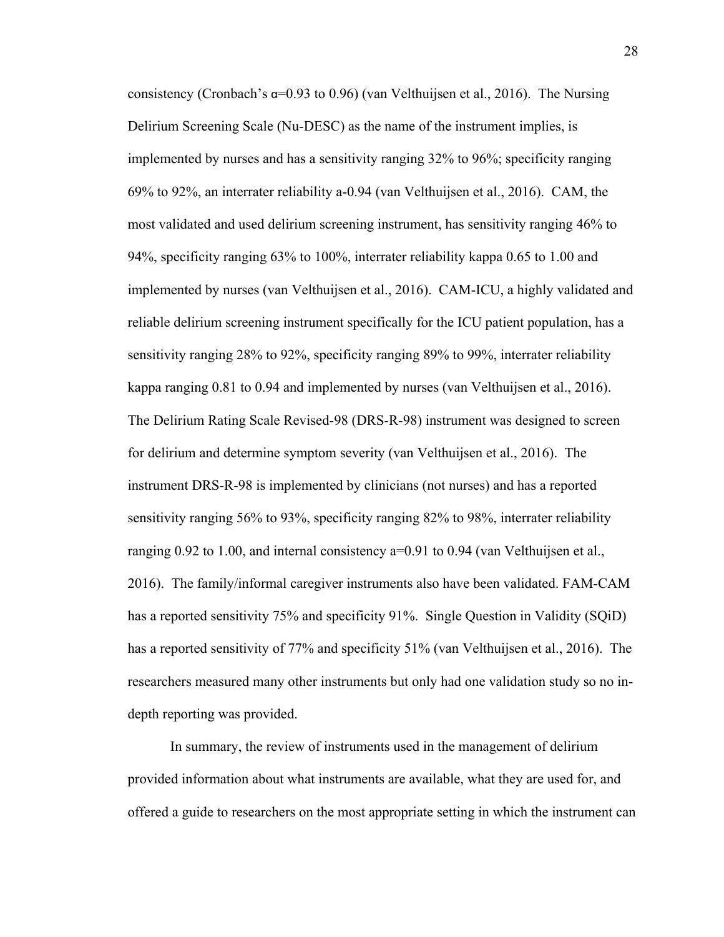consistency (Cronbach's  $\alpha$ =0.93 to 0.96) (van Velthuijsen et al., 2016). The Nursing Delirium Screening Scale (Nu-DESC) as the name of the instrument implies, is implemented by nurses and has a sensitivity ranging 32% to 96%; specificity ranging 69% to 92%, an interrater reliability a-0.94 (van Velthuijsen et al., 2016). CAM, the most validated and used delirium screening instrument, has sensitivity ranging 46% to 94%, specificity ranging 63% to 100%, interrater reliability kappa 0.65 to 1.00 and implemented by nurses (van Velthuijsen et al., 2016). CAM-ICU, a highly validated and reliable delirium screening instrument specifically for the ICU patient population, has a sensitivity ranging 28% to 92%, specificity ranging 89% to 99%, interrater reliability kappa ranging 0.81 to 0.94 and implemented by nurses (van Velthuijsen et al., 2016). The Delirium Rating Scale Revised-98 (DRS-R-98) instrument was designed to screen for delirium and determine symptom severity (van Velthuijsen et al., 2016). The instrument DRS-R-98 is implemented by clinicians (not nurses) and has a reported sensitivity ranging 56% to 93%, specificity ranging 82% to 98%, interrater reliability ranging 0.92 to 1.00, and internal consistency a=0.91 to 0.94 (van Velthuijsen et al., 2016). The family/informal caregiver instruments also have been validated. FAM-CAM has a reported sensitivity 75% and specificity 91%. Single Question in Validity (SQiD) has a reported sensitivity of 77% and specificity 51% (van Velthuijsen et al., 2016). The researchers measured many other instruments but only had one validation study so no indepth reporting was provided.

In summary, the review of instruments used in the management of delirium provided information about what instruments are available, what they are used for, and offered a guide to researchers on the most appropriate setting in which the instrument can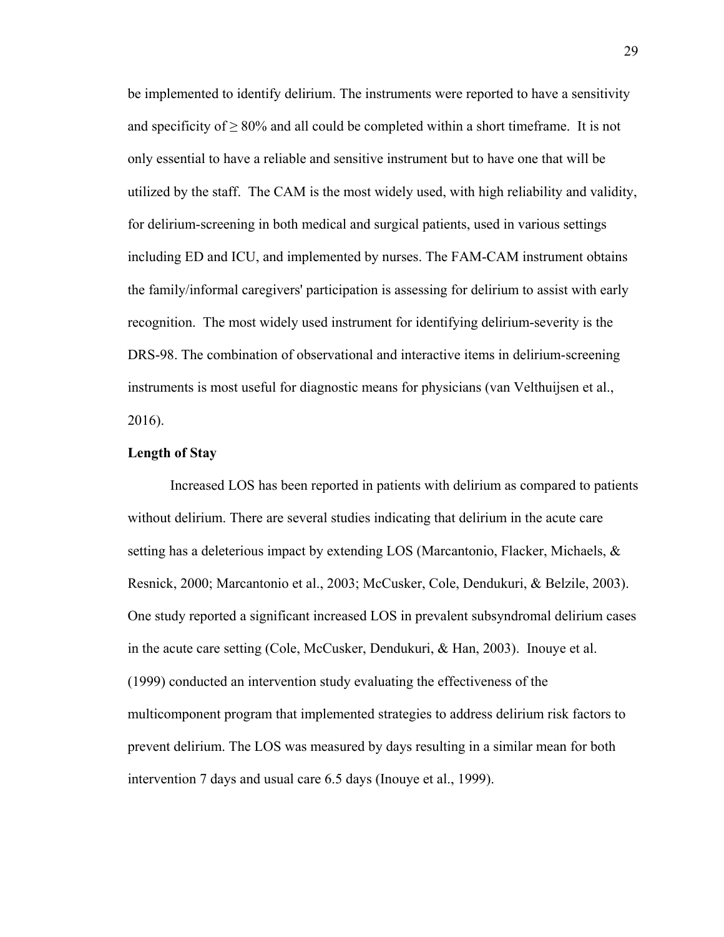be implemented to identify delirium. The instruments were reported to have a sensitivity and specificity of  $\geq 80\%$  and all could be completed within a short timeframe. It is not only essential to have a reliable and sensitive instrument but to have one that will be utilized by the staff. The CAM is the most widely used, with high reliability and validity, for delirium-screening in both medical and surgical patients, used in various settings including ED and ICU, and implemented by nurses. The FAM-CAM instrument obtains the family/informal caregivers' participation is assessing for delirium to assist with early recognition. The most widely used instrument for identifying delirium-severity is the DRS-98. The combination of observational and interactive items in delirium-screening instruments is most useful for diagnostic means for physicians (van Velthuijsen et al., 2016).

### **Length of Stay**

Increased LOS has been reported in patients with delirium as compared to patients without delirium. There are several studies indicating that delirium in the acute care setting has a deleterious impact by extending LOS (Marcantonio, Flacker, Michaels, & Resnick, 2000; Marcantonio et al., 2003; McCusker, Cole, Dendukuri, & Belzile, 2003). One study reported a significant increased LOS in prevalent subsyndromal delirium cases in the acute care setting (Cole, McCusker, Dendukuri, & Han, 2003). Inouye et al. (1999) conducted an intervention study evaluating the effectiveness of the multicomponent program that implemented strategies to address delirium risk factors to prevent delirium. The LOS was measured by days resulting in a similar mean for both intervention 7 days and usual care 6.5 days (Inouye et al., 1999).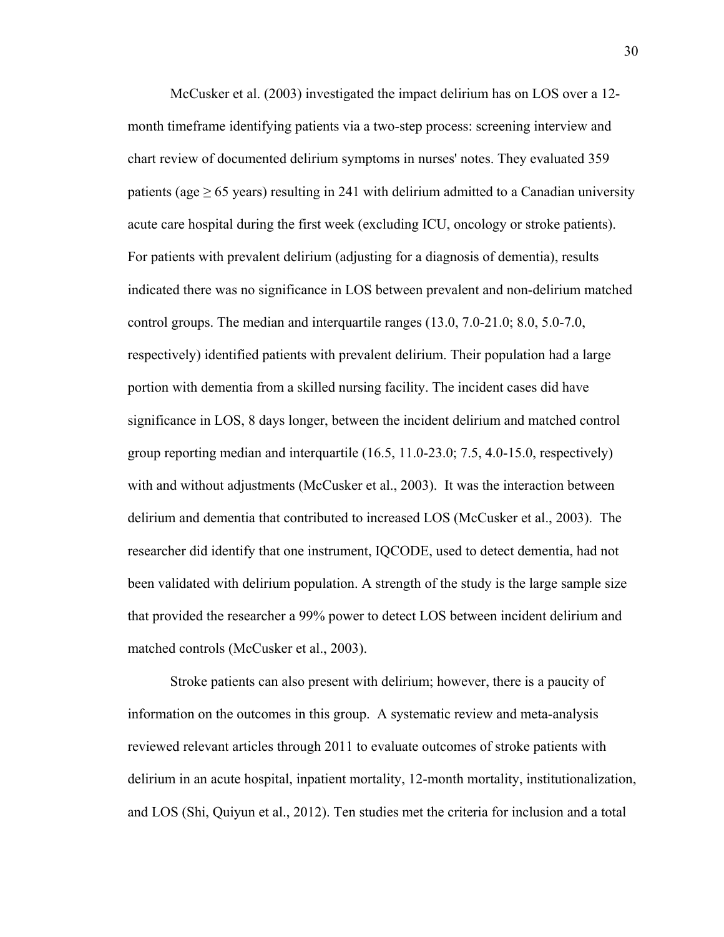McCusker et al. (2003) investigated the impact delirium has on LOS over a 12 month timeframe identifying patients via a two-step process: screening interview and chart review of documented delirium symptoms in nurses' notes. They evaluated 359 patients (age  $\geq 65$  years) resulting in 241 with delirium admitted to a Canadian university acute care hospital during the first week (excluding ICU, oncology or stroke patients). For patients with prevalent delirium (adjusting for a diagnosis of dementia), results indicated there was no significance in LOS between prevalent and non-delirium matched control groups. The median and interquartile ranges (13.0, 7.0-21.0; 8.0, 5.0-7.0, respectively) identified patients with prevalent delirium. Their population had a large portion with dementia from a skilled nursing facility. The incident cases did have significance in LOS, 8 days longer, between the incident delirium and matched control group reporting median and interquartile (16.5, 11.0-23.0; 7.5, 4.0-15.0, respectively) with and without adjustments (McCusker et al., 2003). It was the interaction between delirium and dementia that contributed to increased LOS (McCusker et al., 2003). The researcher did identify that one instrument, IQCODE, used to detect dementia, had not been validated with delirium population. A strength of the study is the large sample size that provided the researcher a 99% power to detect LOS between incident delirium and matched controls (McCusker et al., 2003).

Stroke patients can also present with delirium; however, there is a paucity of information on the outcomes in this group. A systematic review and meta-analysis reviewed relevant articles through 2011 to evaluate outcomes of stroke patients with delirium in an acute hospital, inpatient mortality, 12-month mortality, institutionalization, and LOS (Shi, Quiyun et al., 2012). Ten studies met the criteria for inclusion and a total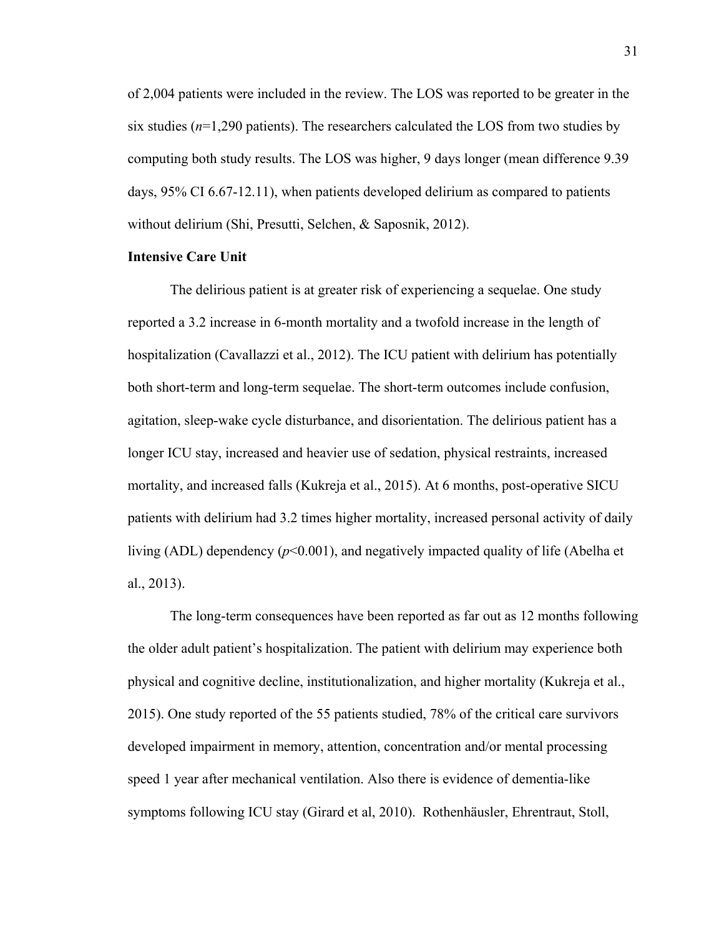of 2,004 patients were included in the review. The LOS was reported to be greater in the six studies  $(n=1,290)$  patients). The researchers calculated the LOS from two studies by computing both study results. The LOS was higher, 9 days longer (mean difference 9.39 days, 95% CI 6.67-12.11), when patients developed delirium as compared to patients without delirium (Shi, Presutti, Selchen, & Saposnik, 2012).

### **Intensive Care Unit**

The delirious patient is at greater risk of experiencing a sequelae. One study reported a 3.2 increase in 6-month mortality and a twofold increase in the length of hospitalization (Cavallazzi et al., 2012). The ICU patient with delirium has potentially both short-term and long-term sequelae. The short-term outcomes include confusion, agitation, sleep-wake cycle disturbance, and disorientation. The delirious patient has a longer ICU stay, increased and heavier use of sedation, physical restraints, increased mortality, and increased falls (Kukreja et al., 2015). At 6 months, post-operative SICU patients with delirium had 3.2 times higher mortality, increased personal activity of daily living (ADL) dependency (*p*<0.001), and negatively impacted quality of life (Abelha et al., 2013).

The long-term consequences have been reported as far out as 12 months following the older adult patient's hospitalization. The patient with delirium may experience both physical and cognitive decline, institutionalization, and higher mortality (Kukreja et al., 2015). One study reported of the 55 patients studied, 78% of the critical care survivors developed impairment in memory, attention, concentration and/or mental processing speed 1 year after mechanical ventilation. Also there is evidence of dementia-like symptoms following ICU stay (Girard et al, 2010). Rothenhäusler, Ehrentraut, Stoll,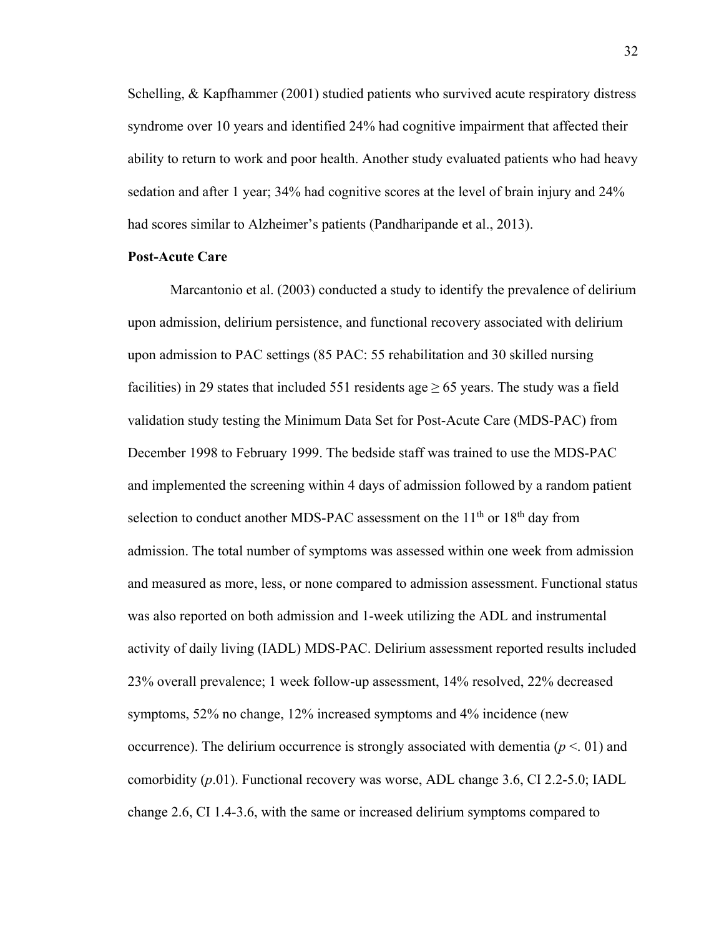Schelling, & Kapfhammer (2001) studied patients who survived acute respiratory distress syndrome over 10 years and identified 24% had cognitive impairment that affected their ability to return to work and poor health. Another study evaluated patients who had heavy sedation and after 1 year; 34% had cognitive scores at the level of brain injury and 24% had scores similar to Alzheimer's patients (Pandharipande et al., 2013).

## **Post-Acute Care**

Marcantonio et al. (2003) conducted a study to identify the prevalence of delirium upon admission, delirium persistence, and functional recovery associated with delirium upon admission to PAC settings (85 PAC: 55 rehabilitation and 30 skilled nursing facilities) in 29 states that included 551 residents age  $\geq$  65 years. The study was a field validation study testing the Minimum Data Set for Post-Acute Care (MDS-PAC) from December 1998 to February 1999. The bedside staff was trained to use the MDS-PAC and implemented the screening within 4 days of admission followed by a random patient selection to conduct another MDS-PAC assessment on the  $11<sup>th</sup>$  or  $18<sup>th</sup>$  day from admission. The total number of symptoms was assessed within one week from admission and measured as more, less, or none compared to admission assessment. Functional status was also reported on both admission and 1-week utilizing the ADL and instrumental activity of daily living (IADL) MDS-PAC. Delirium assessment reported results included 23% overall prevalence; 1 week follow-up assessment, 14% resolved, 22% decreased symptoms, 52% no change, 12% increased symptoms and 4% incidence (new occurrence). The delirium occurrence is strongly associated with dementia  $(p < 01)$  and comorbidity (*p*.01). Functional recovery was worse, ADL change 3.6, CI 2.2-5.0; IADL change 2.6, CI 1.4-3.6, with the same or increased delirium symptoms compared to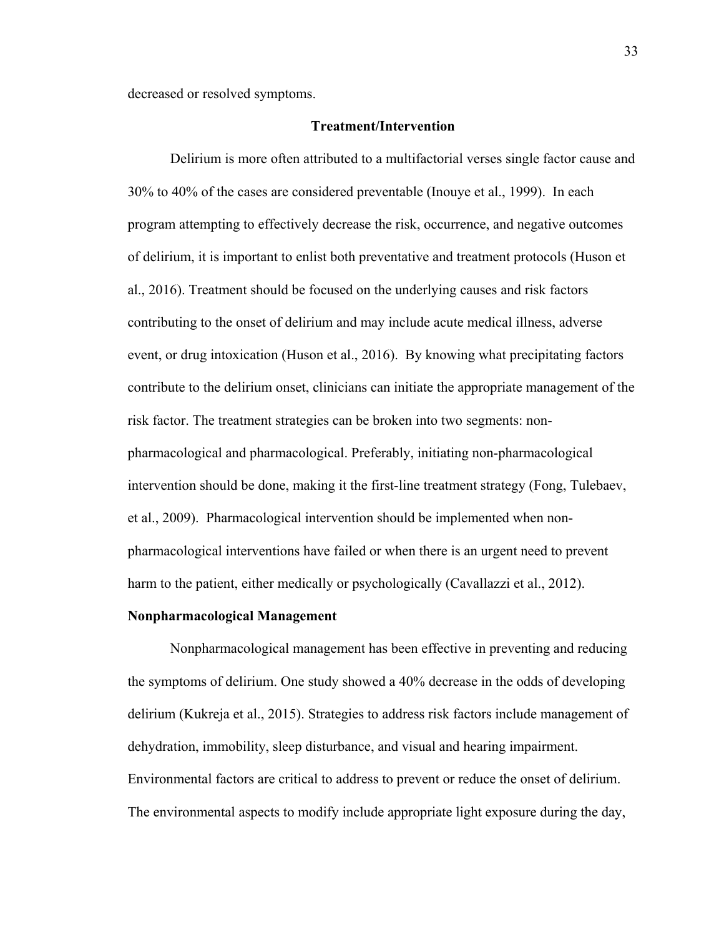decreased or resolved symptoms.

### **Treatment/Intervention**

Delirium is more often attributed to a multifactorial verses single factor cause and 30% to 40% of the cases are considered preventable (Inouye et al., 1999). In each program attempting to effectively decrease the risk, occurrence, and negative outcomes of delirium, it is important to enlist both preventative and treatment protocols (Huson et al., 2016). Treatment should be focused on the underlying causes and risk factors contributing to the onset of delirium and may include acute medical illness, adverse event, or drug intoxication (Huson et al., 2016). By knowing what precipitating factors contribute to the delirium onset, clinicians can initiate the appropriate management of the risk factor. The treatment strategies can be broken into two segments: nonpharmacological and pharmacological. Preferably, initiating non-pharmacological intervention should be done, making it the first-line treatment strategy (Fong, Tulebaev, et al., 2009). Pharmacological intervention should be implemented when nonpharmacological interventions have failed or when there is an urgent need to prevent harm to the patient, either medically or psychologically (Cavallazzi et al., 2012).

## **Nonpharmacological Management**

Nonpharmacological management has been effective in preventing and reducing the symptoms of delirium. One study showed a 40% decrease in the odds of developing delirium (Kukreja et al., 2015). Strategies to address risk factors include management of dehydration, immobility, sleep disturbance, and visual and hearing impairment. Environmental factors are critical to address to prevent or reduce the onset of delirium. The environmental aspects to modify include appropriate light exposure during the day,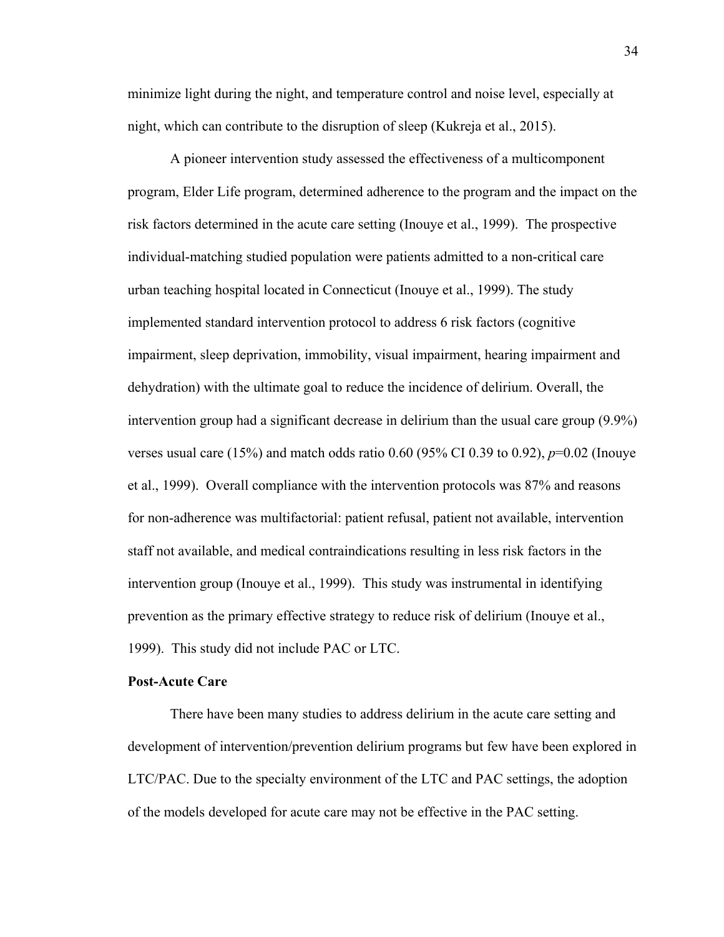minimize light during the night, and temperature control and noise level, especially at night, which can contribute to the disruption of sleep (Kukreja et al., 2015).

A pioneer intervention study assessed the effectiveness of a multicomponent program, Elder Life program, determined adherence to the program and the impact on the risk factors determined in the acute care setting (Inouye et al., 1999). The prospective individual-matching studied population were patients admitted to a non-critical care urban teaching hospital located in Connecticut (Inouye et al., 1999). The study implemented standard intervention protocol to address 6 risk factors (cognitive impairment, sleep deprivation, immobility, visual impairment, hearing impairment and dehydration) with the ultimate goal to reduce the incidence of delirium. Overall, the intervention group had a significant decrease in delirium than the usual care group (9.9%) verses usual care (15%) and match odds ratio 0.60 (95% CI 0.39 to 0.92), *p*=0.02 (Inouye et al., 1999). Overall compliance with the intervention protocols was 87% and reasons for non-adherence was multifactorial: patient refusal, patient not available, intervention staff not available, and medical contraindications resulting in less risk factors in the intervention group (Inouye et al., 1999). This study was instrumental in identifying prevention as the primary effective strategy to reduce risk of delirium (Inouye et al., 1999). This study did not include PAC or LTC.

#### **Post-Acute Care**

There have been many studies to address delirium in the acute care setting and development of intervention/prevention delirium programs but few have been explored in LTC/PAC. Due to the specialty environment of the LTC and PAC settings, the adoption of the models developed for acute care may not be effective in the PAC setting.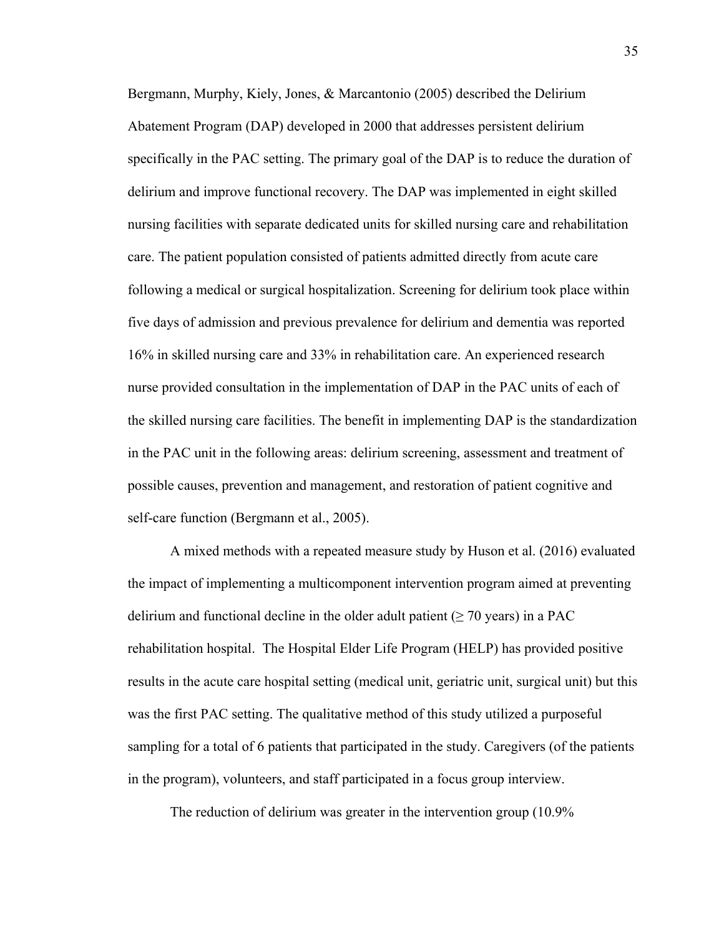Bergmann, Murphy, Kiely, Jones, & Marcantonio (2005) described the Delirium Abatement Program (DAP) developed in 2000 that addresses persistent delirium specifically in the PAC setting. The primary goal of the DAP is to reduce the duration of delirium and improve functional recovery. The DAP was implemented in eight skilled nursing facilities with separate dedicated units for skilled nursing care and rehabilitation care. The patient population consisted of patients admitted directly from acute care following a medical or surgical hospitalization. Screening for delirium took place within five days of admission and previous prevalence for delirium and dementia was reported 16% in skilled nursing care and 33% in rehabilitation care. An experienced research nurse provided consultation in the implementation of DAP in the PAC units of each of the skilled nursing care facilities. The benefit in implementing DAP is the standardization in the PAC unit in the following areas: delirium screening, assessment and treatment of possible causes, prevention and management, and restoration of patient cognitive and self-care function (Bergmann et al., 2005).

A mixed methods with a repeated measure study by Huson et al. (2016) evaluated the impact of implementing a multicomponent intervention program aimed at preventing delirium and functional decline in the older adult patient ( $\geq$  70 years) in a PAC rehabilitation hospital. The Hospital Elder Life Program (HELP) has provided positive results in the acute care hospital setting (medical unit, geriatric unit, surgical unit) but this was the first PAC setting. The qualitative method of this study utilized a purposeful sampling for a total of 6 patients that participated in the study. Caregivers (of the patients in the program), volunteers, and staff participated in a focus group interview.

The reduction of delirium was greater in the intervention group (10.9%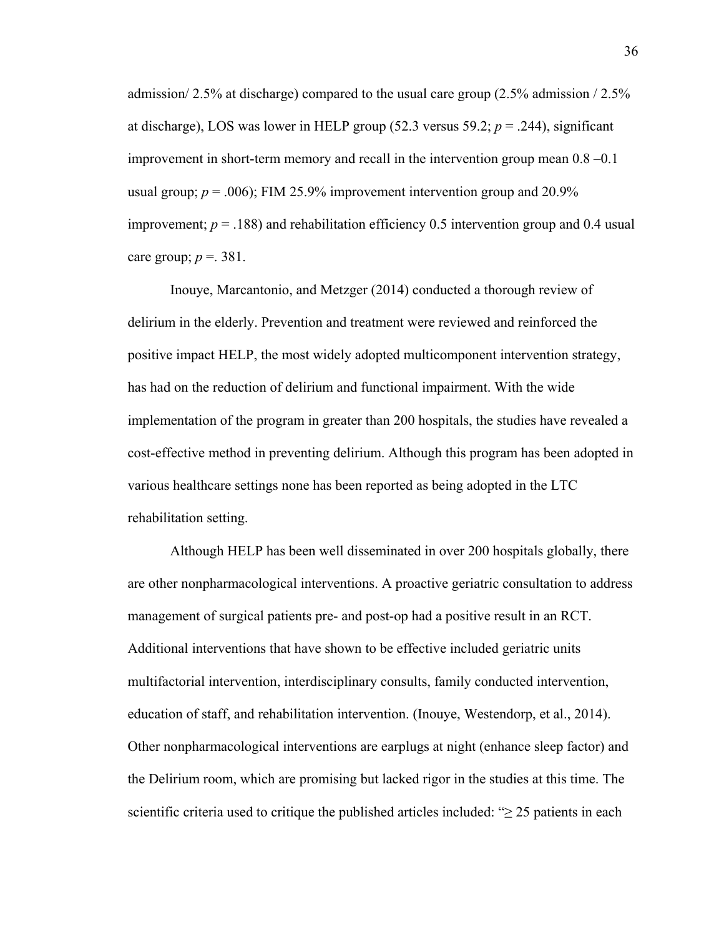admission/2.5% at discharge) compared to the usual care group  $(2.5\%$  admission /2.5% at discharge), LOS was lower in HELP group  $(52.3 \text{ versus } 59.2; p = .244)$ , significant improvement in short-term memory and recall in the intervention group mean  $0.8 - 0.1$ usual group;  $p = .006$ ); FIM 25.9% improvement intervention group and 20.9% improvement;  $p = .188$ ) and rehabilitation efficiency 0.5 intervention group and 0.4 usual care group;  $p = 0.381$ .

Inouye, Marcantonio, and Metzger (2014) conducted a thorough review of delirium in the elderly. Prevention and treatment were reviewed and reinforced the positive impact HELP, the most widely adopted multicomponent intervention strategy, has had on the reduction of delirium and functional impairment. With the wide implementation of the program in greater than 200 hospitals, the studies have revealed a cost-effective method in preventing delirium. Although this program has been adopted in various healthcare settings none has been reported as being adopted in the LTC rehabilitation setting.

Although HELP has been well disseminated in over 200 hospitals globally, there are other nonpharmacological interventions. A proactive geriatric consultation to address management of surgical patients pre- and post-op had a positive result in an RCT. Additional interventions that have shown to be effective included geriatric units multifactorial intervention, interdisciplinary consults, family conducted intervention, education of staff, and rehabilitation intervention. (Inouye, Westendorp, et al., 2014). Other nonpharmacological interventions are earplugs at night (enhance sleep factor) and the Delirium room, which are promising but lacked rigor in the studies at this time. The scientific criteria used to critique the published articles included: " $\geq$  25 patients in each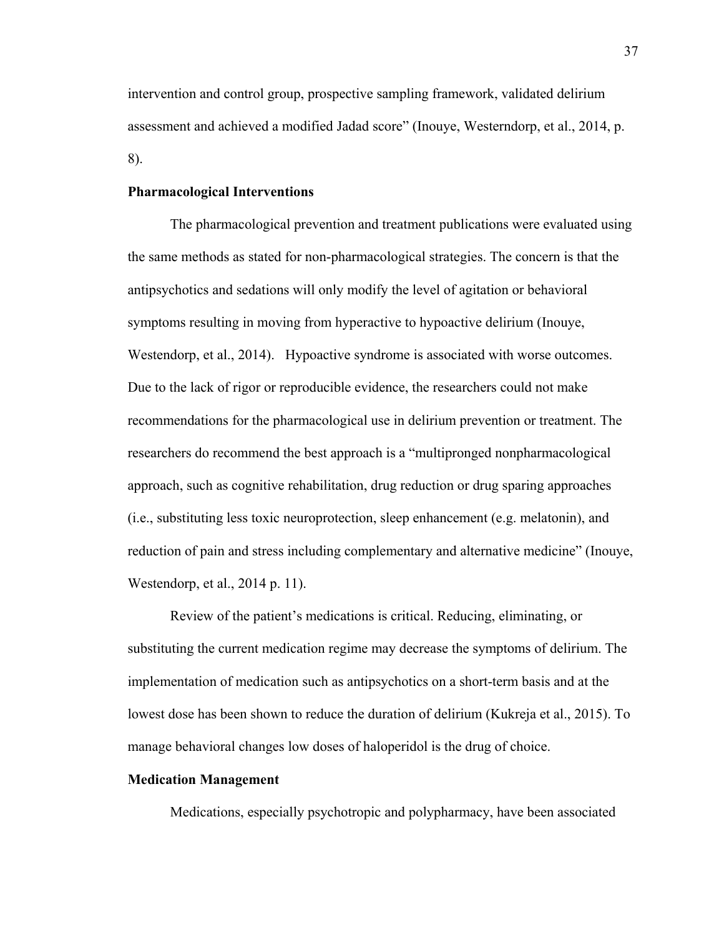intervention and control group, prospective sampling framework, validated delirium assessment and achieved a modified Jadad score" (Inouye, Westerndorp, et al., 2014, p. 8).

## **Pharmacological Interventions**

The pharmacological prevention and treatment publications were evaluated using the same methods as stated for non-pharmacological strategies. The concern is that the antipsychotics and sedations will only modify the level of agitation or behavioral symptoms resulting in moving from hyperactive to hypoactive delirium (Inouye, Westendorp, et al., 2014). Hypoactive syndrome is associated with worse outcomes. Due to the lack of rigor or reproducible evidence, the researchers could not make recommendations for the pharmacological use in delirium prevention or treatment. The researchers do recommend the best approach is a "multipronged nonpharmacological approach, such as cognitive rehabilitation, drug reduction or drug sparing approaches (i.e., substituting less toxic neuroprotection, sleep enhancement (e.g. melatonin), and reduction of pain and stress including complementary and alternative medicine" (Inouye, Westendorp, et al., 2014 p. 11).

 Review of the patient's medications is critical. Reducing, eliminating, or substituting the current medication regime may decrease the symptoms of delirium. The implementation of medication such as antipsychotics on a short-term basis and at the lowest dose has been shown to reduce the duration of delirium (Kukreja et al., 2015). To manage behavioral changes low doses of haloperidol is the drug of choice.

## **Medication Management**

Medications, especially psychotropic and polypharmacy, have been associated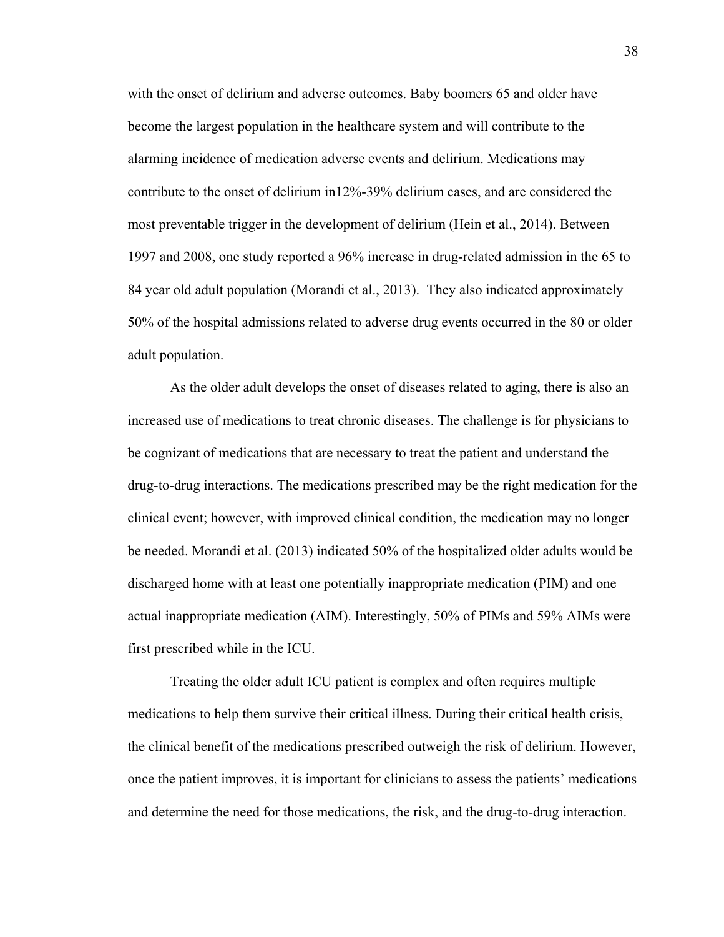with the onset of delirium and adverse outcomes. Baby boomers 65 and older have become the largest population in the healthcare system and will contribute to the alarming incidence of medication adverse events and delirium. Medications may contribute to the onset of delirium in12%-39% delirium cases, and are considered the most preventable trigger in the development of delirium (Hein et al., 2014). Between 1997 and 2008, one study reported a 96% increase in drug-related admission in the 65 to 84 year old adult population (Morandi et al., 2013). They also indicated approximately 50% of the hospital admissions related to adverse drug events occurred in the 80 or older adult population.

As the older adult develops the onset of diseases related to aging, there is also an increased use of medications to treat chronic diseases. The challenge is for physicians to be cognizant of medications that are necessary to treat the patient and understand the drug-to-drug interactions. The medications prescribed may be the right medication for the clinical event; however, with improved clinical condition, the medication may no longer be needed. Morandi et al. (2013) indicated 50% of the hospitalized older adults would be discharged home with at least one potentially inappropriate medication (PIM) and one actual inappropriate medication (AIM). Interestingly, 50% of PIMs and 59% AIMs were first prescribed while in the ICU.

Treating the older adult ICU patient is complex and often requires multiple medications to help them survive their critical illness. During their critical health crisis, the clinical benefit of the medications prescribed outweigh the risk of delirium. However, once the patient improves, it is important for clinicians to assess the patients' medications and determine the need for those medications, the risk, and the drug-to-drug interaction.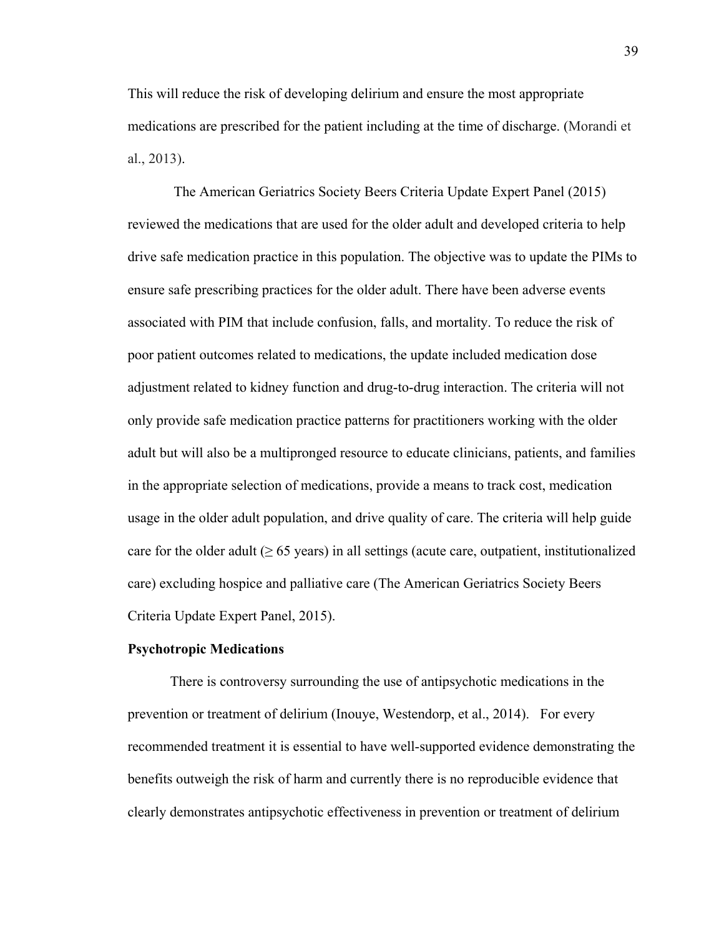This will reduce the risk of developing delirium and ensure the most appropriate medications are prescribed for the patient including at the time of discharge. (Morandi et al., 2013).

 The American Geriatrics Society Beers Criteria Update Expert Panel (2015) reviewed the medications that are used for the older adult and developed criteria to help drive safe medication practice in this population. The objective was to update the PIMs to ensure safe prescribing practices for the older adult. There have been adverse events associated with PIM that include confusion, falls, and mortality. To reduce the risk of poor patient outcomes related to medications, the update included medication dose adjustment related to kidney function and drug-to-drug interaction. The criteria will not only provide safe medication practice patterns for practitioners working with the older adult but will also be a multipronged resource to educate clinicians, patients, and families in the appropriate selection of medications, provide a means to track cost, medication usage in the older adult population, and drive quality of care. The criteria will help guide care for the older adult  $(≥ 65 \text{ years})$  in all settings (acute care, outpatient, institutionalized care) excluding hospice and palliative care (The American Geriatrics Society Beers Criteria Update Expert Panel, 2015).

#### **Psychotropic Medications**

There is controversy surrounding the use of antipsychotic medications in the prevention or treatment of delirium (Inouye, Westendorp, et al., 2014). For every recommended treatment it is essential to have well-supported evidence demonstrating the benefits outweigh the risk of harm and currently there is no reproducible evidence that clearly demonstrates antipsychotic effectiveness in prevention or treatment of delirium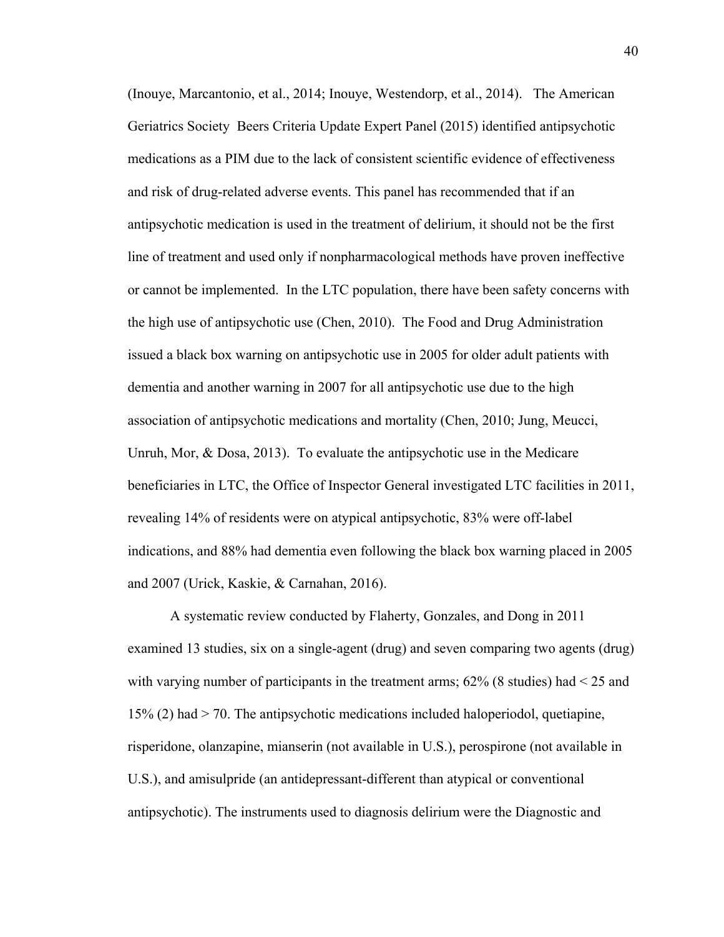(Inouye, Marcantonio, et al., 2014; Inouye, Westendorp, et al., 2014). The American Geriatrics Society Beers Criteria Update Expert Panel (2015) identified antipsychotic medications as a PIM due to the lack of consistent scientific evidence of effectiveness and risk of drug-related adverse events. This panel has recommended that if an antipsychotic medication is used in the treatment of delirium, it should not be the first line of treatment and used only if nonpharmacological methods have proven ineffective or cannot be implemented. In the LTC population, there have been safety concerns with the high use of antipsychotic use (Chen, 2010). The Food and Drug Administration issued a black box warning on antipsychotic use in 2005 for older adult patients with dementia and another warning in 2007 for all antipsychotic use due to the high association of antipsychotic medications and mortality (Chen, 2010; Jung, Meucci, Unruh, Mor, & Dosa, 2013). To evaluate the antipsychotic use in the Medicare beneficiaries in LTC, the Office of Inspector General investigated LTC facilities in 2011, revealing 14% of residents were on atypical antipsychotic, 83% were off-label indications, and 88% had dementia even following the black box warning placed in 2005 and 2007 (Urick, Kaskie, & Carnahan, 2016).

A systematic review conducted by Flaherty, Gonzales, and Dong in 2011 examined 13 studies, six on a single-agent (drug) and seven comparing two agents (drug) with varying number of participants in the treatment arms;  $62\%$  (8 studies) had  $\leq 25$  and 15% (2) had > 70. The antipsychotic medications included haloperiodol, quetiapine, risperidone, olanzapine, mianserin (not available in U.S.), perospirone (not available in U.S.), and amisulpride (an antidepressant-different than atypical or conventional antipsychotic). The instruments used to diagnosis delirium were the Diagnostic and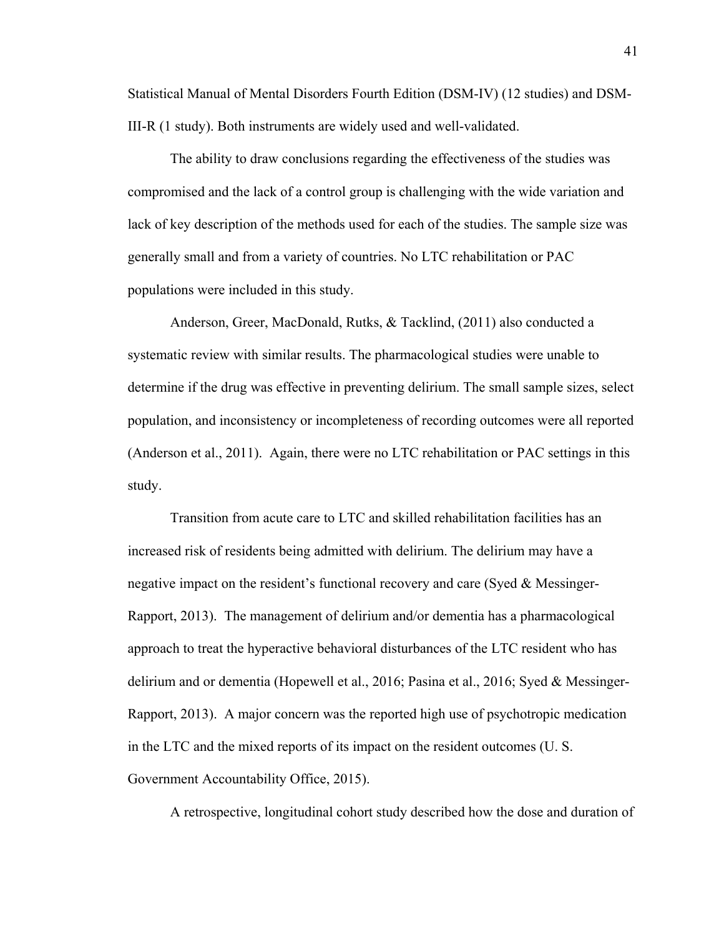Statistical Manual of Mental Disorders Fourth Edition (DSM-IV) (12 studies) and DSM-III-R (1 study). Both instruments are widely used and well-validated.

The ability to draw conclusions regarding the effectiveness of the studies was compromised and the lack of a control group is challenging with the wide variation and lack of key description of the methods used for each of the studies. The sample size was generally small and from a variety of countries. No LTC rehabilitation or PAC populations were included in this study.

Anderson, Greer, MacDonald, Rutks, & Tacklind, (2011) also conducted a systematic review with similar results. The pharmacological studies were unable to determine if the drug was effective in preventing delirium. The small sample sizes, select population, and inconsistency or incompleteness of recording outcomes were all reported (Anderson et al., 2011). Again, there were no LTC rehabilitation or PAC settings in this study.

Transition from acute care to LTC and skilled rehabilitation facilities has an increased risk of residents being admitted with delirium. The delirium may have a negative impact on the resident's functional recovery and care (Syed  $\&$  Messinger-Rapport, 2013). The management of delirium and/or dementia has a pharmacological approach to treat the hyperactive behavioral disturbances of the LTC resident who has delirium and or dementia (Hopewell et al., 2016; Pasina et al., 2016; Syed & Messinger-Rapport, 2013). A major concern was the reported high use of psychotropic medication in the LTC and the mixed reports of its impact on the resident outcomes (U. S. Government Accountability Office, 2015).

A retrospective, longitudinal cohort study described how the dose and duration of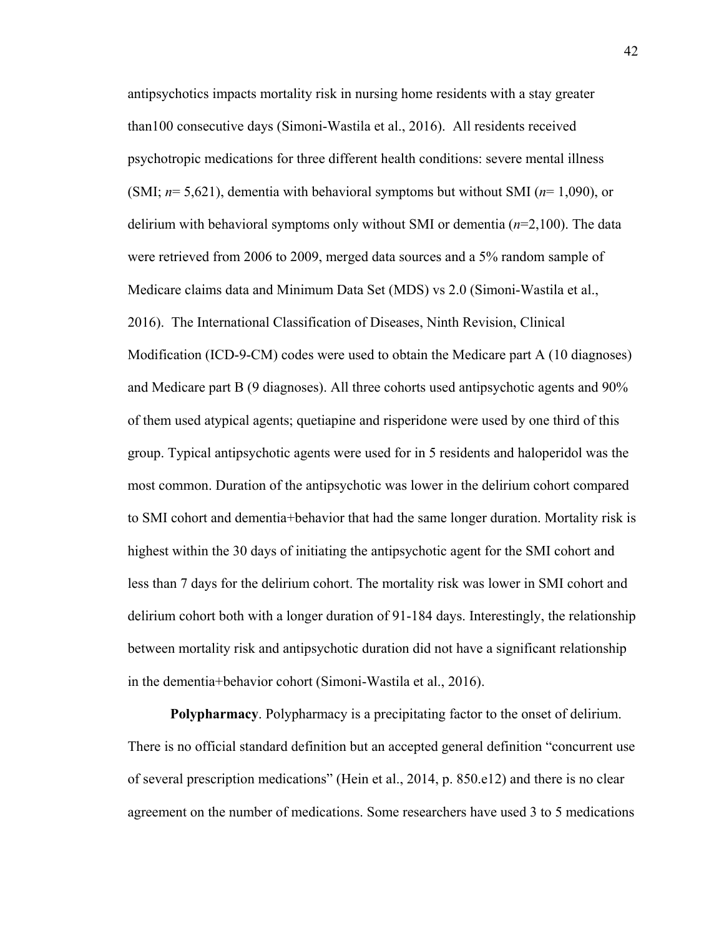antipsychotics impacts mortality risk in nursing home residents with a stay greater than100 consecutive days (Simoni-Wastila et al., 2016). All residents received psychotropic medications for three different health conditions: severe mental illness (SMI; *n*= 5,621), dementia with behavioral symptoms but without SMI (*n*= 1,090), or delirium with behavioral symptoms only without SMI or dementia (*n*=2,100). The data were retrieved from 2006 to 2009, merged data sources and a 5% random sample of Medicare claims data and Minimum Data Set (MDS) vs 2.0 (Simoni-Wastila et al., 2016). The International Classification of Diseases, Ninth Revision, Clinical Modification (ICD-9-CM) codes were used to obtain the Medicare part A (10 diagnoses) and Medicare part B (9 diagnoses). All three cohorts used antipsychotic agents and 90% of them used atypical agents; quetiapine and risperidone were used by one third of this group. Typical antipsychotic agents were used for in 5 residents and haloperidol was the most common. Duration of the antipsychotic was lower in the delirium cohort compared to SMI cohort and dementia+behavior that had the same longer duration. Mortality risk is highest within the 30 days of initiating the antipsychotic agent for the SMI cohort and less than 7 days for the delirium cohort. The mortality risk was lower in SMI cohort and delirium cohort both with a longer duration of 91-184 days. Interestingly, the relationship between mortality risk and antipsychotic duration did not have a significant relationship in the dementia+behavior cohort (Simoni-Wastila et al., 2016).

**Polypharmacy**. Polypharmacy is a precipitating factor to the onset of delirium. There is no official standard definition but an accepted general definition "concurrent use of several prescription medications" (Hein et al., 2014, p. 850.e12) and there is no clear agreement on the number of medications. Some researchers have used 3 to 5 medications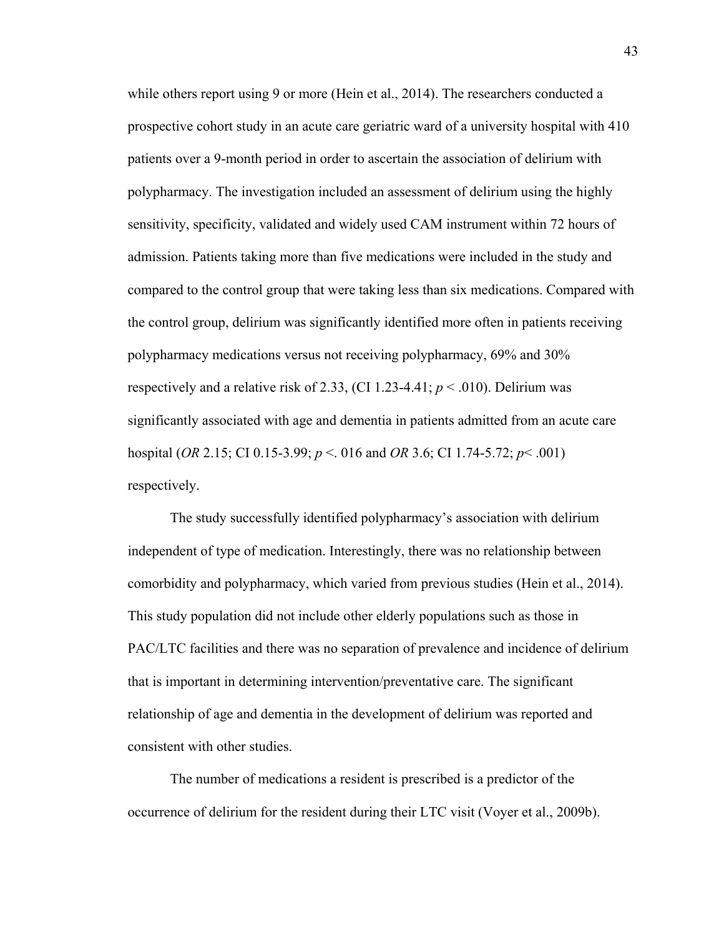while others report using 9 or more (Hein et al., 2014). The researchers conducted a prospective cohort study in an acute care geriatric ward of a university hospital with 410 patients over a 9-month period in order to ascertain the association of delirium with polypharmacy. The investigation included an assessment of delirium using the highly sensitivity, specificity, validated and widely used CAM instrument within 72 hours of admission. Patients taking more than five medications were included in the study and compared to the control group that were taking less than six medications. Compared with the control group, delirium was significantly identified more often in patients receiving polypharmacy medications versus not receiving polypharmacy, 69% and 30% respectively and a relative risk of 2.33, (CI 1.23-4.41;  $p < .010$ ). Delirium was significantly associated with age and dementia in patients admitted from an acute care hospital (*OR* 2.15; CI 0.15-3.99; *p* <. 016 and *OR* 3.6; CI 1.74-5.72; *p*< .001) respectively.

The study successfully identified polypharmacy's association with delirium independent of type of medication. Interestingly, there was no relationship between comorbidity and polypharmacy, which varied from previous studies (Hein et al., 2014). This study population did not include other elderly populations such as those in PAC/LTC facilities and there was no separation of prevalence and incidence of delirium that is important in determining intervention/preventative care. The significant relationship of age and dementia in the development of delirium was reported and consistent with other studies.

The number of medications a resident is prescribed is a predictor of the occurrence of delirium for the resident during their LTC visit (Voyer et al., 2009b).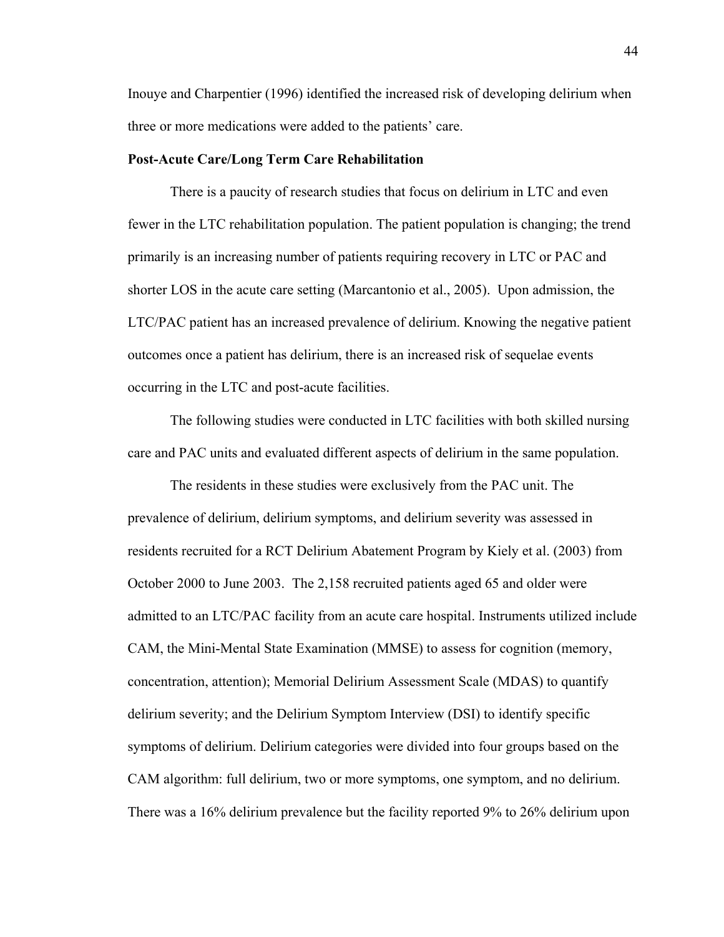Inouye and Charpentier (1996) identified the increased risk of developing delirium when three or more medications were added to the patients' care.

### **Post-Acute Care/Long Term Care Rehabilitation**

There is a paucity of research studies that focus on delirium in LTC and even fewer in the LTC rehabilitation population. The patient population is changing; the trend primarily is an increasing number of patients requiring recovery in LTC or PAC and shorter LOS in the acute care setting (Marcantonio et al., 2005). Upon admission, the LTC/PAC patient has an increased prevalence of delirium. Knowing the negative patient outcomes once a patient has delirium, there is an increased risk of sequelae events occurring in the LTC and post-acute facilities.

 The following studies were conducted in LTC facilities with both skilled nursing care and PAC units and evaluated different aspects of delirium in the same population.

The residents in these studies were exclusively from the PAC unit. The prevalence of delirium, delirium symptoms, and delirium severity was assessed in residents recruited for a RCT Delirium Abatement Program by Kiely et al. (2003) from October 2000 to June 2003. The 2,158 recruited patients aged 65 and older were admitted to an LTC/PAC facility from an acute care hospital. Instruments utilized include CAM, the Mini-Mental State Examination (MMSE) to assess for cognition (memory, concentration, attention); Memorial Delirium Assessment Scale (MDAS) to quantify delirium severity; and the Delirium Symptom Interview (DSI) to identify specific symptoms of delirium. Delirium categories were divided into four groups based on the CAM algorithm: full delirium, two or more symptoms, one symptom, and no delirium. There was a 16% delirium prevalence but the facility reported 9% to 26% delirium upon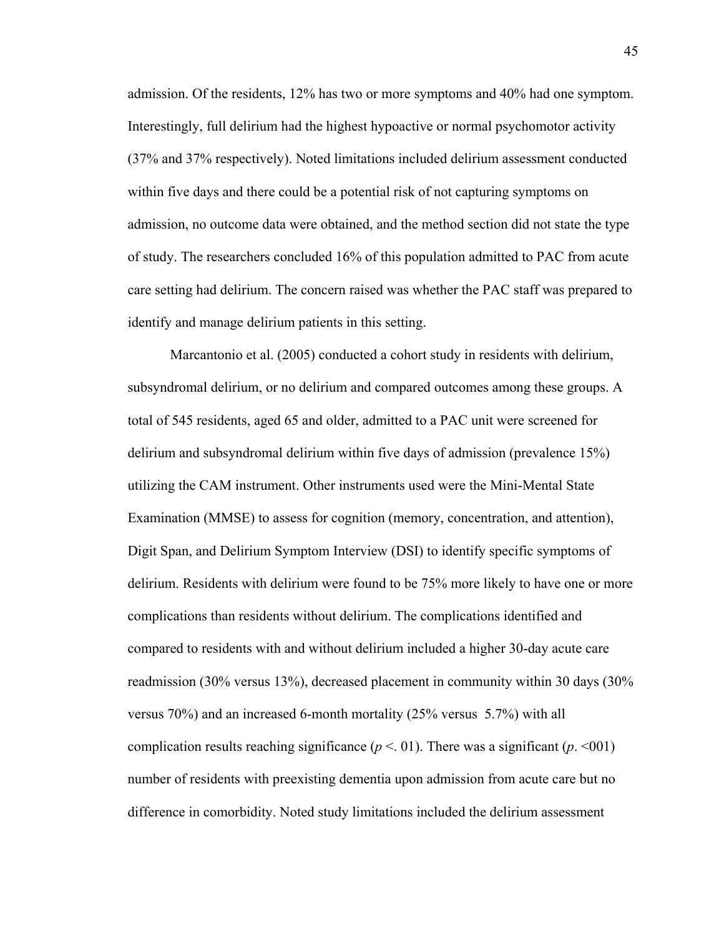admission. Of the residents, 12% has two or more symptoms and 40% had one symptom. Interestingly, full delirium had the highest hypoactive or normal psychomotor activity (37% and 37% respectively). Noted limitations included delirium assessment conducted within five days and there could be a potential risk of not capturing symptoms on admission, no outcome data were obtained, and the method section did not state the type of study. The researchers concluded 16% of this population admitted to PAC from acute care setting had delirium. The concern raised was whether the PAC staff was prepared to identify and manage delirium patients in this setting.

Marcantonio et al. (2005) conducted a cohort study in residents with delirium, subsyndromal delirium, or no delirium and compared outcomes among these groups. A total of 545 residents, aged 65 and older, admitted to a PAC unit were screened for delirium and subsyndromal delirium within five days of admission (prevalence 15%) utilizing the CAM instrument. Other instruments used were the Mini-Mental State Examination (MMSE) to assess for cognition (memory, concentration, and attention), Digit Span, and Delirium Symptom Interview (DSI) to identify specific symptoms of delirium. Residents with delirium were found to be 75% more likely to have one or more complications than residents without delirium. The complications identified and compared to residents with and without delirium included a higher 30-day acute care readmission (30% versus 13%), decreased placement in community within 30 days (30% versus 70%) and an increased 6-month mortality (25% versus 5.7%) with all complication results reaching significance ( $p < 0.01$ ). There was a significant ( $p < 0.01$ ) number of residents with preexisting dementia upon admission from acute care but no difference in comorbidity. Noted study limitations included the delirium assessment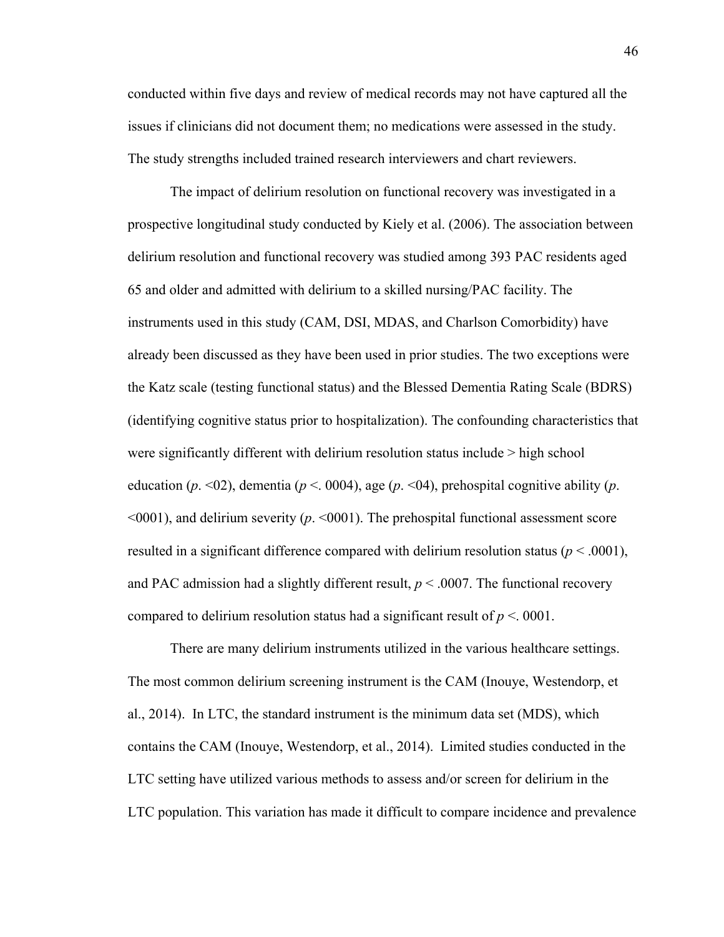conducted within five days and review of medical records may not have captured all the issues if clinicians did not document them; no medications were assessed in the study. The study strengths included trained research interviewers and chart reviewers.

The impact of delirium resolution on functional recovery was investigated in a prospective longitudinal study conducted by Kiely et al. (2006). The association between delirium resolution and functional recovery was studied among 393 PAC residents aged 65 and older and admitted with delirium to a skilled nursing/PAC facility. The instruments used in this study (CAM, DSI, MDAS, and Charlson Comorbidity) have already been discussed as they have been used in prior studies. The two exceptions were the Katz scale (testing functional status) and the Blessed Dementia Rating Scale (BDRS) (identifying cognitive status prior to hospitalization). The confounding characteristics that were significantly different with delirium resolution status include > high school education ( $p \le 02$ ), dementia ( $p \le 0004$ ), age ( $p \le 04$ ), prehospital cognitive ability ( $p$ . <0001), and delirium severity (*p*. <0001). The prehospital functional assessment score resulted in a significant difference compared with delirium resolution status ( $p < .0001$ ), and PAC admission had a slightly different result,  $p < .0007$ . The functional recovery compared to delirium resolution status had a significant result of  $p < 0001$ .

There are many delirium instruments utilized in the various healthcare settings. The most common delirium screening instrument is the CAM (Inouye, Westendorp, et al., 2014). In LTC, the standard instrument is the minimum data set (MDS), which contains the CAM (Inouye, Westendorp, et al., 2014). Limited studies conducted in the LTC setting have utilized various methods to assess and/or screen for delirium in the LTC population. This variation has made it difficult to compare incidence and prevalence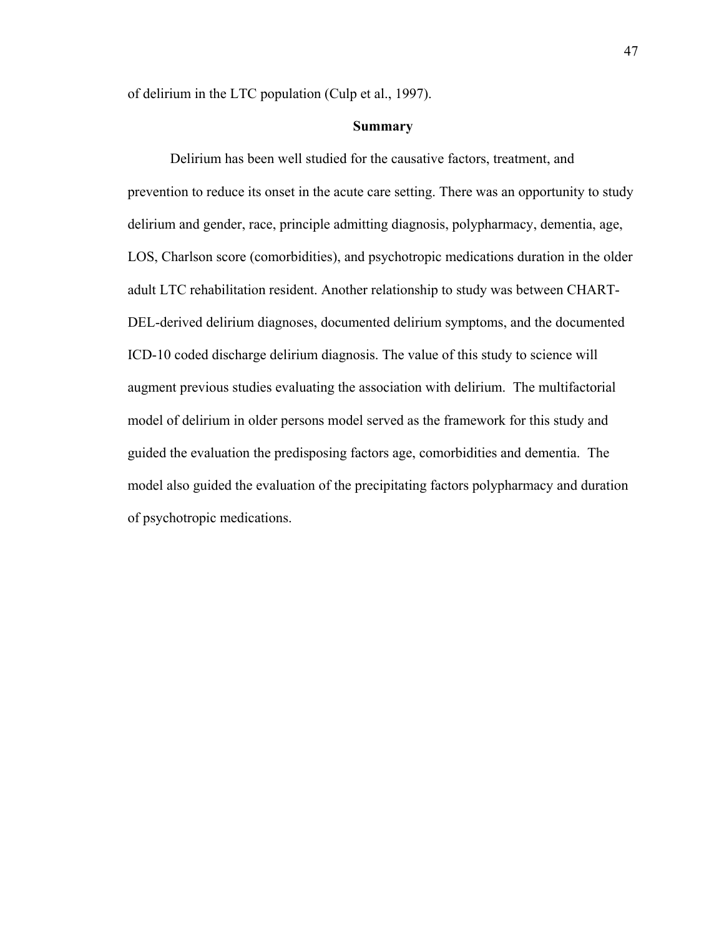of delirium in the LTC population (Culp et al., 1997).

## **Summary**

Delirium has been well studied for the causative factors, treatment, and prevention to reduce its onset in the acute care setting. There was an opportunity to study delirium and gender, race, principle admitting diagnosis, polypharmacy, dementia, age, LOS, Charlson score (comorbidities), and psychotropic medications duration in the older adult LTC rehabilitation resident. Another relationship to study was between CHART-DEL-derived delirium diagnoses, documented delirium symptoms, and the documented ICD-10 coded discharge delirium diagnosis. The value of this study to science will augment previous studies evaluating the association with delirium. The multifactorial model of delirium in older persons model served as the framework for this study and guided the evaluation the predisposing factors age, comorbidities and dementia. The model also guided the evaluation of the precipitating factors polypharmacy and duration of psychotropic medications.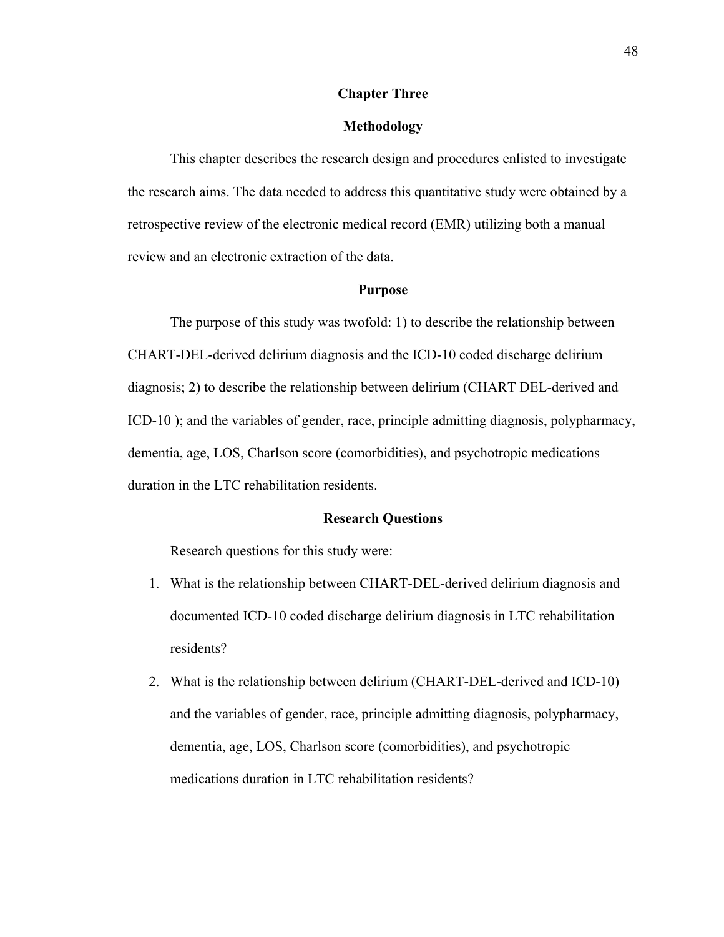## **Chapter Three**

### **Methodology**

This chapter describes the research design and procedures enlisted to investigate the research aims. The data needed to address this quantitative study were obtained by a retrospective review of the electronic medical record (EMR) utilizing both a manual review and an electronic extraction of the data.

#### **Purpose**

The purpose of this study was twofold: 1) to describe the relationship between CHART-DEL-derived delirium diagnosis and the ICD-10 coded discharge delirium diagnosis; 2) to describe the relationship between delirium (CHART DEL-derived and ICD-10 ); and the variables of gender, race, principle admitting diagnosis, polypharmacy, dementia, age, LOS, Charlson score (comorbidities), and psychotropic medications duration in the LTC rehabilitation residents.

#### **Research Questions**

Research questions for this study were:

- 1. What is the relationship between CHART-DEL-derived delirium diagnosis and documented ICD-10 coded discharge delirium diagnosis in LTC rehabilitation residents?
- 2. What is the relationship between delirium (CHART-DEL-derived and ICD-10) and the variables of gender, race, principle admitting diagnosis, polypharmacy, dementia, age, LOS, Charlson score (comorbidities), and psychotropic medications duration in LTC rehabilitation residents?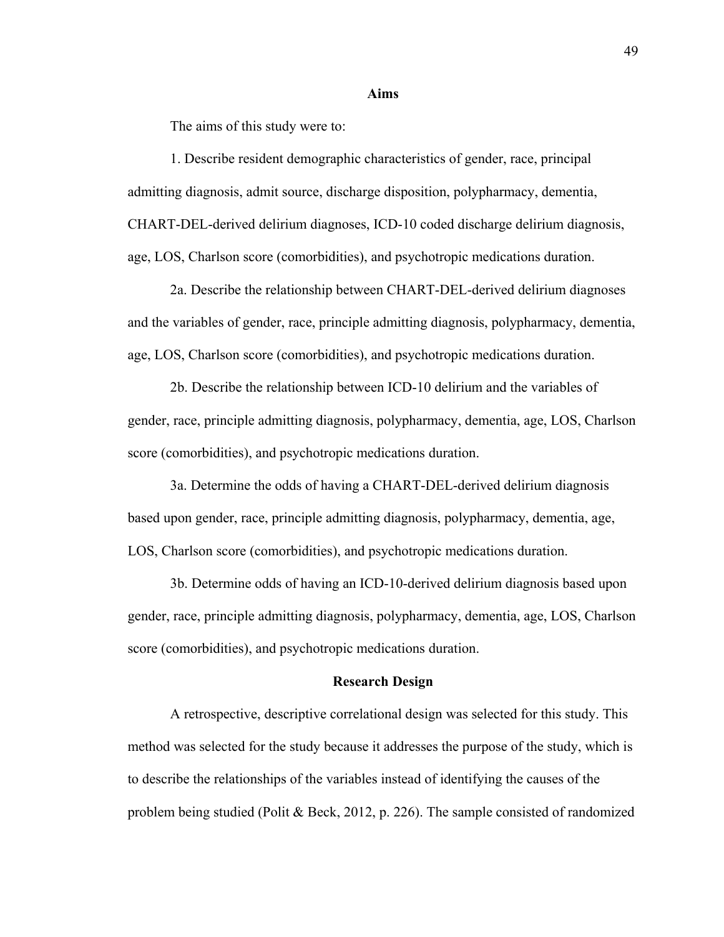#### **Aims**

The aims of this study were to:

1. Describe resident demographic characteristics of gender, race, principal admitting diagnosis, admit source, discharge disposition, polypharmacy, dementia, CHART-DEL-derived delirium diagnoses, ICD-10 coded discharge delirium diagnosis, age, LOS, Charlson score (comorbidities), and psychotropic medications duration.

2a. Describe the relationship between CHART-DEL-derived delirium diagnoses and the variables of gender, race, principle admitting diagnosis, polypharmacy, dementia, age, LOS, Charlson score (comorbidities), and psychotropic medications duration.

2b. Describe the relationship between ICD-10 delirium and the variables of gender, race, principle admitting diagnosis, polypharmacy, dementia, age, LOS, Charlson score (comorbidities), and psychotropic medications duration.

3a. Determine the odds of having a CHART-DEL-derived delirium diagnosis based upon gender, race, principle admitting diagnosis, polypharmacy, dementia, age, LOS, Charlson score (comorbidities), and psychotropic medications duration.

3b. Determine odds of having an ICD-10-derived delirium diagnosis based upon gender, race, principle admitting diagnosis, polypharmacy, dementia, age, LOS, Charlson score (comorbidities), and psychotropic medications duration.

#### **Research Design**

A retrospective, descriptive correlational design was selected for this study. This method was selected for the study because it addresses the purpose of the study, which is to describe the relationships of the variables instead of identifying the causes of the problem being studied (Polit & Beck, 2012, p. 226). The sample consisted of randomized

49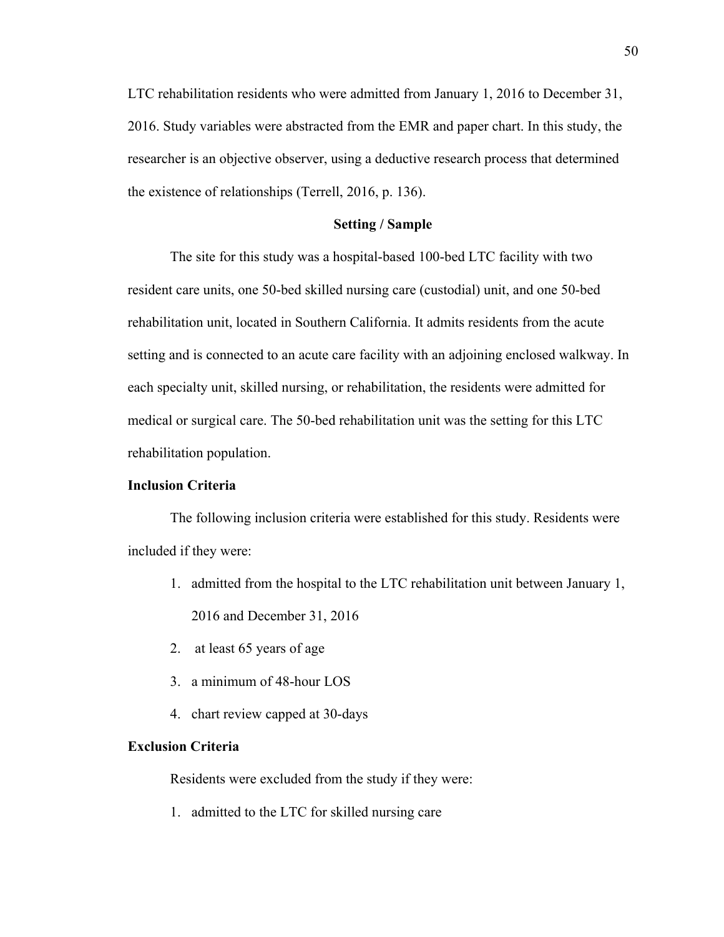LTC rehabilitation residents who were admitted from January 1, 2016 to December 31, 2016. Study variables were abstracted from the EMR and paper chart. In this study, the researcher is an objective observer, using a deductive research process that determined the existence of relationships (Terrell, 2016, p. 136).

## **Setting / Sample**

The site for this study was a hospital-based 100-bed LTC facility with two resident care units, one 50-bed skilled nursing care (custodial) unit, and one 50-bed rehabilitation unit, located in Southern California. It admits residents from the acute setting and is connected to an acute care facility with an adjoining enclosed walkway. In each specialty unit, skilled nursing, or rehabilitation, the residents were admitted for medical or surgical care. The 50-bed rehabilitation unit was the setting for this LTC rehabilitation population.

## **Inclusion Criteria**

The following inclusion criteria were established for this study. Residents were included if they were:

- 1. admitted from the hospital to the LTC rehabilitation unit between January 1, 2016 and December 31, 2016
- 2. at least 65 years of age
- 3. a minimum of 48-hour LOS
- 4. chart review capped at 30-days

#### **Exclusion Criteria**

Residents were excluded from the study if they were:

1. admitted to the LTC for skilled nursing care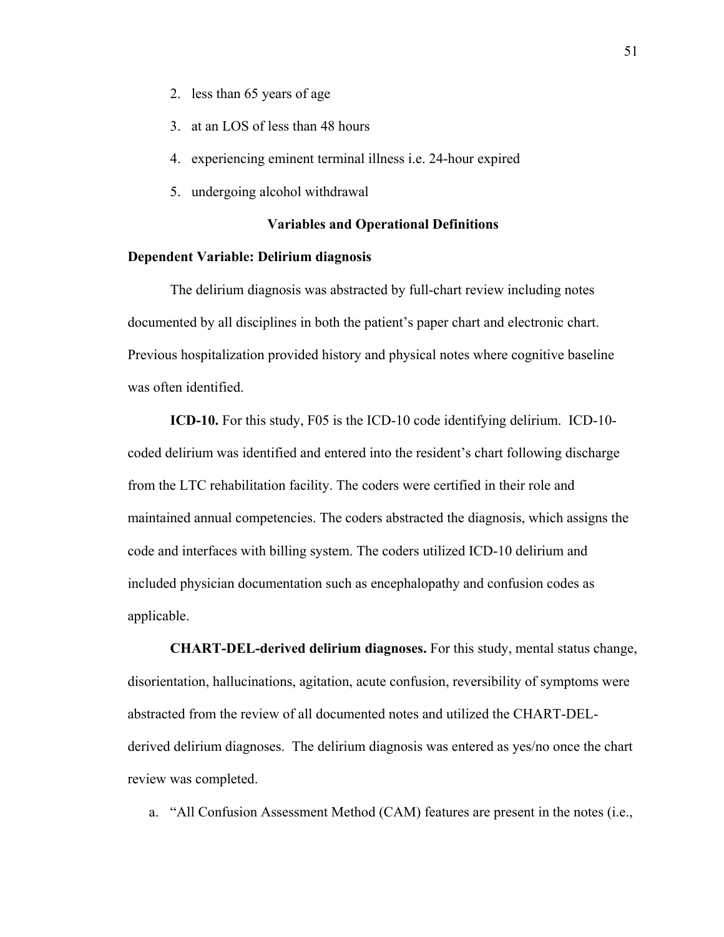- 2. less than 65 years of age
- 3. at an LOS of less than 48 hours
- 4. experiencing eminent terminal illness i.e. 24-hour expired
- 5. undergoing alcohol withdrawal

#### **Variables and Operational Definitions**

### **Dependent Variable: Delirium diagnosis**

The delirium diagnosis was abstracted by full-chart review including notes documented by all disciplines in both the patient's paper chart and electronic chart. Previous hospitalization provided history and physical notes where cognitive baseline was often identified.

**ICD-10.** For this study, F05 is the ICD-10 code identifying delirium. ICD-10 coded delirium was identified and entered into the resident's chart following discharge from the LTC rehabilitation facility. The coders were certified in their role and maintained annual competencies. The coders abstracted the diagnosis, which assigns the code and interfaces with billing system. The coders utilized ICD-10 delirium and included physician documentation such as encephalopathy and confusion codes as applicable.

**CHART-DEL-derived delirium diagnoses.** For this study, mental status change, disorientation, hallucinations, agitation, acute confusion, reversibility of symptoms were abstracted from the review of all documented notes and utilized the CHART-DELderived delirium diagnoses. The delirium diagnosis was entered as yes/no once the chart review was completed.

a. "All Confusion Assessment Method (CAM) features are present in the notes (i.e.,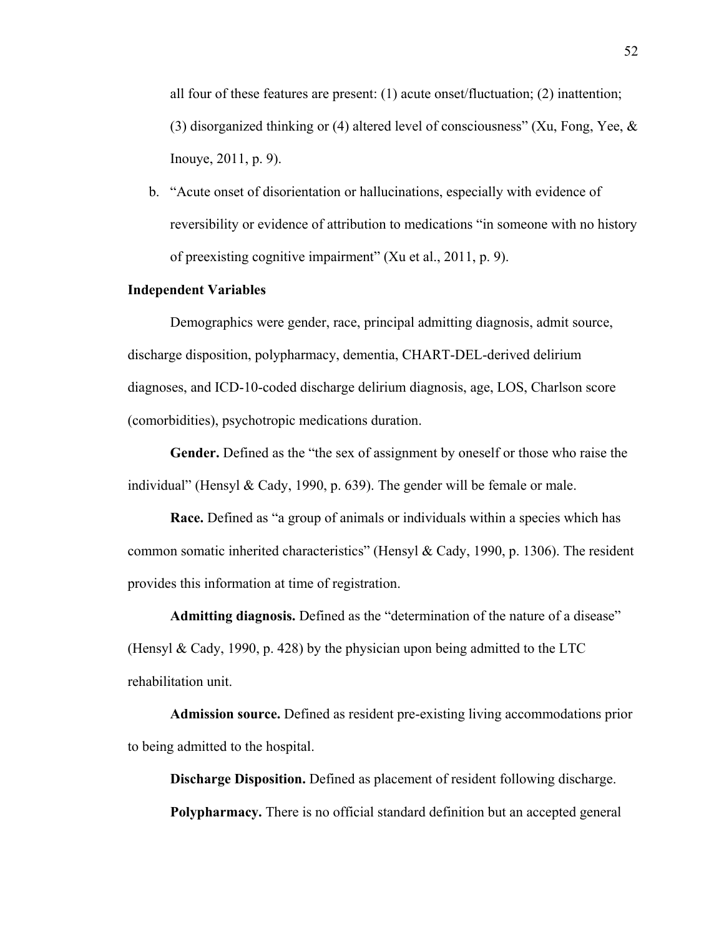all four of these features are present: (1) acute onset/fluctuation; (2) inattention; (3) disorganized thinking or (4) altered level of consciousness" (Xu, Fong, Yee, & Inouye, 2011, p. 9).

b. "Acute onset of disorientation or hallucinations, especially with evidence of reversibility or evidence of attribution to medications "in someone with no history of preexisting cognitive impairment" (Xu et al., 2011, p. 9).

## **Independent Variables**

Demographics were gender, race, principal admitting diagnosis, admit source, discharge disposition, polypharmacy, dementia, CHART-DEL-derived delirium diagnoses, and ICD-10-coded discharge delirium diagnosis, age, LOS, Charlson score (comorbidities), psychotropic medications duration.

**Gender.** Defined as the "the sex of assignment by oneself or those who raise the individual" (Hensyl & Cady, 1990, p. 639). The gender will be female or male.

**Race.** Defined as "a group of animals or individuals within a species which has common somatic inherited characteristics" (Hensyl & Cady, 1990, p. 1306). The resident provides this information at time of registration.

**Admitting diagnosis.** Defined as the "determination of the nature of a disease" (Hensyl & Cady, 1990, p. 428) by the physician upon being admitted to the LTC rehabilitation unit.

**Admission source.** Defined as resident pre-existing living accommodations prior to being admitted to the hospital.

**Discharge Disposition.** Defined as placement of resident following discharge. **Polypharmacy.** There is no official standard definition but an accepted general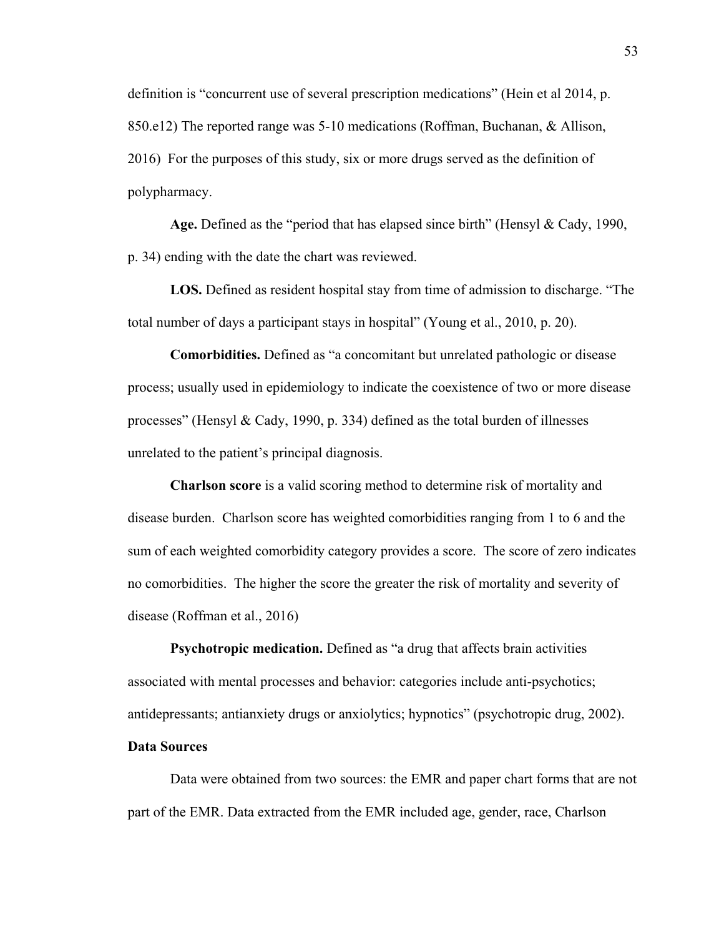definition is "concurrent use of several prescription medications" (Hein et al 2014, p. 850.e12) The reported range was 5-10 medications (Roffman, Buchanan, & Allison, 2016) For the purposes of this study, six or more drugs served as the definition of polypharmacy.

**Age.** Defined as the "period that has elapsed since birth" (Hensyl & Cady, 1990, p. 34) ending with the date the chart was reviewed.

**LOS.** Defined as resident hospital stay from time of admission to discharge. "The total number of days a participant stays in hospital" (Young et al., 2010, p. 20).

**Comorbidities.** Defined as "a concomitant but unrelated pathologic or disease process; usually used in epidemiology to indicate the coexistence of two or more disease processes" (Hensyl & Cady, 1990, p. 334) defined as the total burden of illnesses unrelated to the patient's principal diagnosis.

**Charlson score** is a valid scoring method to determine risk of mortality and disease burden. Charlson score has weighted comorbidities ranging from 1 to 6 and the sum of each weighted comorbidity category provides a score. The score of zero indicates no comorbidities. The higher the score the greater the risk of mortality and severity of disease (Roffman et al., 2016)

**Psychotropic medication.** Defined as "a drug that affects brain activities associated with mental processes and behavior: categories include anti-psychotics; antidepressants; antianxiety drugs or anxiolytics; hypnotics" (psychotropic drug, 2002).

# **Data Sources**

Data were obtained from two sources: the EMR and paper chart forms that are not part of the EMR. Data extracted from the EMR included age, gender, race, Charlson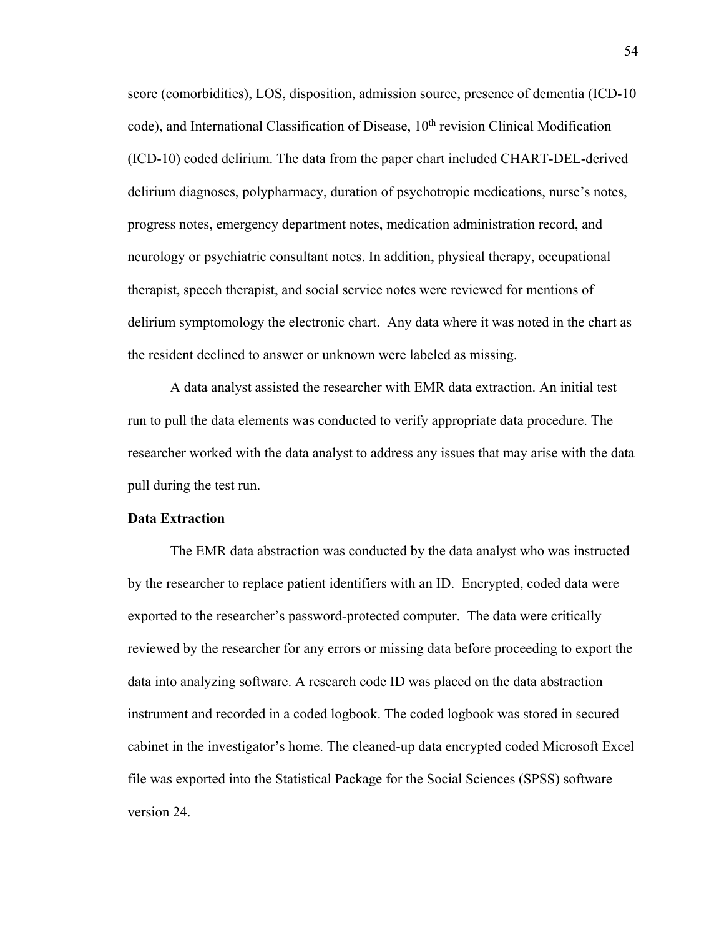score (comorbidities), LOS, disposition, admission source, presence of dementia (ICD-10 code), and International Classification of Disease, 10<sup>th</sup> revision Clinical Modification (ICD-10) coded delirium. The data from the paper chart included CHART-DEL-derived delirium diagnoses, polypharmacy, duration of psychotropic medications, nurse's notes, progress notes, emergency department notes, medication administration record, and neurology or psychiatric consultant notes. In addition, physical therapy, occupational therapist, speech therapist, and social service notes were reviewed for mentions of delirium symptomology the electronic chart. Any data where it was noted in the chart as the resident declined to answer or unknown were labeled as missing.

A data analyst assisted the researcher with EMR data extraction. An initial test run to pull the data elements was conducted to verify appropriate data procedure. The researcher worked with the data analyst to address any issues that may arise with the data pull during the test run.

#### **Data Extraction**

The EMR data abstraction was conducted by the data analyst who was instructed by the researcher to replace patient identifiers with an ID. Encrypted, coded data were exported to the researcher's password-protected computer. The data were critically reviewed by the researcher for any errors or missing data before proceeding to export the data into analyzing software. A research code ID was placed on the data abstraction instrument and recorded in a coded logbook. The coded logbook was stored in secured cabinet in the investigator's home. The cleaned-up data encrypted coded Microsoft Excel file was exported into the Statistical Package for the Social Sciences (SPSS) software version 24.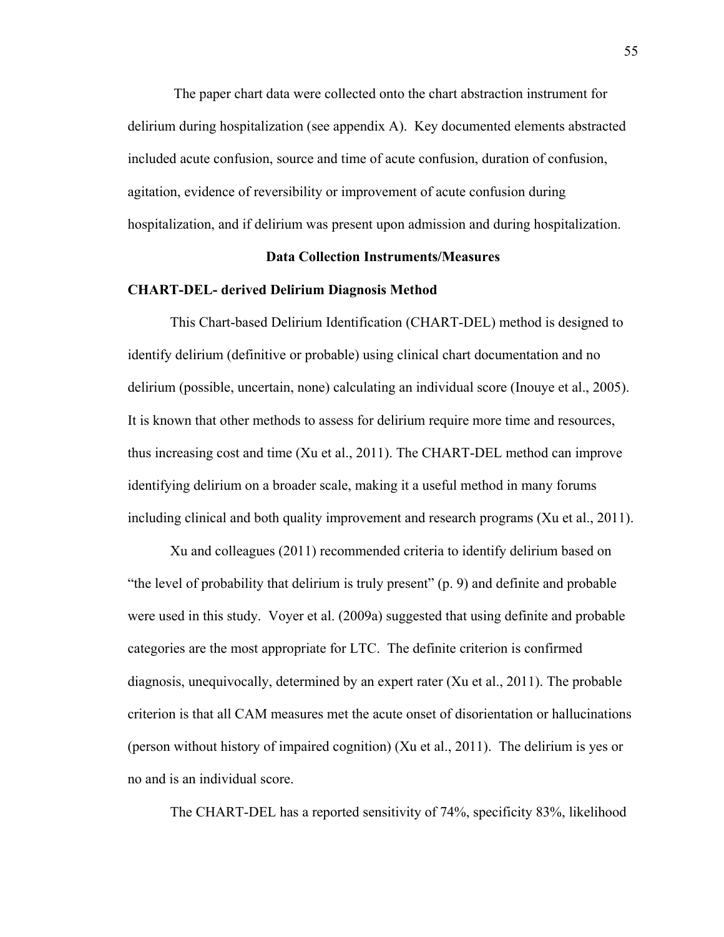The paper chart data were collected onto the chart abstraction instrument for delirium during hospitalization (see appendix A). Key documented elements abstracted included acute confusion, source and time of acute confusion, duration of confusion, agitation, evidence of reversibility or improvement of acute confusion during hospitalization, and if delirium was present upon admission and during hospitalization.

## **Data Collection Instruments/Measures**

### **CHART-DEL- derived Delirium Diagnosis Method**

This Chart-based Delirium Identification (CHART-DEL) method is designed to identify delirium (definitive or probable) using clinical chart documentation and no delirium (possible, uncertain, none) calculating an individual score (Inouye et al., 2005). It is known that other methods to assess for delirium require more time and resources, thus increasing cost and time (Xu et al., 2011). The CHART-DEL method can improve identifying delirium on a broader scale, making it a useful method in many forums including clinical and both quality improvement and research programs (Xu et al., 2011).

Xu and colleagues (2011) recommended criteria to identify delirium based on "the level of probability that delirium is truly present" (p. 9) and definite and probable were used in this study. Voyer et al. (2009a) suggested that using definite and probable categories are the most appropriate for LTC. The definite criterion is confirmed diagnosis, unequivocally, determined by an expert rater (Xu et al., 2011). The probable criterion is that all CAM measures met the acute onset of disorientation or hallucinations (person without history of impaired cognition) (Xu et al., 2011). The delirium is yes or no and is an individual score.

The CHART-DEL has a reported sensitivity of 74%, specificity 83%, likelihood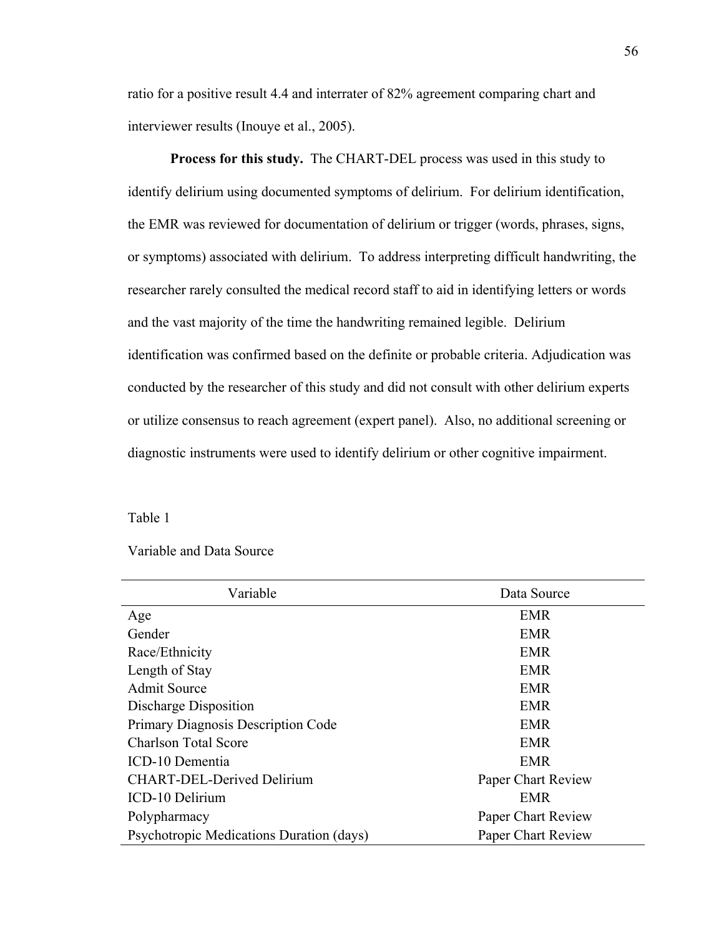ratio for a positive result 4.4 and interrater of 82% agreement comparing chart and interviewer results (Inouye et al., 2005).

**Process for this study.** The CHART-DEL process was used in this study to identify delirium using documented symptoms of delirium. For delirium identification, the EMR was reviewed for documentation of delirium or trigger (words, phrases, signs, or symptoms) associated with delirium. To address interpreting difficult handwriting, the researcher rarely consulted the medical record staff to aid in identifying letters or words and the vast majority of the time the handwriting remained legible. Delirium identification was confirmed based on the definite or probable criteria. Adjudication was conducted by the researcher of this study and did not consult with other delirium experts or utilize consensus to reach agreement (expert panel). Also, no additional screening or diagnostic instruments were used to identify delirium or other cognitive impairment.

Table 1

| Variable and Data Source |  |  |
|--------------------------|--|--|
|--------------------------|--|--|

| Variable                                 | Data Source        |
|------------------------------------------|--------------------|
| Age                                      | <b>EMR</b>         |
| Gender                                   | <b>EMR</b>         |
| Race/Ethnicity                           | <b>EMR</b>         |
| Length of Stay                           | <b>EMR</b>         |
| <b>Admit Source</b>                      | <b>EMR</b>         |
| Discharge Disposition                    | <b>EMR</b>         |
| Primary Diagnosis Description Code       | <b>EMR</b>         |
| <b>Charlson Total Score</b>              | <b>EMR</b>         |
| ICD-10 Dementia                          | <b>EMR</b>         |
| CHART-DEL-Derived Delirium               | Paper Chart Review |
| ICD-10 Delirium                          | <b>EMR</b>         |
| Polypharmacy                             | Paper Chart Review |
| Psychotropic Medications Duration (days) | Paper Chart Review |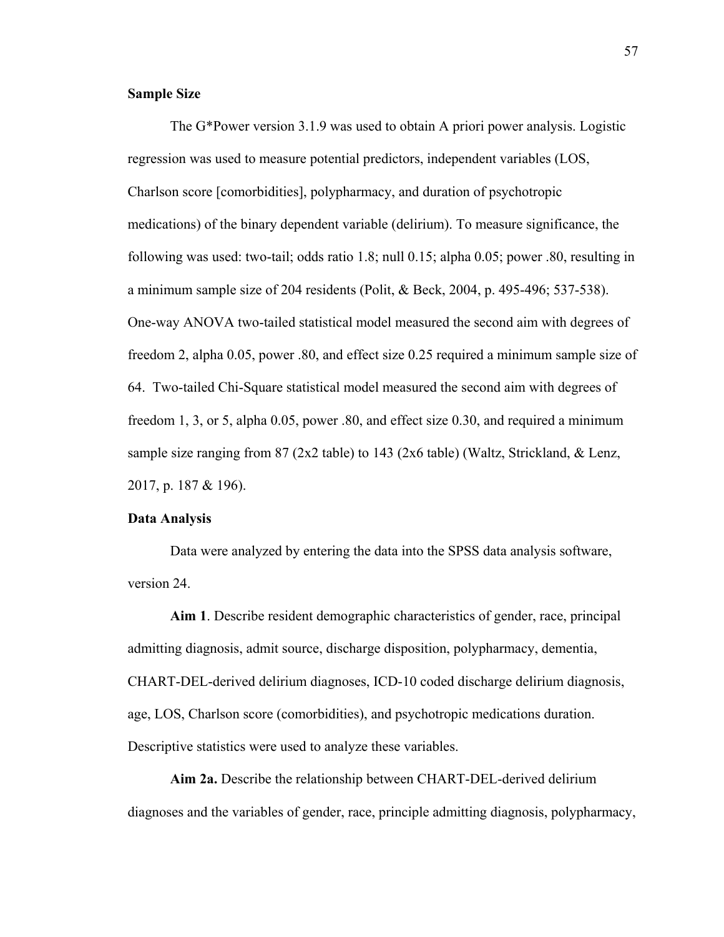## **Sample Size**

The G\*Power version 3.1.9 was used to obtain A priori power analysis. Logistic regression was used to measure potential predictors, independent variables (LOS, Charlson score [comorbidities], polypharmacy, and duration of psychotropic medications) of the binary dependent variable (delirium). To measure significance, the following was used: two-tail; odds ratio 1.8; null 0.15; alpha 0.05; power .80, resulting in a minimum sample size of 204 residents (Polit, & Beck, 2004, p. 495-496; 537-538). One-way ANOVA two-tailed statistical model measured the second aim with degrees of freedom 2, alpha 0.05, power .80, and effect size 0.25 required a minimum sample size of 64. Two-tailed Chi-Square statistical model measured the second aim with degrees of freedom 1, 3, or 5, alpha 0.05, power .80, and effect size 0.30, and required a minimum sample size ranging from 87 (2x2 table) to 143 (2x6 table) (Waltz, Strickland, & Lenz, 2017, p. 187 & 196).

#### **Data Analysis**

Data were analyzed by entering the data into the SPSS data analysis software, version 24.

**Aim 1**. Describe resident demographic characteristics of gender, race, principal admitting diagnosis, admit source, discharge disposition, polypharmacy, dementia, CHART-DEL-derived delirium diagnoses, ICD-10 coded discharge delirium diagnosis, age, LOS, Charlson score (comorbidities), and psychotropic medications duration. Descriptive statistics were used to analyze these variables.

**Aim 2a.** Describe the relationship between CHART-DEL-derived delirium diagnoses and the variables of gender, race, principle admitting diagnosis, polypharmacy,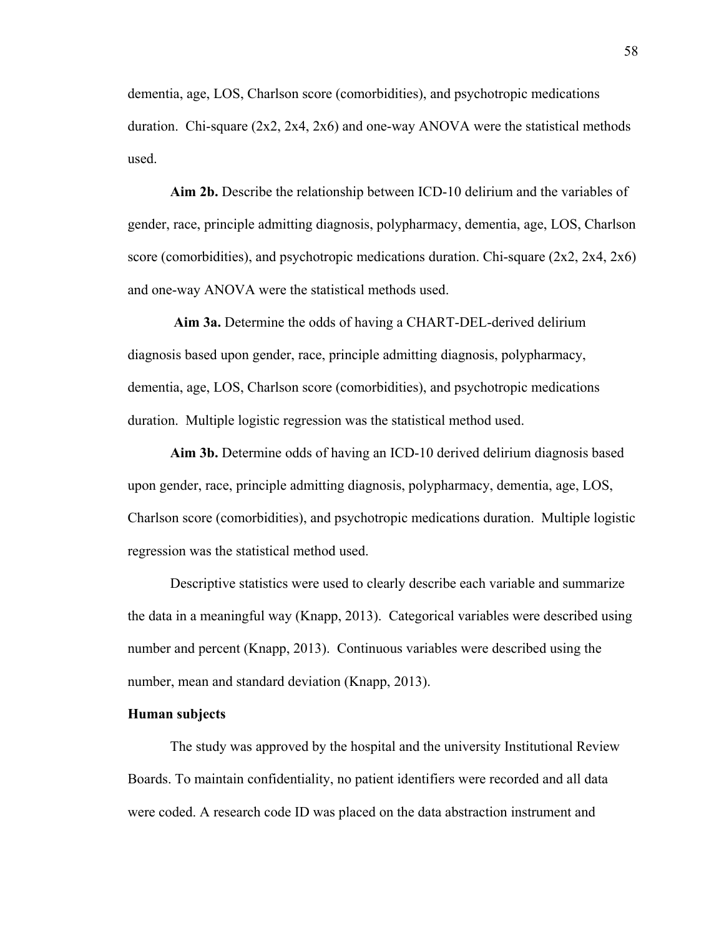dementia, age, LOS, Charlson score (comorbidities), and psychotropic medications duration. Chi-square  $(2x2, 2x4, 2x6)$  and one-way ANOVA were the statistical methods used.

**Aim 2b.** Describe the relationship between ICD-10 delirium and the variables of gender, race, principle admitting diagnosis, polypharmacy, dementia, age, LOS, Charlson score (comorbidities), and psychotropic medications duration. Chi-square (2x2, 2x4, 2x6) and one-way ANOVA were the statistical methods used.

**Aim 3a.** Determine the odds of having a CHART-DEL-derived delirium diagnosis based upon gender, race, principle admitting diagnosis, polypharmacy, dementia, age, LOS, Charlson score (comorbidities), and psychotropic medications duration. Multiple logistic regression was the statistical method used.

**Aim 3b.** Determine odds of having an ICD-10 derived delirium diagnosis based upon gender, race, principle admitting diagnosis, polypharmacy, dementia, age, LOS, Charlson score (comorbidities), and psychotropic medications duration. Multiple logistic regression was the statistical method used.

Descriptive statistics were used to clearly describe each variable and summarize the data in a meaningful way (Knapp, 2013). Categorical variables were described using number and percent (Knapp, 2013). Continuous variables were described using the number, mean and standard deviation (Knapp, 2013).

#### **Human subjects**

The study was approved by the hospital and the university Institutional Review Boards. To maintain confidentiality, no patient identifiers were recorded and all data were coded. A research code ID was placed on the data abstraction instrument and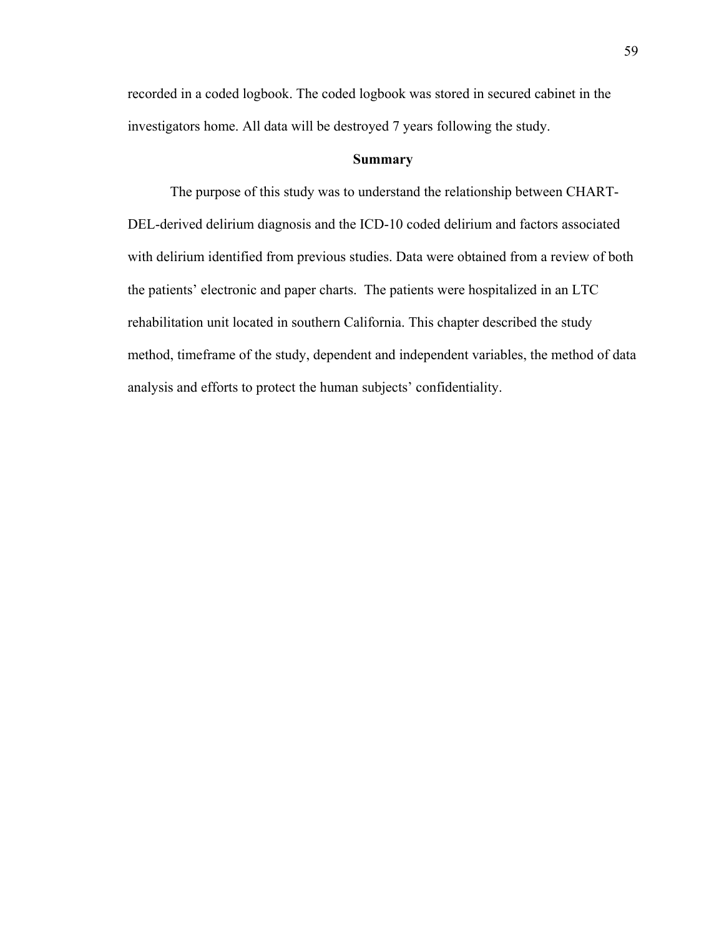recorded in a coded logbook. The coded logbook was stored in secured cabinet in the investigators home. All data will be destroyed 7 years following the study.

#### **Summary**

The purpose of this study was to understand the relationship between CHART-DEL-derived delirium diagnosis and the ICD-10 coded delirium and factors associated with delirium identified from previous studies. Data were obtained from a review of both the patients' electronic and paper charts. The patients were hospitalized in an LTC rehabilitation unit located in southern California. This chapter described the study method, timeframe of the study, dependent and independent variables, the method of data analysis and efforts to protect the human subjects' confidentiality.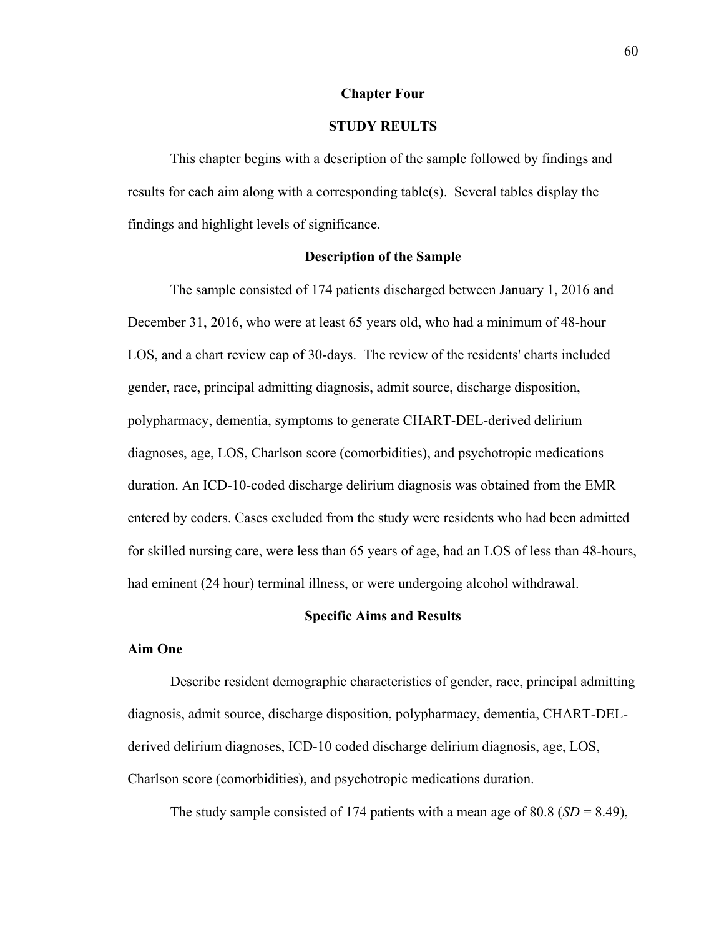## **Chapter Four**

## **STUDY REULTS**

This chapter begins with a description of the sample followed by findings and results for each aim along with a corresponding table(s). Several tables display the findings and highlight levels of significance.

## **Description of the Sample**

The sample consisted of 174 patients discharged between January 1, 2016 and December 31, 2016, who were at least 65 years old, who had a minimum of 48-hour LOS, and a chart review cap of 30-days. The review of the residents' charts included gender, race, principal admitting diagnosis, admit source, discharge disposition, polypharmacy, dementia, symptoms to generate CHART-DEL-derived delirium diagnoses, age, LOS, Charlson score (comorbidities), and psychotropic medications duration. An ICD-10-coded discharge delirium diagnosis was obtained from the EMR entered by coders. Cases excluded from the study were residents who had been admitted for skilled nursing care, were less than 65 years of age, had an LOS of less than 48-hours, had eminent (24 hour) terminal illness, or were undergoing alcohol withdrawal.

#### **Specific Aims and Results**

## **Aim One**

Describe resident demographic characteristics of gender, race, principal admitting diagnosis, admit source, discharge disposition, polypharmacy, dementia, CHART-DELderived delirium diagnoses, ICD-10 coded discharge delirium diagnosis, age, LOS, Charlson score (comorbidities), and psychotropic medications duration.

The study sample consisted of 174 patients with a mean age of 80.8 ( $SD = 8.49$ ),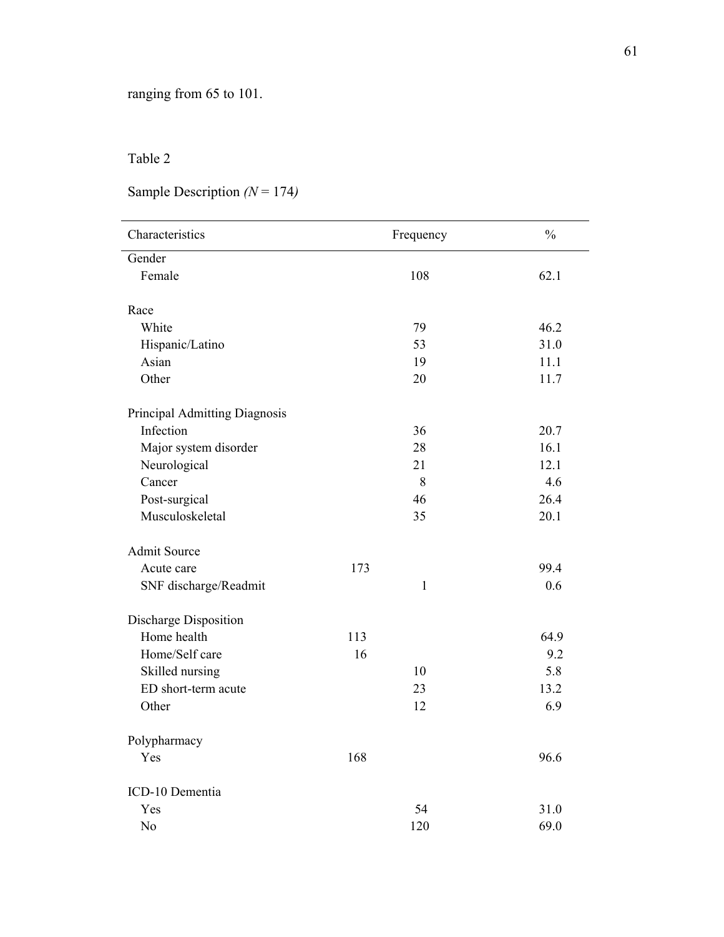## Table 2

# Sample Description *(N* = 174*)*

| Characteristics               | Frequency    | $\frac{0}{0}$ |
|-------------------------------|--------------|---------------|
| Gender                        |              |               |
| Female                        | 108          | 62.1          |
| Race                          |              |               |
| White                         | 79           | 46.2          |
| Hispanic/Latino               | 53           | 31.0          |
| Asian                         | 19           | 11.1          |
| Other                         | 20           | 11.7          |
| Principal Admitting Diagnosis |              |               |
| Infection                     | 36           | 20.7          |
| Major system disorder         | 28           | 16.1          |
| Neurological                  | 21           | 12.1          |
| Cancer                        | $\,8\,$      | 4.6           |
| Post-surgical                 | 46           | 26.4          |
| Musculoskeletal               | 35           | 20.1          |
| <b>Admit Source</b>           |              |               |
| Acute care                    | 173          | 99.4          |
| SNF discharge/Readmit         | $\mathbf{1}$ | 0.6           |
| Discharge Disposition         |              |               |
| Home health                   | 113          | 64.9          |
| Home/Self care                | 16           | 9.2           |
| Skilled nursing               | 10           | 5.8           |
| ED short-term acute           | 23           | 13.2          |
| Other                         | 12           | 6.9           |
| Polypharmacy                  |              |               |
| Yes                           | 168          | 96.6          |
| ICD-10 Dementia               |              |               |
| Yes                           | 54           | 31.0          |
| No                            | 120          | 69.0          |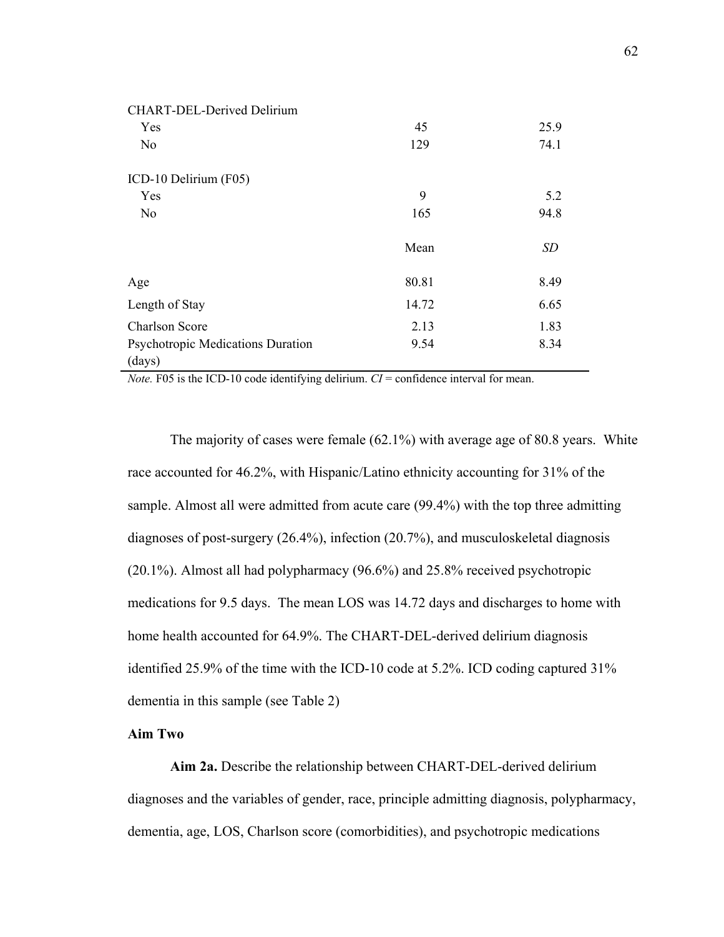| <b>CHART-DEL-Derived Delirium</b> |       |           |
|-----------------------------------|-------|-----------|
| Yes                               | 45    | 25.9      |
| No                                | 129   | 74.1      |
| ICD-10 Delirium (F05)             |       |           |
| Yes                               | 9     | 5.2       |
| No                                | 165   | 94.8      |
|                                   | Mean  | <b>SD</b> |
| Age                               | 80.81 | 8.49      |
| Length of Stay                    | 14.72 | 6.65      |
| <b>Charlson Score</b>             | 2.13  | 1.83      |
| Psychotropic Medications Duration | 9.54  | 8.34      |
| (days)                            |       |           |

*Note.* F05 is the ICD-10 code identifying delirium.  $CI =$  confidence interval for mean.

The majority of cases were female (62.1%) with average age of 80.8 years. White race accounted for 46.2%, with Hispanic/Latino ethnicity accounting for 31% of the sample. Almost all were admitted from acute care (99.4%) with the top three admitting diagnoses of post-surgery (26.4%), infection (20.7%), and musculoskeletal diagnosis (20.1%). Almost all had polypharmacy (96.6%) and 25.8% received psychotropic medications for 9.5 days. The mean LOS was 14.72 days and discharges to home with home health accounted for 64.9%. The CHART-DEL-derived delirium diagnosis identified 25.9% of the time with the ICD-10 code at 5.2%. ICD coding captured 31% dementia in this sample (see Table 2)

## **Aim Two**

**Aim 2a.** Describe the relationship between CHART-DEL-derived delirium diagnoses and the variables of gender, race, principle admitting diagnosis, polypharmacy, dementia, age, LOS, Charlson score (comorbidities), and psychotropic medications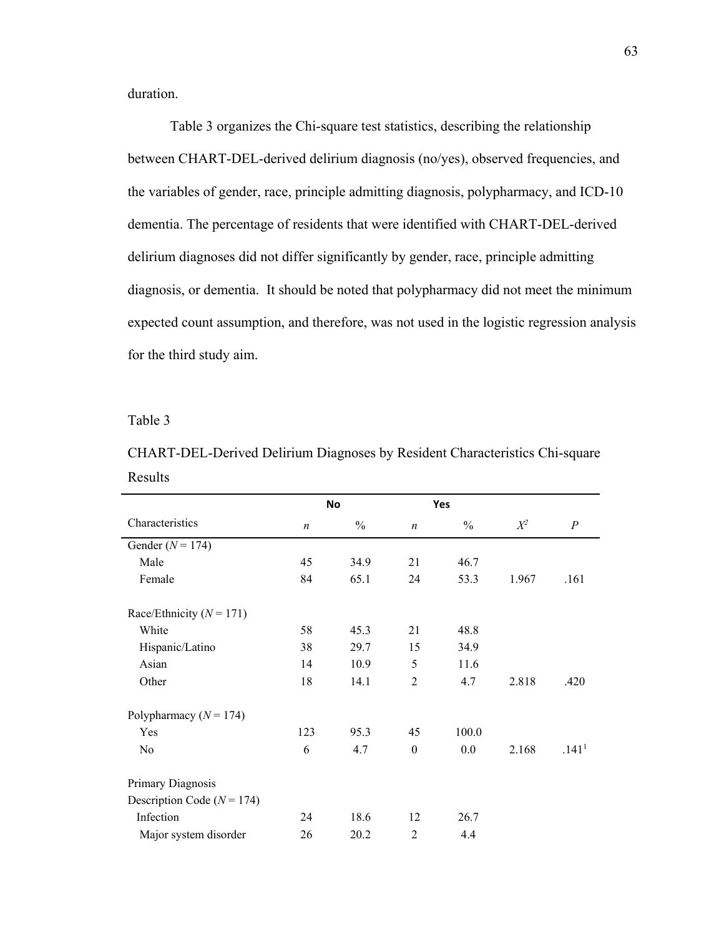duration.

Table 3 organizes the Chi-square test statistics, describing the relationship between CHART-DEL-derived delirium diagnosis (no/yes), observed frequencies, and the variables of gender, race, principle admitting diagnosis, polypharmacy, and ICD-10 dementia. The percentage of residents that were identified with CHART-DEL-derived delirium diagnoses did not differ significantly by gender, race, principle admitting diagnosis, or dementia. It should be noted that polypharmacy did not meet the minimum expected count assumption, and therefore, was not used in the logistic regression analysis for the third study aim.

Table 3

| CHART-DEL-Derived Delirium Diagnoses by Resident Characteristics Chi-square |  |
|-----------------------------------------------------------------------------|--|
| Results                                                                     |  |

|                                |                  | No            |                  | Yes           |       |                   |
|--------------------------------|------------------|---------------|------------------|---------------|-------|-------------------|
| Characteristics                | $\boldsymbol{n}$ | $\frac{0}{0}$ | $\boldsymbol{n}$ | $\frac{0}{0}$ | $X^2$ | $\boldsymbol{P}$  |
| Gender ( $N = 174$ )           |                  |               |                  |               |       |                   |
| Male                           | 45               | 34.9          | 21               | 46.7          |       |                   |
| Female                         | 84               | 65.1          | 24               | 53.3          | 1.967 | .161              |
| Race/Ethnicity ( $N = 171$ )   |                  |               |                  |               |       |                   |
| White                          | 58               | 45.3          | 21               | 48.8          |       |                   |
| Hispanic/Latino                | 38               | 29.7          | 15               | 34.9          |       |                   |
| Asian                          | 14               | 10.9          | 5                | 11.6          |       |                   |
| Other                          | 18               | 14.1          | $\overline{2}$   | 4.7           | 2.818 | .420              |
| Polypharmacy ( $N = 174$ )     |                  |               |                  |               |       |                   |
| Yes                            | 123              | 95.3          | 45               | 100.0         |       |                   |
| No                             | 6                | 4.7           | $\mathbf{0}$     | 0.0           | 2.168 | .141 <sup>1</sup> |
| Primary Diagnosis              |                  |               |                  |               |       |                   |
| Description Code ( $N = 174$ ) |                  |               |                  |               |       |                   |
| Infection                      | 24               | 18.6          | 12               | 26.7          |       |                   |
| Major system disorder          | 26               | 20.2          | $\overline{2}$   | 4.4           |       |                   |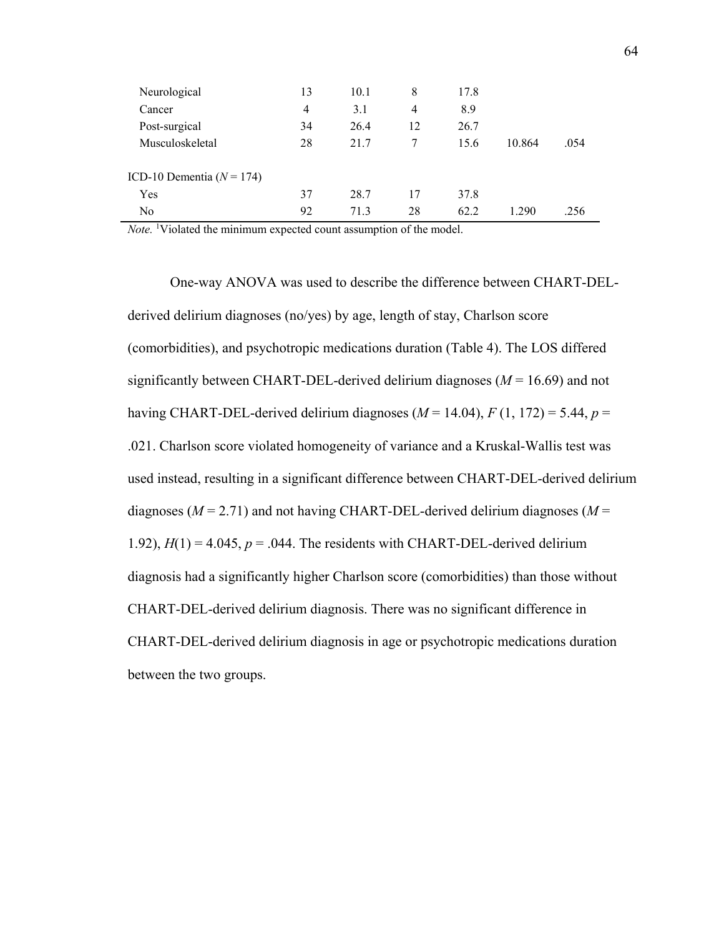| Neurological                  | 13 | 10.1 | 8  | 17.8 |        |      |
|-------------------------------|----|------|----|------|--------|------|
| Cancer                        | 4  | 3.1  | 4  | 8.9  |        |      |
| Post-surgical                 | 34 | 26.4 | 12 | 26.7 |        |      |
| Musculoskeletal               | 28 | 21.7 | 7  | 15.6 | 10.864 | .054 |
|                               |    |      |    |      |        |      |
| ICD-10 Dementia ( $N = 174$ ) |    |      |    |      |        |      |
| Yes                           | 37 | 28.7 | 17 | 37.8 |        |      |
| N <sub>o</sub>                | 92 | 71.3 | 28 | 62.2 | 1.290  | .256 |

Note. <sup>1</sup>Violated the minimum expected count assumption of the model.

One-way ANOVA was used to describe the difference between CHART-DELderived delirium diagnoses (no/yes) by age, length of stay, Charlson score (comorbidities), and psychotropic medications duration (Table 4). The LOS differed significantly between CHART-DEL-derived delirium diagnoses  $(M = 16.69)$  and not having CHART-DEL-derived delirium diagnoses  $(M = 14.04)$ ,  $F(1, 172) = 5.44$ ,  $p =$ .021. Charlson score violated homogeneity of variance and a Kruskal-Wallis test was used instead, resulting in a significant difference between CHART-DEL-derived delirium diagnoses ( $M = 2.71$ ) and not having CHART-DEL-derived delirium diagnoses ( $M =$ 1.92),  $H(1) = 4.045$ ,  $p = .044$ . The residents with CHART-DEL-derived delirium diagnosis had a significantly higher Charlson score (comorbidities) than those without CHART-DEL-derived delirium diagnosis. There was no significant difference in CHART-DEL-derived delirium diagnosis in age or psychotropic medications duration between the two groups.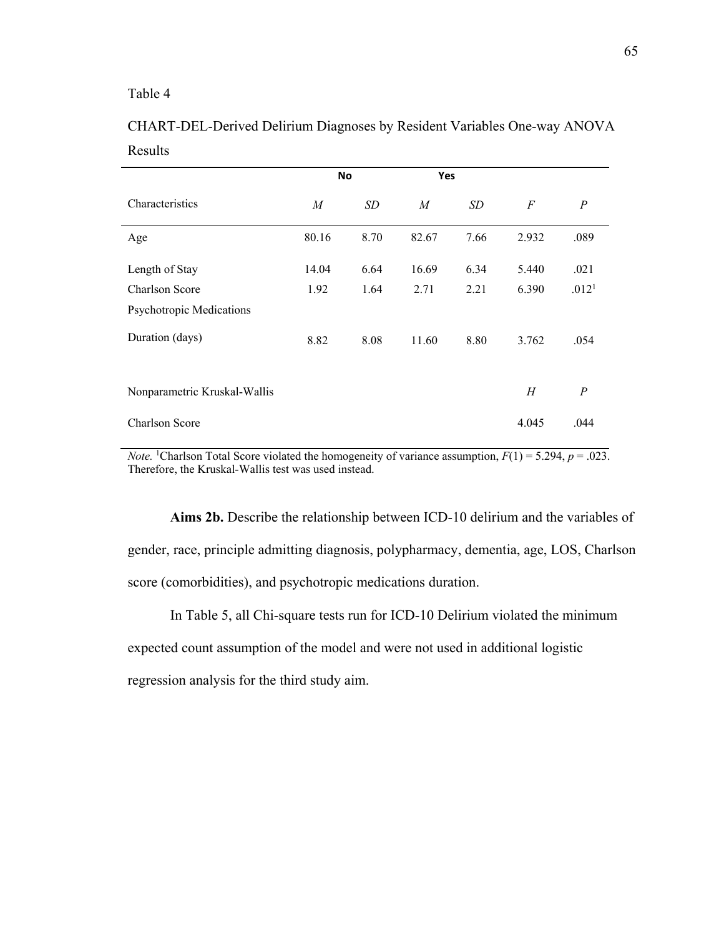## Table 4

|                              | No             |      | <b>Yes</b>     |      |       |                   |
|------------------------------|----------------|------|----------------|------|-------|-------------------|
| Characteristics              | $\overline{M}$ | SD   | $\overline{M}$ | SD   | F     | $\boldsymbol{P}$  |
| Age                          | 80.16          | 8.70 | 82.67          | 7.66 | 2.932 | .089              |
| Length of Stay               | 14.04          | 6.64 | 16.69          | 6.34 | 5.440 | .021              |
| Charlson Score               | 1.92           | 1.64 | 2.71           | 2.21 | 6.390 | .012 <sup>1</sup> |
| Psychotropic Medications     |                |      |                |      |       |                   |
| Duration (days)              | 8.82           | 8.08 | 11.60          | 8.80 | 3.762 | .054              |
| Nonparametric Kruskal-Wallis |                |      |                |      | H     | $\overline{P}$    |
| <b>Charlson Score</b>        |                |      |                |      | 4.045 | .044              |

## CHART-DEL-Derived Delirium Diagnoses by Resident Variables One-way ANOVA Results

*Note.* <sup>1</sup>Charlson Total Score violated the homogeneity of variance assumption,  $F(1) = 5.294$ ,  $p = .023$ . Therefore, the Kruskal-Wallis test was used instead.

**Aims 2b.** Describe the relationship between ICD-10 delirium and the variables of gender, race, principle admitting diagnosis, polypharmacy, dementia, age, LOS, Charlson score (comorbidities), and psychotropic medications duration.

In Table 5, all Chi-square tests run for ICD-10 Delirium violated the minimum

expected count assumption of the model and were not used in additional logistic

regression analysis for the third study aim.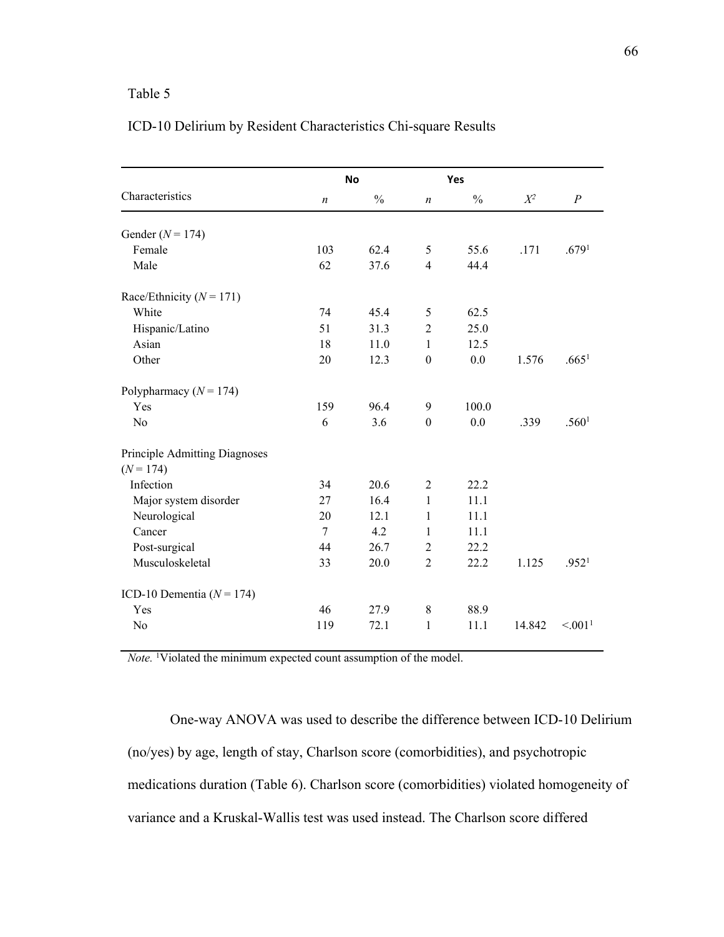## Table 5

|                               |                  | <b>No</b>     |                  | Yes           |        |                     |
|-------------------------------|------------------|---------------|------------------|---------------|--------|---------------------|
| Characteristics               | $\boldsymbol{n}$ | $\frac{0}{0}$ | $\boldsymbol{n}$ | $\frac{0}{0}$ | $X^2$  | $\boldsymbol{P}$    |
| Gender ( $N = 174$ )          |                  |               |                  |               |        |                     |
| Female                        | 103              | 62.4          | 5                | 55.6          | .171   | .679 <sup>1</sup>   |
| Male                          | 62               | 37.6          | $\overline{4}$   | 44.4          |        |                     |
| Race/Ethnicity ( $N = 171$ )  |                  |               |                  |               |        |                     |
| White                         | 74               | 45.4          | 5                | 62.5          |        |                     |
| Hispanic/Latino               | 51               | 31.3          | $\overline{2}$   | 25.0          |        |                     |
| Asian                         | 18               | 11.0          | $\mathbf{1}$     | 12.5          |        |                     |
| Other                         | 20               | 12.3          | $\mathbf{0}$     | 0.0           | 1.576  | .665 <sup>1</sup>   |
| Polypharmacy ( $N = 174$ )    |                  |               |                  |               |        |                     |
| Yes                           | 159              | 96.4          | 9                | 100.0         |        |                     |
| No                            | 6                | 3.6           | $\boldsymbol{0}$ | 0.0           | .339   | .560 <sup>1</sup>   |
| Principle Admitting Diagnoses |                  |               |                  |               |        |                     |
| $(N = 174)$                   |                  |               |                  |               |        |                     |
| Infection                     | 34               | 20.6          | $\overline{2}$   | 22.2          |        |                     |
| Major system disorder         | 27               | 16.4          | 1                | 11.1          |        |                     |
| Neurological                  | 20               | 12.1          | 1                | 11.1          |        |                     |
| Cancer                        | $\overline{7}$   | 4.2           | 1                | 11.1          |        |                     |
| Post-surgical                 | 44               | 26.7          | $\overline{2}$   | 22.2          |        |                     |
| Musculoskeletal               | 33               | 20.0          | $\overline{2}$   | 22.2          | 1.125  | .952 <sup>1</sup>   |
| ICD-10 Dementia ( $N = 174$ ) |                  |               |                  |               |        |                     |
| Yes                           | 46               | 27.9          | $\,8\,$          | 88.9          |        |                     |
| No                            | 119              | 72.1          | 1                | 11.1          | 14.842 | < 0.01 <sup>1</sup> |

Note. <sup>1</sup>Violated the minimum expected count assumption of the model.

One-way ANOVA was used to describe the difference between ICD-10 Delirium (no/yes) by age, length of stay, Charlson score (comorbidities), and psychotropic medications duration (Table 6). Charlson score (comorbidities) violated homogeneity of variance and a Kruskal-Wallis test was used instead. The Charlson score differed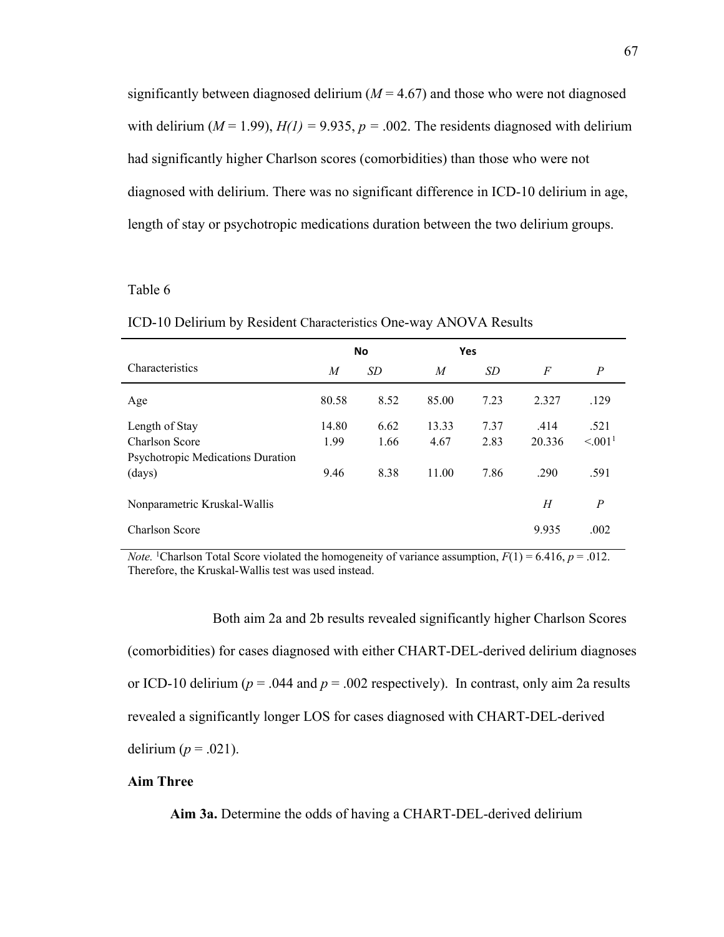significantly between diagnosed delirium  $(M = 4.67)$  and those who were not diagnosed with delirium ( $M = 1.99$ ),  $H(1) = 9.935$ ,  $p = .002$ . The residents diagnosed with delirium had significantly higher Charlson scores (comorbidities) than those who were not diagnosed with delirium. There was no significant difference in ICD-10 delirium in age, length of stay or psychotropic medications duration between the two delirium groups.

#### Table 6

ICD-10 Delirium by Resident Characteristics One-way ANOVA Results

|                                   | <b>No</b> |      | Yes   |      |                |                 |
|-----------------------------------|-----------|------|-------|------|----------------|-----------------|
| Characteristics                   | M         | SD   | M     | SD   | $\overline{F}$ | P               |
| Age                               | 80.58     | 8.52 | 85.00 | 7.23 | 2.327          | .129            |
| Length of Stay                    | 14.80     | 6.62 | 13.33 | 7.37 | .414           | .521            |
| Charlson Score                    | 1.99      | 1.66 | 4.67  | 2.83 | 20.336         | $\leq 0.01^{1}$ |
| Psychotropic Medications Duration |           |      |       |      |                |                 |
| (days)                            | 9.46      | 8.38 | 11.00 | 7.86 | .290           | .591            |
| Nonparametric Kruskal-Wallis      |           |      |       |      | Н              | P               |
| Charlson Score                    |           |      |       |      | 9.935          | .002            |

*Note.* <sup>1</sup>Charlson Total Score violated the homogeneity of variance assumption,  $F(1) = 6.416$ ,  $p = .012$ . Therefore, the Kruskal-Wallis test was used instead.

 Both aim 2a and 2b results revealed significantly higher Charlson Scores (comorbidities) for cases diagnosed with either CHART-DEL-derived delirium diagnoses or ICD-10 delirium ( $p = .044$  and  $p = .002$  respectively). In contrast, only aim 2a results revealed a significantly longer LOS for cases diagnosed with CHART-DEL-derived delirium  $(p=.021)$ .

## **Aim Three**

**Aim 3a.** Determine the odds of having a CHART-DEL-derived delirium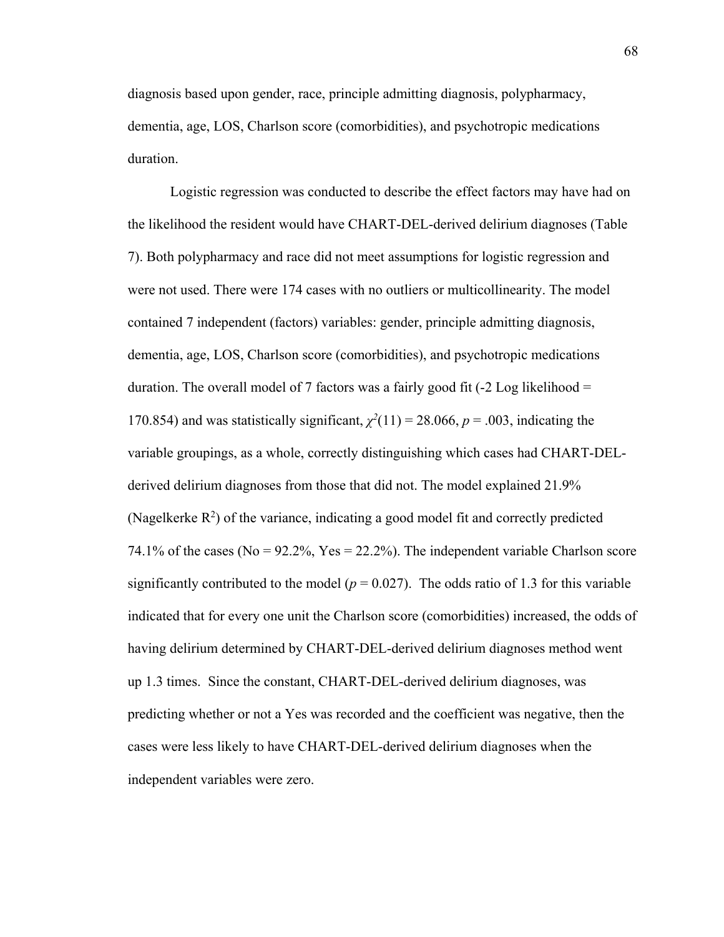diagnosis based upon gender, race, principle admitting diagnosis, polypharmacy, dementia, age, LOS, Charlson score (comorbidities), and psychotropic medications duration.

Logistic regression was conducted to describe the effect factors may have had on the likelihood the resident would have CHART-DEL-derived delirium diagnoses (Table 7). Both polypharmacy and race did not meet assumptions for logistic regression and were not used. There were 174 cases with no outliers or multicollinearity. The model contained 7 independent (factors) variables: gender, principle admitting diagnosis, dementia, age, LOS, Charlson score (comorbidities), and psychotropic medications duration. The overall model of 7 factors was a fairly good fit (-2 Log likelihood = 170.854) and was statistically significant,  $\chi^2(11) = 28.066$ ,  $p = .003$ , indicating the variable groupings, as a whole, correctly distinguishing which cases had CHART-DELderived delirium diagnoses from those that did not. The model explained 21.9% (Nagelkerke  $R^2$ ) of the variance, indicating a good model fit and correctly predicted 74.1% of the cases (No =  $92.2\%$ , Yes = 22.2%). The independent variable Charlson score significantly contributed to the model ( $p = 0.027$ ). The odds ratio of 1.3 for this variable indicated that for every one unit the Charlson score (comorbidities) increased, the odds of having delirium determined by CHART-DEL-derived delirium diagnoses method went up 1.3 times. Since the constant, CHART-DEL-derived delirium diagnoses, was predicting whether or not a Yes was recorded and the coefficient was negative, then the cases were less likely to have CHART-DEL-derived delirium diagnoses when the independent variables were zero.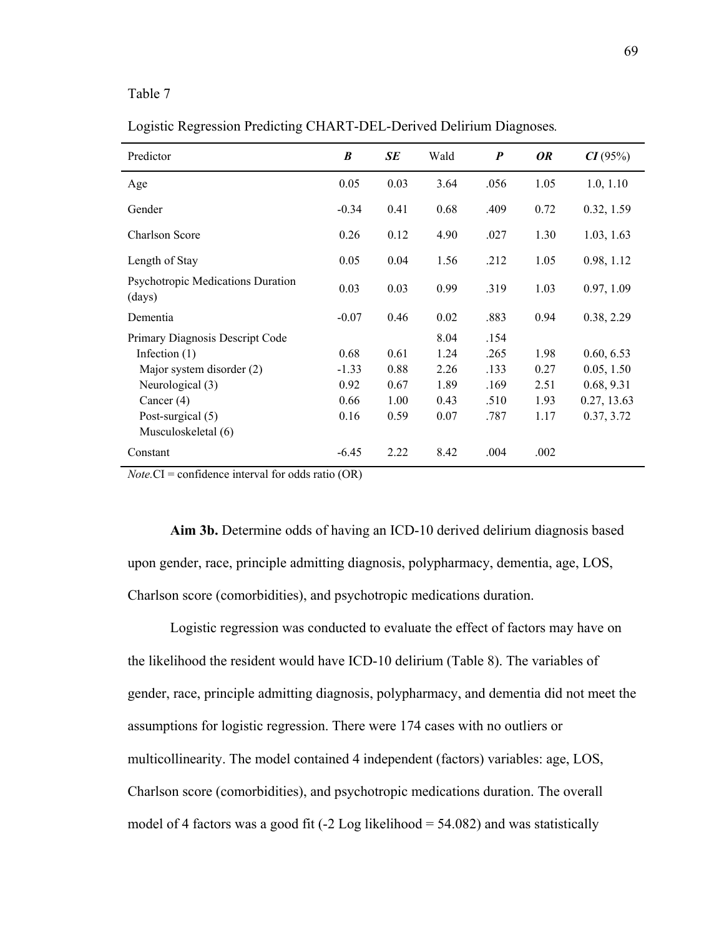## Table 7

Logistic Regression Predicting CHART-DEL-Derived Delirium Diagnoses*.*

| Predictor                                   | B       | <b>SE</b> | Wald | $\boldsymbol{P}$ | <b>OR</b> | CI(95%)     |
|---------------------------------------------|---------|-----------|------|------------------|-----------|-------------|
| Age                                         | 0.05    | 0.03      | 3.64 | .056             | 1.05      | 1.0, 1.10   |
| Gender                                      | $-0.34$ | 0.41      | 0.68 | .409             | 0.72      | 0.32, 1.59  |
| <b>Charlson Score</b>                       | 0.26    | 0.12      | 4.90 | .027             | 1.30      | 1.03, 1.63  |
| Length of Stay                              | 0.05    | 0.04      | 1.56 | .212             | 1.05      | 0.98, 1.12  |
| Psychotropic Medications Duration<br>(days) | 0.03    | 0.03      | 0.99 | .319             | 1.03      | 0.97, 1.09  |
| Dementia                                    | $-0.07$ | 0.46      | 0.02 | .883             | 0.94      | 0.38, 2.29  |
| Primary Diagnosis Descript Code             |         |           | 8.04 | .154             |           |             |
| Infection $(1)$                             | 0.68    | 0.61      | 1.24 | .265             | 1.98      | 0.60, 6.53  |
| Major system disorder (2)                   | $-1.33$ | 0.88      | 2.26 | .133             | 0.27      | 0.05, 1.50  |
| Neurological (3)                            | 0.92    | 0.67      | 1.89 | .169             | 2.51      | 0.68, 9.31  |
| Cancer $(4)$                                | 0.66    | 1.00      | 0.43 | .510             | 1.93      | 0.27, 13.63 |
| Post-surgical (5)                           | 0.16    | 0.59      | 0.07 | .787             | 1.17      | 0.37, 3.72  |
| Musculoskeletal (6)                         |         |           |      |                  |           |             |
| Constant                                    | $-6.45$ | 2.22      | 8.42 | .004             | .002      |             |

*Note.*CI = confidence interval for odds ratio (OR)

**Aim 3b.** Determine odds of having an ICD-10 derived delirium diagnosis based upon gender, race, principle admitting diagnosis, polypharmacy, dementia, age, LOS, Charlson score (comorbidities), and psychotropic medications duration.

Logistic regression was conducted to evaluate the effect of factors may have on the likelihood the resident would have ICD-10 delirium (Table 8). The variables of gender, race, principle admitting diagnosis, polypharmacy, and dementia did not meet the assumptions for logistic regression. There were 174 cases with no outliers or multicollinearity. The model contained 4 independent (factors) variables: age, LOS, Charlson score (comorbidities), and psychotropic medications duration. The overall model of 4 factors was a good fit  $(-2 \text{ Log likelihood} = 54.082)$  and was statistically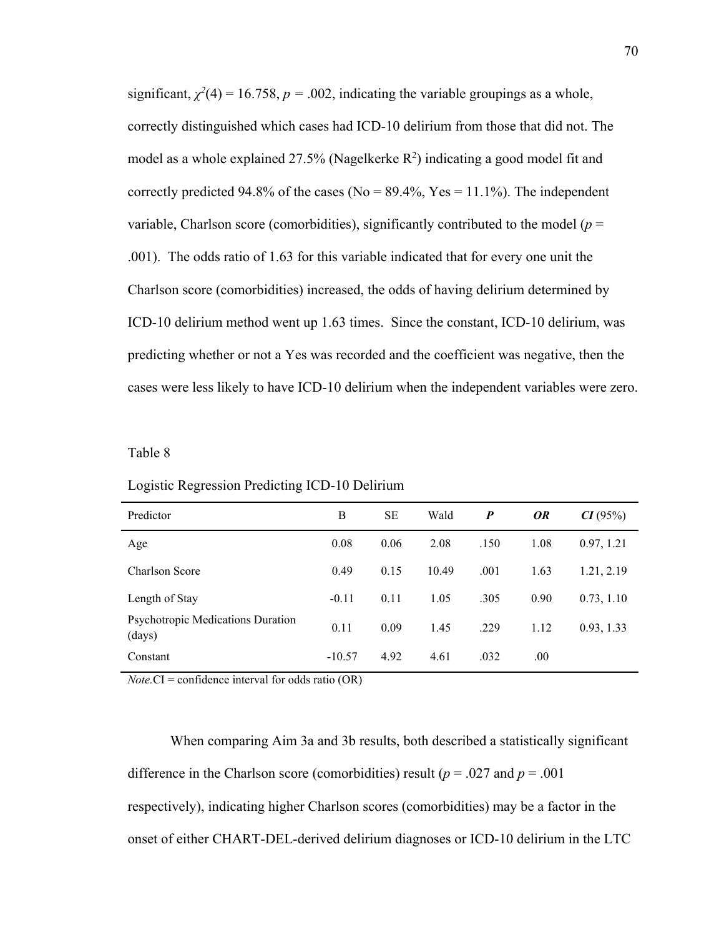significant,  $\chi^2(4) = 16.758$ ,  $p = .002$ , indicating the variable groupings as a whole, correctly distinguished which cases had ICD-10 delirium from those that did not. The model as a whole explained 27.5% (Nagelkerke  $R^2$ ) indicating a good model fit and correctly predicted 94.8% of the cases (No =  $89.4\%$ , Yes = 11.1%). The independent variable, Charlson score (comorbidities), significantly contributed to the model ( $p =$ .001). The odds ratio of 1.63 for this variable indicated that for every one unit the Charlson score (comorbidities) increased, the odds of having delirium determined by ICD-10 delirium method went up 1.63 times. Since the constant, ICD-10 delirium, was predicting whether or not a Yes was recorded and the coefficient was negative, then the cases were less likely to have ICD-10 delirium when the independent variables were zero.

#### Table 8

| Predictor                                          | B        | <b>SE</b> | Wald  | $\boldsymbol{P}$ | <i>OR</i> | CI(95%)    |
|----------------------------------------------------|----------|-----------|-------|------------------|-----------|------------|
| Age                                                | 0.08     | 0.06      | 2.08  | .150             | 1.08      | 0.97, 1.21 |
| Charlson Score                                     | 0.49     | 0.15      | 10.49 | .001             | 1.63      | 1.21, 2.19 |
| Length of Stay                                     | $-0.11$  | 0.11      | 1.05  | .305             | 0.90      | 0.73, 1.10 |
| <b>Psychotropic Medications Duration</b><br>(days) | 0.11     | 0.09      | 1.45  | .229             | 1.12      | 0.93, 1.33 |
| Constant                                           | $-10.57$ | 4.92      | 4.61  | .032             | .00.      |            |

Logistic Regression Predicting ICD-10 Delirium

*Note.*CI = confidence interval for odds ratio (OR)

When comparing Aim 3a and 3b results, both described a statistically significant difference in the Charlson score (comorbidities) result ( $p = .027$  and  $p = .001$ respectively), indicating higher Charlson scores (comorbidities) may be a factor in the onset of either CHART-DEL-derived delirium diagnoses or ICD-10 delirium in the LTC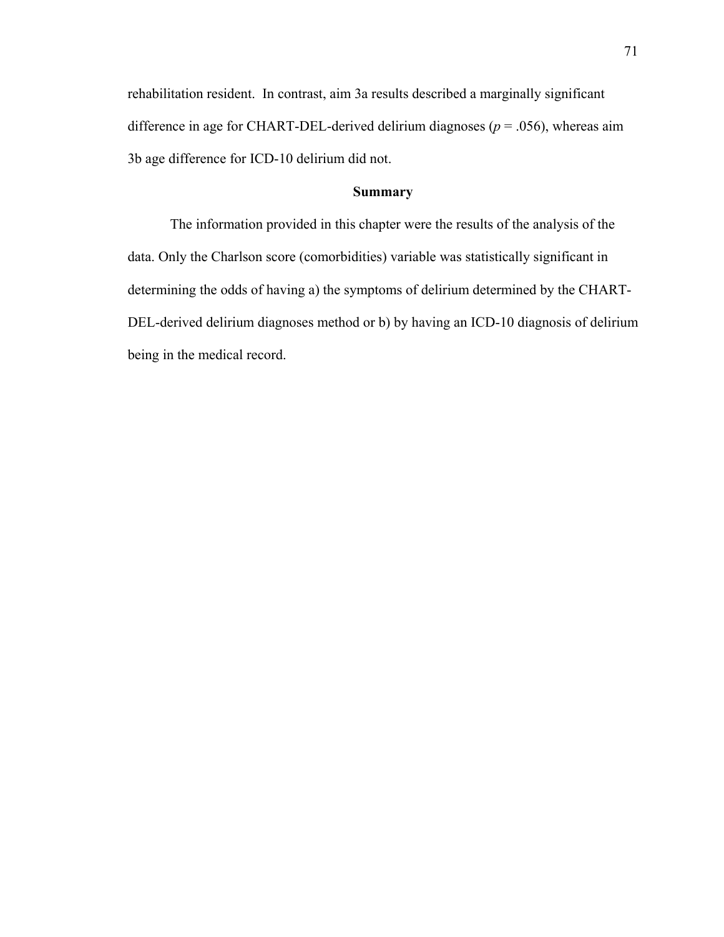rehabilitation resident. In contrast, aim 3a results described a marginally significant difference in age for CHART-DEL-derived delirium diagnoses ( $p = .056$ ), whereas aim 3b age difference for ICD-10 delirium did not.

## **Summary**

The information provided in this chapter were the results of the analysis of the data. Only the Charlson score (comorbidities) variable was statistically significant in determining the odds of having a) the symptoms of delirium determined by the CHART-DEL-derived delirium diagnoses method or b) by having an ICD-10 diagnosis of delirium being in the medical record.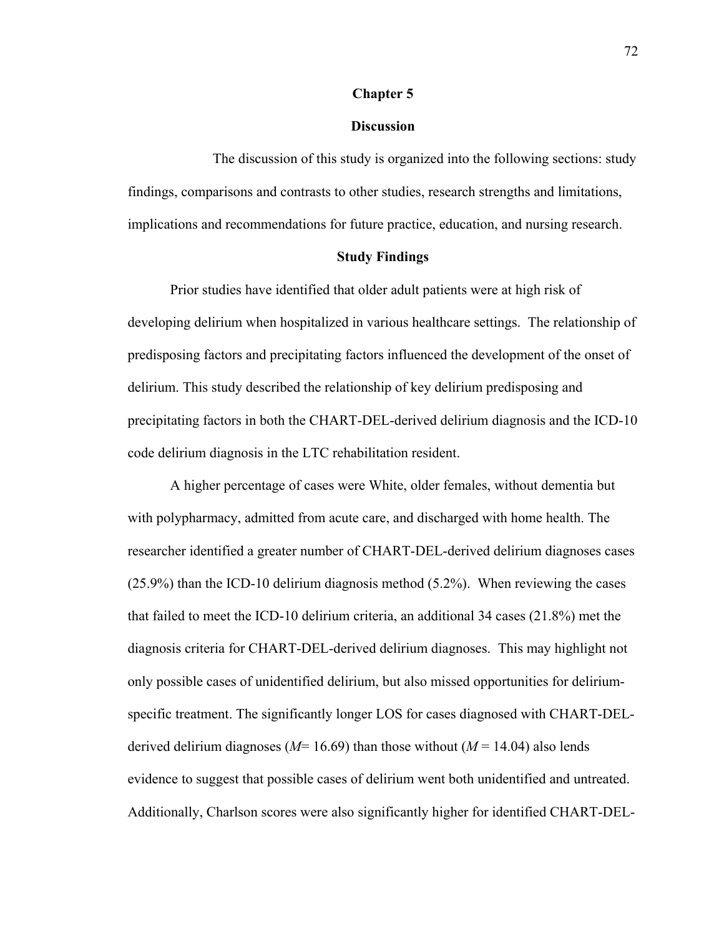#### **Chapter 5**

#### **Discussion**

 The discussion of this study is organized into the following sections: study findings, comparisons and contrasts to other studies, research strengths and limitations, implications and recommendations for future practice, education, and nursing research.

## **Study Findings**

Prior studies have identified that older adult patients were at high risk of developing delirium when hospitalized in various healthcare settings. The relationship of predisposing factors and precipitating factors influenced the development of the onset of delirium. This study described the relationship of key delirium predisposing and precipitating factors in both the CHART-DEL-derived delirium diagnosis and the ICD-10 code delirium diagnosis in the LTC rehabilitation resident.

A higher percentage of cases were White, older females, without dementia but with polypharmacy, admitted from acute care, and discharged with home health. The researcher identified a greater number of CHART-DEL-derived delirium diagnoses cases (25.9%) than the ICD-10 delirium diagnosis method (5.2%). When reviewing the cases that failed to meet the ICD-10 delirium criteria, an additional 34 cases (21.8%) met the diagnosis criteria for CHART-DEL-derived delirium diagnoses. This may highlight not only possible cases of unidentified delirium, but also missed opportunities for deliriumspecific treatment. The significantly longer LOS for cases diagnosed with CHART-DELderived delirium diagnoses (*M*= 16.69) than those without (*M* = 14.04) also lends evidence to suggest that possible cases of delirium went both unidentified and untreated. Additionally, Charlson scores were also significantly higher for identified CHART-DEL-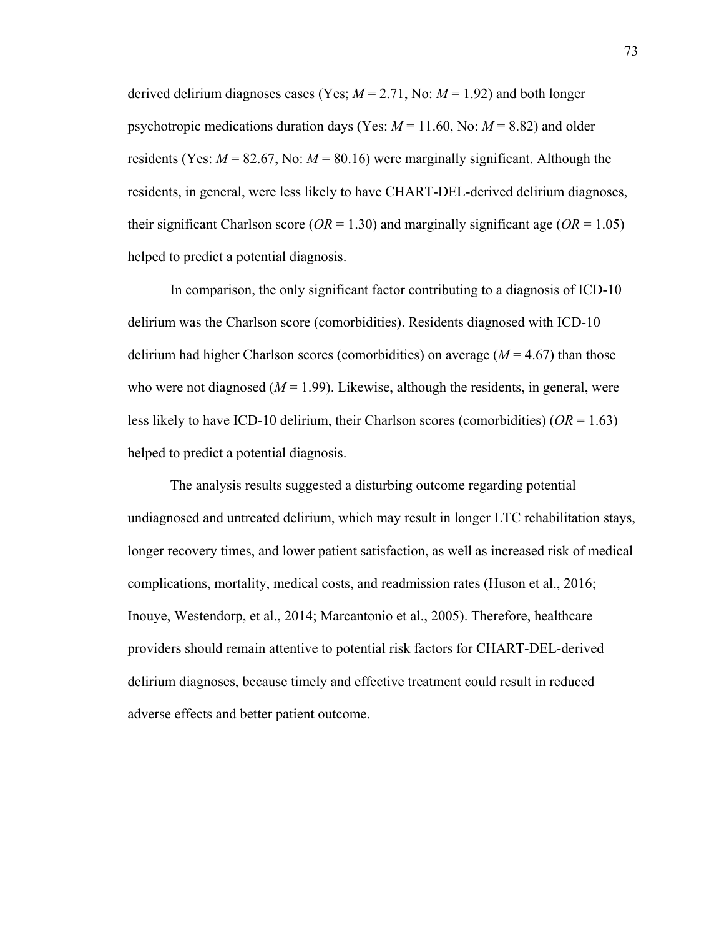derived delirium diagnoses cases (Yes;  $M = 2.71$ , No:  $M = 1.92$ ) and both longer psychotropic medications duration days (Yes:  $M = 11.60$ , No:  $M = 8.82$ ) and older residents (Yes:  $M = 82.67$ , No:  $M = 80.16$ ) were marginally significant. Although the residents, in general, were less likely to have CHART-DEL-derived delirium diagnoses, their significant Charlson score ( $OR = 1.30$ ) and marginally significant age ( $OR = 1.05$ ) helped to predict a potential diagnosis.

In comparison, the only significant factor contributing to a diagnosis of ICD-10 delirium was the Charlson score (comorbidities). Residents diagnosed with ICD-10 delirium had higher Charlson scores (comorbidities) on average (*M* = 4.67) than those who were not diagnosed  $(M = 1.99)$ . Likewise, although the residents, in general, were less likely to have ICD-10 delirium, their Charlson scores (comorbidities) (*OR* = 1.63) helped to predict a potential diagnosis.

The analysis results suggested a disturbing outcome regarding potential undiagnosed and untreated delirium, which may result in longer LTC rehabilitation stays, longer recovery times, and lower patient satisfaction, as well as increased risk of medical complications, mortality, medical costs, and readmission rates (Huson et al., 2016; Inouye, Westendorp, et al., 2014; Marcantonio et al., 2005). Therefore, healthcare providers should remain attentive to potential risk factors for CHART-DEL-derived delirium diagnoses, because timely and effective treatment could result in reduced adverse effects and better patient outcome.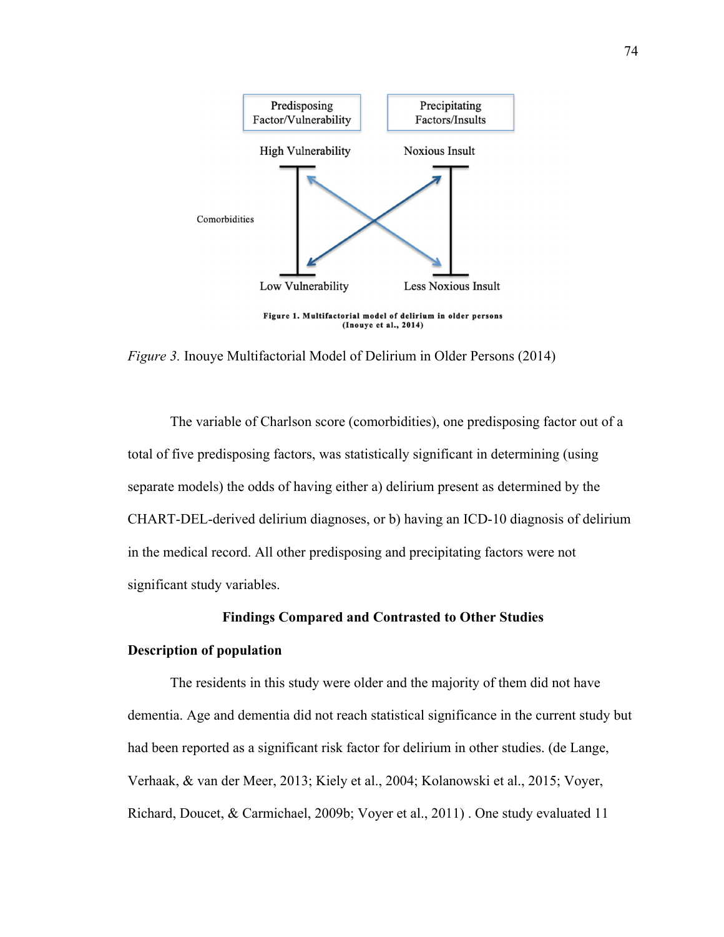

*Figure 3.* Inouye Multifactorial Model of Delirium in Older Persons (2014)

The variable of Charlson score (comorbidities), one predisposing factor out of a total of five predisposing factors, was statistically significant in determining (using separate models) the odds of having either a) delirium present as determined by the CHART-DEL-derived delirium diagnoses, or b) having an ICD-10 diagnosis of delirium in the medical record. All other predisposing and precipitating factors were not significant study variables.

## **Findings Compared and Contrasted to Other Studies**

## **Description of population**

The residents in this study were older and the majority of them did not have dementia. Age and dementia did not reach statistical significance in the current study but had been reported as a significant risk factor for delirium in other studies. (de Lange, Verhaak, & van der Meer, 2013; Kiely et al., 2004; Kolanowski et al., 2015; Voyer, Richard, Doucet, & Carmichael, 2009b; Voyer et al., 2011) . One study evaluated 11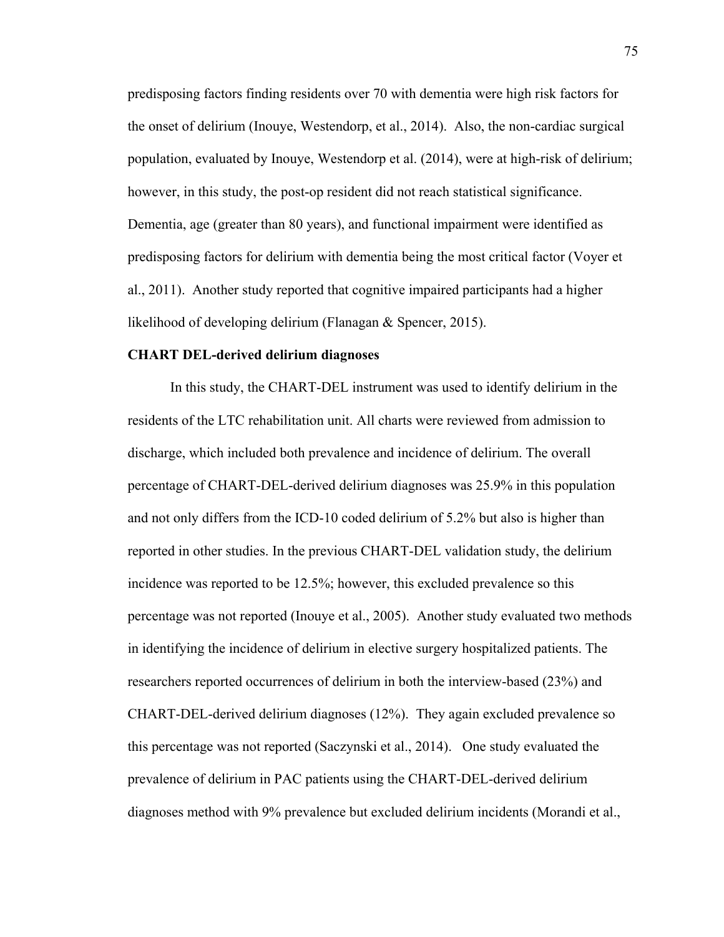predisposing factors finding residents over 70 with dementia were high risk factors for the onset of delirium (Inouye, Westendorp, et al., 2014). Also, the non-cardiac surgical population, evaluated by Inouye, Westendorp et al. (2014), were at high-risk of delirium; however, in this study, the post-op resident did not reach statistical significance. Dementia, age (greater than 80 years), and functional impairment were identified as predisposing factors for delirium with dementia being the most critical factor (Voyer et al., 2011). Another study reported that cognitive impaired participants had a higher likelihood of developing delirium (Flanagan & Spencer, 2015).

#### **CHART DEL-derived delirium diagnoses**

In this study, the CHART-DEL instrument was used to identify delirium in the residents of the LTC rehabilitation unit. All charts were reviewed from admission to discharge, which included both prevalence and incidence of delirium. The overall percentage of CHART-DEL-derived delirium diagnoses was 25.9% in this population and not only differs from the ICD-10 coded delirium of 5.2% but also is higher than reported in other studies. In the previous CHART-DEL validation study, the delirium incidence was reported to be 12.5%; however, this excluded prevalence so this percentage was not reported (Inouye et al., 2005). Another study evaluated two methods in identifying the incidence of delirium in elective surgery hospitalized patients. The researchers reported occurrences of delirium in both the interview-based (23%) and CHART-DEL-derived delirium diagnoses (12%). They again excluded prevalence so this percentage was not reported (Saczynski et al., 2014). One study evaluated the prevalence of delirium in PAC patients using the CHART-DEL-derived delirium diagnoses method with 9% prevalence but excluded delirium incidents (Morandi et al.,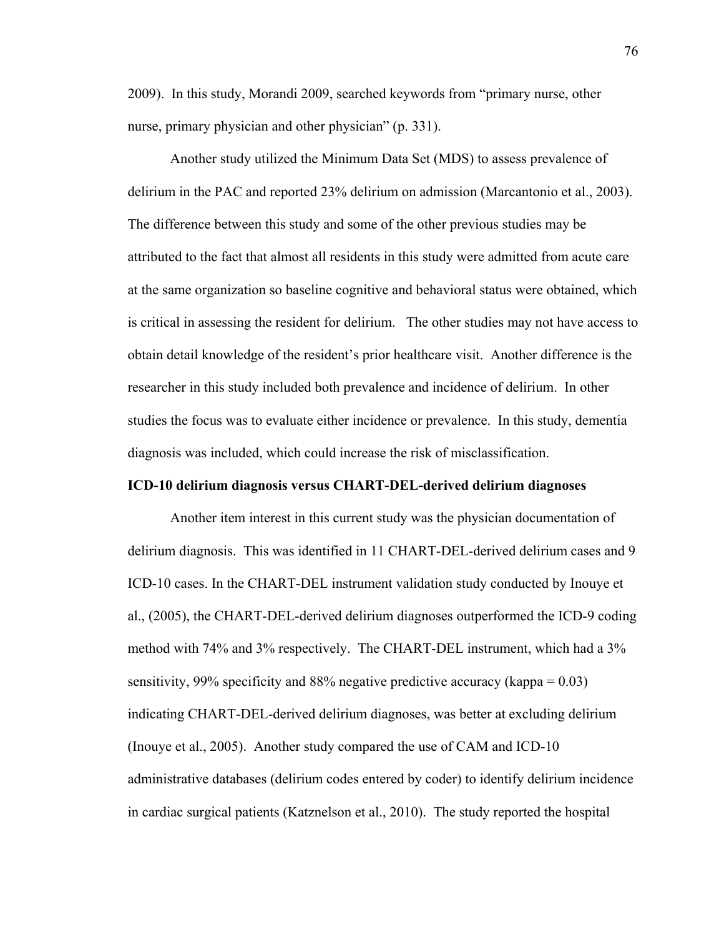2009). In this study, Morandi 2009, searched keywords from "primary nurse, other nurse, primary physician and other physician" (p. 331).

Another study utilized the Minimum Data Set (MDS) to assess prevalence of delirium in the PAC and reported 23% delirium on admission (Marcantonio et al., 2003). The difference between this study and some of the other previous studies may be attributed to the fact that almost all residents in this study were admitted from acute care at the same organization so baseline cognitive and behavioral status were obtained, which is critical in assessing the resident for delirium. The other studies may not have access to obtain detail knowledge of the resident's prior healthcare visit. Another difference is the researcher in this study included both prevalence and incidence of delirium. In other studies the focus was to evaluate either incidence or prevalence. In this study, dementia diagnosis was included, which could increase the risk of misclassification.

#### **ICD-10 delirium diagnosis versus CHART-DEL-derived delirium diagnoses**

Another item interest in this current study was the physician documentation of delirium diagnosis. This was identified in 11 CHART-DEL-derived delirium cases and 9 ICD-10 cases. In the CHART-DEL instrument validation study conducted by Inouye et al., (2005), the CHART-DEL-derived delirium diagnoses outperformed the ICD-9 coding method with 74% and 3% respectively. The CHART-DEL instrument, which had a 3% sensitivity, 99% specificity and 88% negative predictive accuracy (kappa = 0.03) indicating CHART-DEL-derived delirium diagnoses, was better at excluding delirium (Inouye et al., 2005). Another study compared the use of CAM and ICD-10 administrative databases (delirium codes entered by coder) to identify delirium incidence in cardiac surgical patients (Katznelson et al., 2010). The study reported the hospital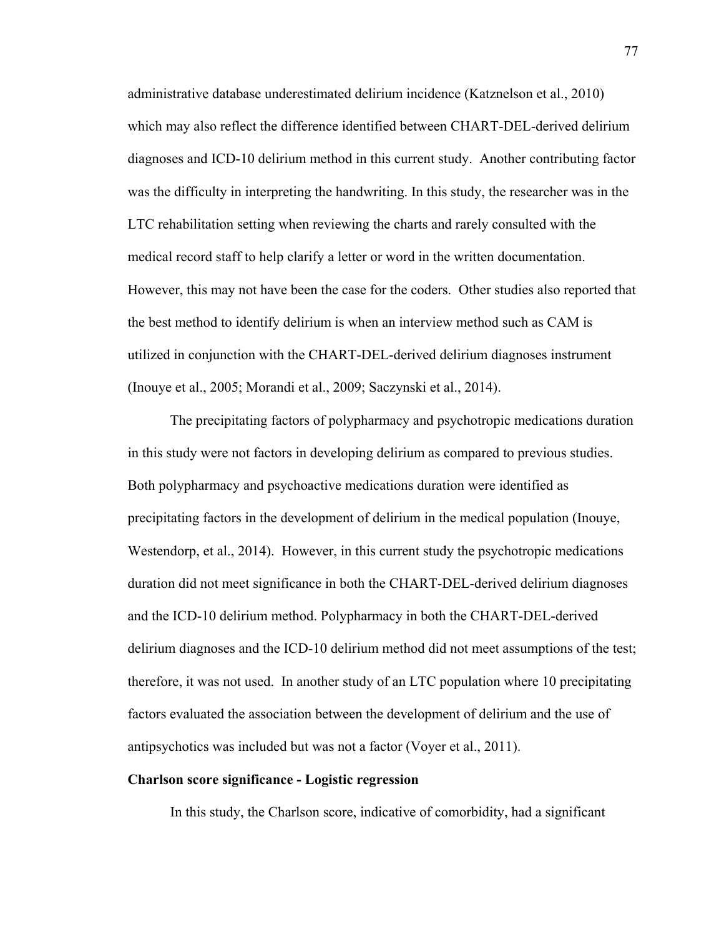administrative database underestimated delirium incidence (Katznelson et al., 2010) which may also reflect the difference identified between CHART-DEL-derived delirium diagnoses and ICD-10 delirium method in this current study. Another contributing factor was the difficulty in interpreting the handwriting. In this study, the researcher was in the LTC rehabilitation setting when reviewing the charts and rarely consulted with the medical record staff to help clarify a letter or word in the written documentation. However, this may not have been the case for the coders. Other studies also reported that the best method to identify delirium is when an interview method such as CAM is utilized in conjunction with the CHART-DEL-derived delirium diagnoses instrument (Inouye et al., 2005; Morandi et al., 2009; Saczynski et al., 2014).

The precipitating factors of polypharmacy and psychotropic medications duration in this study were not factors in developing delirium as compared to previous studies. Both polypharmacy and psychoactive medications duration were identified as precipitating factors in the development of delirium in the medical population (Inouye, Westendorp, et al., 2014). However, in this current study the psychotropic medications duration did not meet significance in both the CHART-DEL-derived delirium diagnoses and the ICD-10 delirium method. Polypharmacy in both the CHART-DEL-derived delirium diagnoses and the ICD-10 delirium method did not meet assumptions of the test; therefore, it was not used. In another study of an LTC population where 10 precipitating factors evaluated the association between the development of delirium and the use of antipsychotics was included but was not a factor (Voyer et al., 2011).

## **Charlson score significance - Logistic regression**

In this study, the Charlson score, indicative of comorbidity, had a significant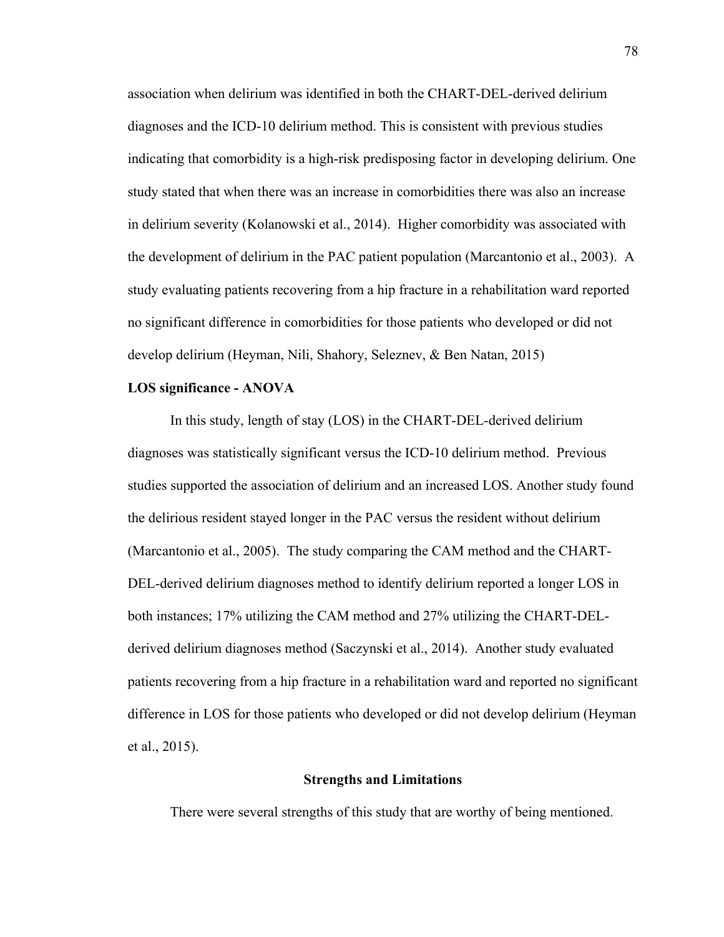association when delirium was identified in both the CHART-DEL-derived delirium diagnoses and the ICD-10 delirium method. This is consistent with previous studies indicating that comorbidity is a high-risk predisposing factor in developing delirium. One study stated that when there was an increase in comorbidities there was also an increase in delirium severity (Kolanowski et al., 2014). Higher comorbidity was associated with the development of delirium in the PAC patient population (Marcantonio et al., 2003). A study evaluating patients recovering from a hip fracture in a rehabilitation ward reported no significant difference in comorbidities for those patients who developed or did not develop delirium (Heyman, Nili, Shahory, Seleznev, & Ben Natan, 2015)

#### **LOS significance - ANOVA**

In this study, length of stay (LOS) in the CHART-DEL-derived delirium diagnoses was statistically significant versus the ICD-10 delirium method. Previous studies supported the association of delirium and an increased LOS. Another study found the delirious resident stayed longer in the PAC versus the resident without delirium (Marcantonio et al., 2005). The study comparing the CAM method and the CHART-DEL-derived delirium diagnoses method to identify delirium reported a longer LOS in both instances; 17% utilizing the CAM method and 27% utilizing the CHART-DELderived delirium diagnoses method (Saczynski et al., 2014). Another study evaluated patients recovering from a hip fracture in a rehabilitation ward and reported no significant difference in LOS for those patients who developed or did not develop delirium (Heyman et al., 2015).

## **Strengths and Limitations**

There were several strengths of this study that are worthy of being mentioned.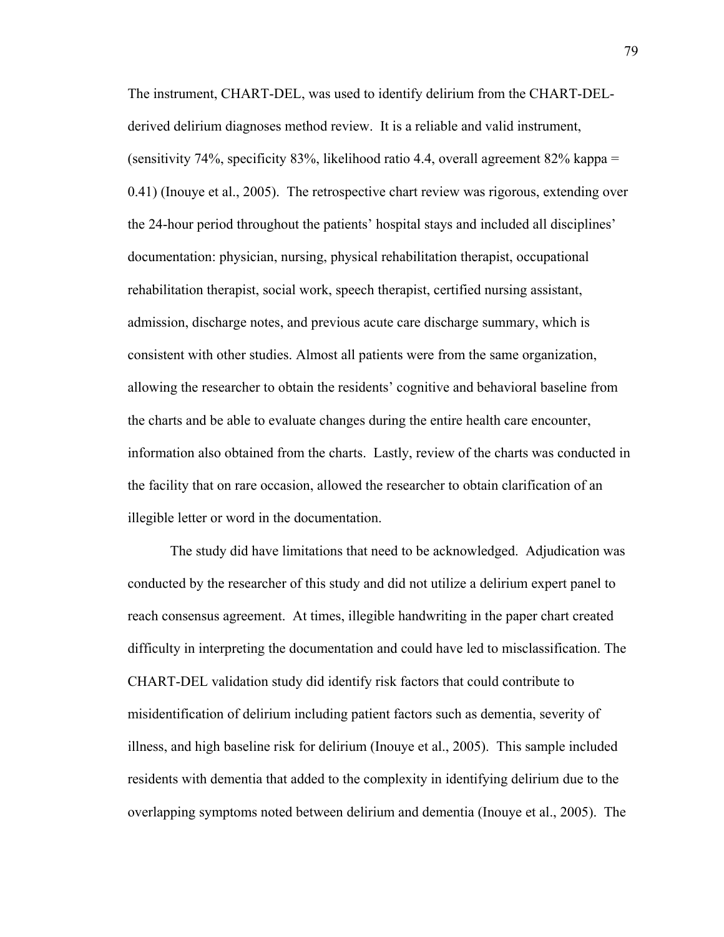The instrument, CHART-DEL, was used to identify delirium from the CHART-DELderived delirium diagnoses method review. It is a reliable and valid instrument, (sensitivity 74%, specificity 83%, likelihood ratio 4.4, overall agreement 82% kappa  $=$ 0.41) (Inouye et al., 2005). The retrospective chart review was rigorous, extending over the 24-hour period throughout the patients' hospital stays and included all disciplines' documentation: physician, nursing, physical rehabilitation therapist, occupational rehabilitation therapist, social work, speech therapist, certified nursing assistant, admission, discharge notes, and previous acute care discharge summary, which is consistent with other studies. Almost all patients were from the same organization, allowing the researcher to obtain the residents' cognitive and behavioral baseline from the charts and be able to evaluate changes during the entire health care encounter, information also obtained from the charts. Lastly, review of the charts was conducted in the facility that on rare occasion, allowed the researcher to obtain clarification of an illegible letter or word in the documentation.

The study did have limitations that need to be acknowledged. Adjudication was conducted by the researcher of this study and did not utilize a delirium expert panel to reach consensus agreement. At times, illegible handwriting in the paper chart created difficulty in interpreting the documentation and could have led to misclassification. The CHART-DEL validation study did identify risk factors that could contribute to misidentification of delirium including patient factors such as dementia, severity of illness, and high baseline risk for delirium (Inouye et al., 2005). This sample included residents with dementia that added to the complexity in identifying delirium due to the overlapping symptoms noted between delirium and dementia (Inouye et al., 2005). The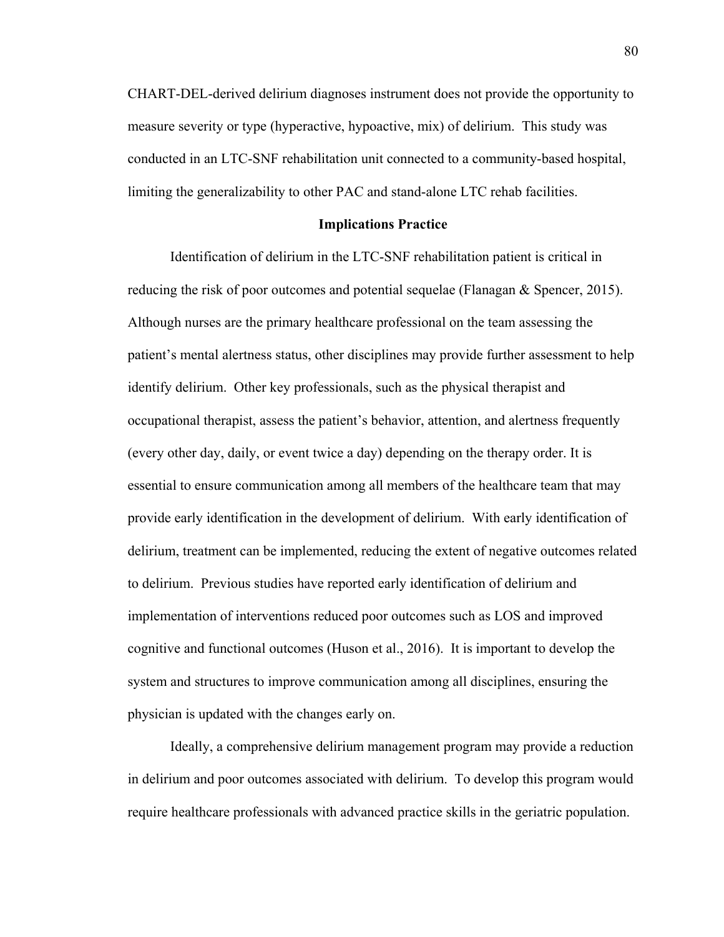CHART-DEL-derived delirium diagnoses instrument does not provide the opportunity to measure severity or type (hyperactive, hypoactive, mix) of delirium. This study was conducted in an LTC-SNF rehabilitation unit connected to a community-based hospital, limiting the generalizability to other PAC and stand-alone LTC rehab facilities.

#### **Implications Practice**

Identification of delirium in the LTC-SNF rehabilitation patient is critical in reducing the risk of poor outcomes and potential sequelae (Flanagan & Spencer, 2015). Although nurses are the primary healthcare professional on the team assessing the patient's mental alertness status, other disciplines may provide further assessment to help identify delirium. Other key professionals, such as the physical therapist and occupational therapist, assess the patient's behavior, attention, and alertness frequently (every other day, daily, or event twice a day) depending on the therapy order. It is essential to ensure communication among all members of the healthcare team that may provide early identification in the development of delirium. With early identification of delirium, treatment can be implemented, reducing the extent of negative outcomes related to delirium. Previous studies have reported early identification of delirium and implementation of interventions reduced poor outcomes such as LOS and improved cognitive and functional outcomes (Huson et al., 2016). It is important to develop the system and structures to improve communication among all disciplines, ensuring the physician is updated with the changes early on.

Ideally, a comprehensive delirium management program may provide a reduction in delirium and poor outcomes associated with delirium. To develop this program would require healthcare professionals with advanced practice skills in the geriatric population.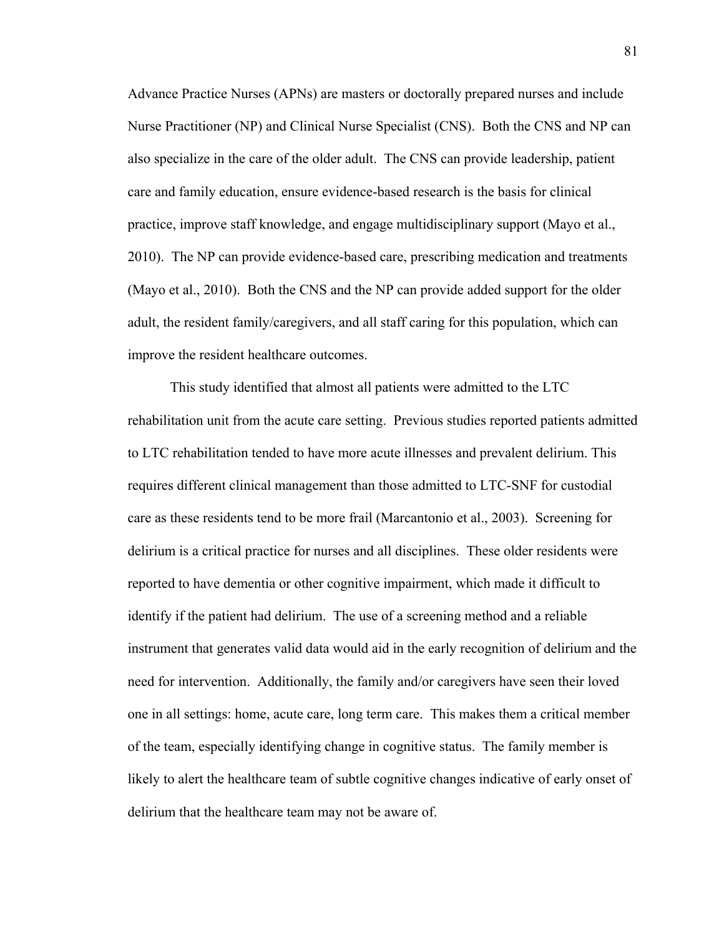Advance Practice Nurses (APNs) are masters or doctorally prepared nurses and include Nurse Practitioner (NP) and Clinical Nurse Specialist (CNS). Both the CNS and NP can also specialize in the care of the older adult. The CNS can provide leadership, patient care and family education, ensure evidence-based research is the basis for clinical practice, improve staff knowledge, and engage multidisciplinary support (Mayo et al., 2010). The NP can provide evidence-based care, prescribing medication and treatments (Mayo et al., 2010). Both the CNS and the NP can provide added support for the older adult, the resident family/caregivers, and all staff caring for this population, which can improve the resident healthcare outcomes.

This study identified that almost all patients were admitted to the LTC rehabilitation unit from the acute care setting. Previous studies reported patients admitted to LTC rehabilitation tended to have more acute illnesses and prevalent delirium. This requires different clinical management than those admitted to LTC-SNF for custodial care as these residents tend to be more frail (Marcantonio et al., 2003). Screening for delirium is a critical practice for nurses and all disciplines. These older residents were reported to have dementia or other cognitive impairment, which made it difficult to identify if the patient had delirium. The use of a screening method and a reliable instrument that generates valid data would aid in the early recognition of delirium and the need for intervention. Additionally, the family and/or caregivers have seen their loved one in all settings: home, acute care, long term care. This makes them a critical member of the team, especially identifying change in cognitive status. The family member is likely to alert the healthcare team of subtle cognitive changes indicative of early onset of delirium that the healthcare team may not be aware of.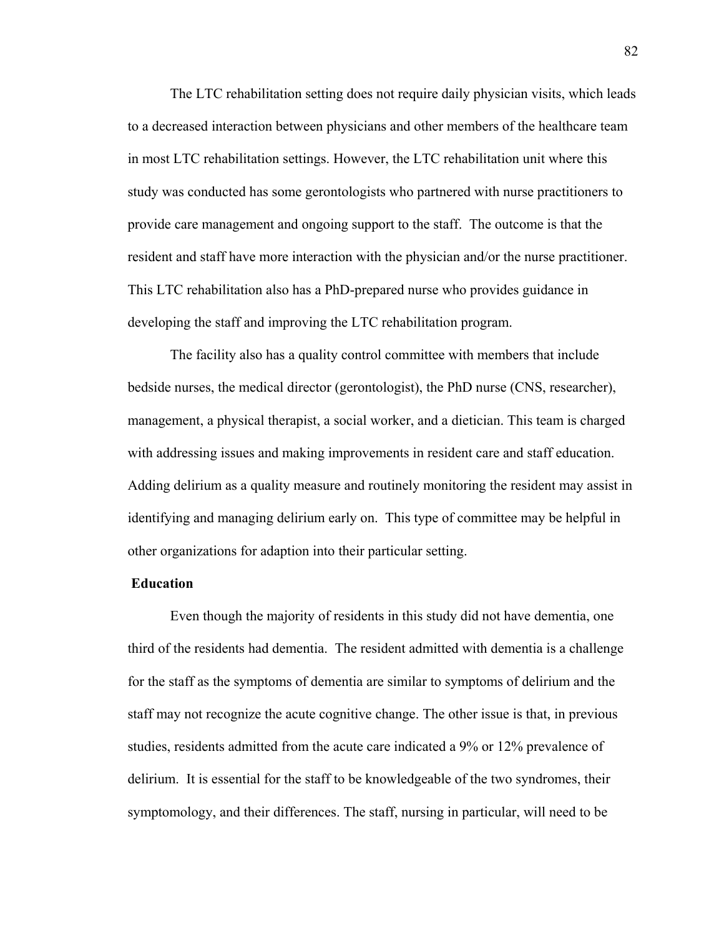The LTC rehabilitation setting does not require daily physician visits, which leads to a decreased interaction between physicians and other members of the healthcare team in most LTC rehabilitation settings. However, the LTC rehabilitation unit where this study was conducted has some gerontologists who partnered with nurse practitioners to provide care management and ongoing support to the staff. The outcome is that the resident and staff have more interaction with the physician and/or the nurse practitioner. This LTC rehabilitation also has a PhD-prepared nurse who provides guidance in developing the staff and improving the LTC rehabilitation program.

The facility also has a quality control committee with members that include bedside nurses, the medical director (gerontologist), the PhD nurse (CNS, researcher), management, a physical therapist, a social worker, and a dietician. This team is charged with addressing issues and making improvements in resident care and staff education. Adding delirium as a quality measure and routinely monitoring the resident may assist in identifying and managing delirium early on. This type of committee may be helpful in other organizations for adaption into their particular setting.

#### **Education**

Even though the majority of residents in this study did not have dementia, one third of the residents had dementia. The resident admitted with dementia is a challenge for the staff as the symptoms of dementia are similar to symptoms of delirium and the staff may not recognize the acute cognitive change. The other issue is that, in previous studies, residents admitted from the acute care indicated a 9% or 12% prevalence of delirium. It is essential for the staff to be knowledgeable of the two syndromes, their symptomology, and their differences. The staff, nursing in particular, will need to be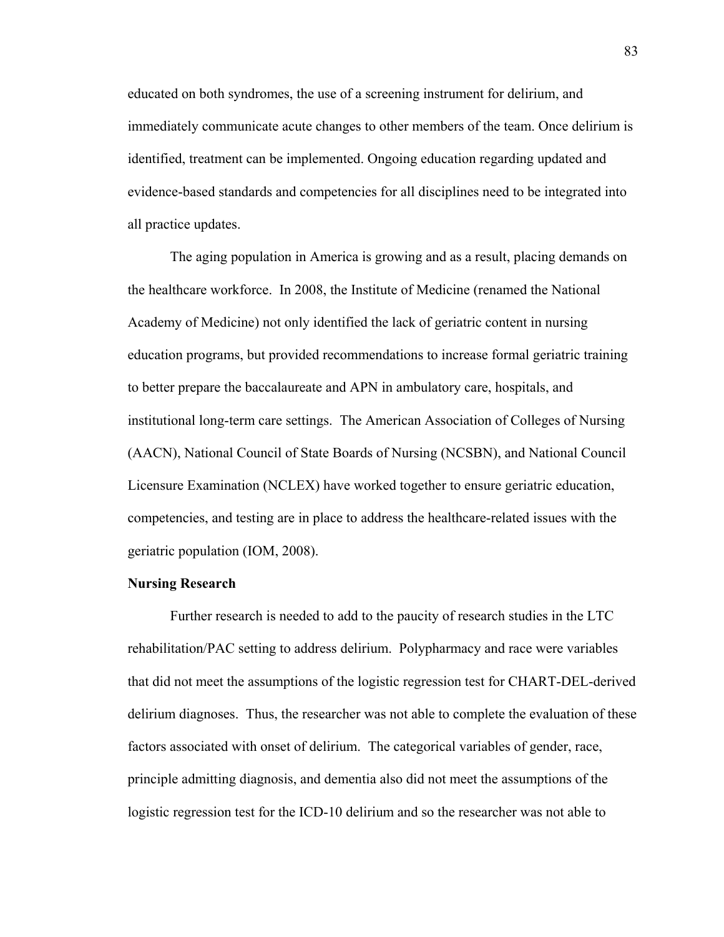educated on both syndromes, the use of a screening instrument for delirium, and immediately communicate acute changes to other members of the team. Once delirium is identified, treatment can be implemented. Ongoing education regarding updated and evidence-based standards and competencies for all disciplines need to be integrated into all practice updates.

The aging population in America is growing and as a result, placing demands on the healthcare workforce. In 2008, the Institute of Medicine (renamed the National Academy of Medicine) not only identified the lack of geriatric content in nursing education programs, but provided recommendations to increase formal geriatric training to better prepare the baccalaureate and APN in ambulatory care, hospitals, and institutional long-term care settings. The American Association of Colleges of Nursing (AACN), National Council of State Boards of Nursing (NCSBN), and National Council Licensure Examination (NCLEX) have worked together to ensure geriatric education, competencies, and testing are in place to address the healthcare-related issues with the geriatric population (IOM, 2008).

#### **Nursing Research**

Further research is needed to add to the paucity of research studies in the LTC rehabilitation/PAC setting to address delirium. Polypharmacy and race were variables that did not meet the assumptions of the logistic regression test for CHART-DEL-derived delirium diagnoses. Thus, the researcher was not able to complete the evaluation of these factors associated with onset of delirium. The categorical variables of gender, race, principle admitting diagnosis, and dementia also did not meet the assumptions of the logistic regression test for the ICD-10 delirium and so the researcher was not able to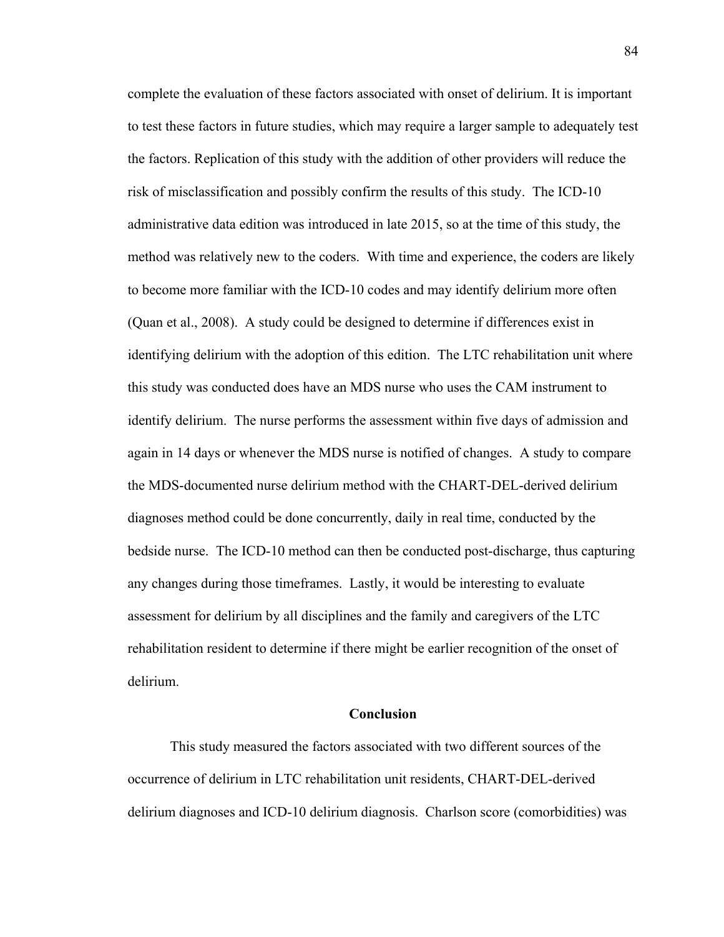complete the evaluation of these factors associated with onset of delirium. It is important to test these factors in future studies, which may require a larger sample to adequately test the factors. Replication of this study with the addition of other providers will reduce the risk of misclassification and possibly confirm the results of this study. The ICD-10 administrative data edition was introduced in late 2015, so at the time of this study, the method was relatively new to the coders. With time and experience, the coders are likely to become more familiar with the ICD-10 codes and may identify delirium more often (Quan et al., 2008). A study could be designed to determine if differences exist in identifying delirium with the adoption of this edition. The LTC rehabilitation unit where this study was conducted does have an MDS nurse who uses the CAM instrument to identify delirium. The nurse performs the assessment within five days of admission and again in 14 days or whenever the MDS nurse is notified of changes. A study to compare the MDS-documented nurse delirium method with the CHART-DEL-derived delirium diagnoses method could be done concurrently, daily in real time, conducted by the bedside nurse. The ICD-10 method can then be conducted post-discharge, thus capturing any changes during those timeframes. Lastly, it would be interesting to evaluate assessment for delirium by all disciplines and the family and caregivers of the LTC rehabilitation resident to determine if there might be earlier recognition of the onset of delirium.

#### **Conclusion**

This study measured the factors associated with two different sources of the occurrence of delirium in LTC rehabilitation unit residents, CHART-DEL-derived delirium diagnoses and ICD-10 delirium diagnosis. Charlson score (comorbidities) was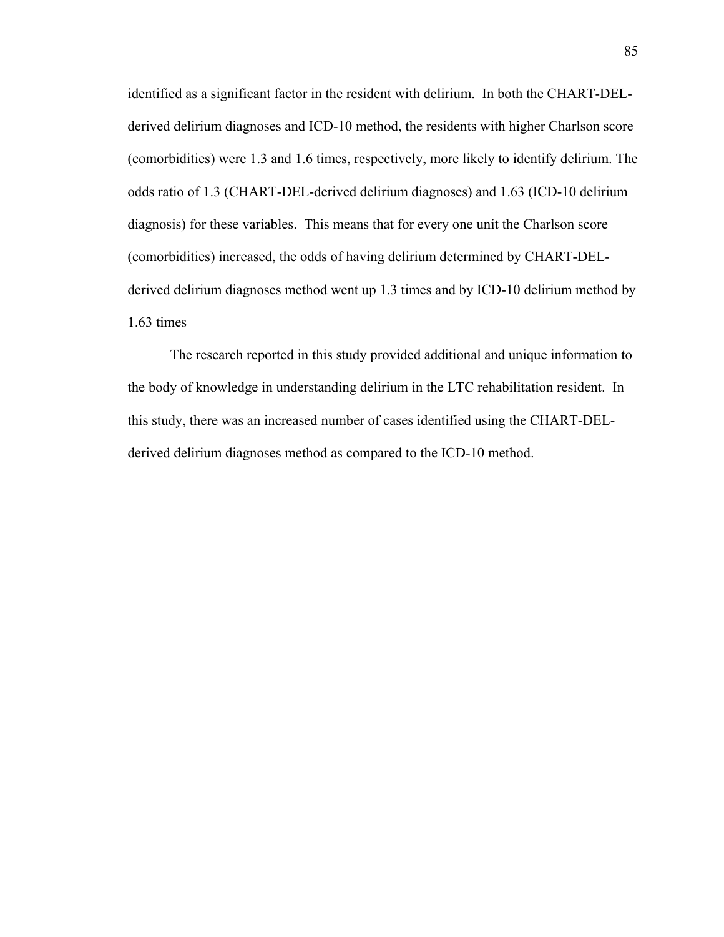identified as a significant factor in the resident with delirium. In both the CHART-DELderived delirium diagnoses and ICD-10 method, the residents with higher Charlson score (comorbidities) were 1.3 and 1.6 times, respectively, more likely to identify delirium. The odds ratio of 1.3 (CHART-DEL-derived delirium diagnoses) and 1.63 (ICD-10 delirium diagnosis) for these variables. This means that for every one unit the Charlson score (comorbidities) increased, the odds of having delirium determined by CHART-DELderived delirium diagnoses method went up 1.3 times and by ICD-10 delirium method by 1.63 times

The research reported in this study provided additional and unique information to the body of knowledge in understanding delirium in the LTC rehabilitation resident. In this study, there was an increased number of cases identified using the CHART-DELderived delirium diagnoses method as compared to the ICD-10 method.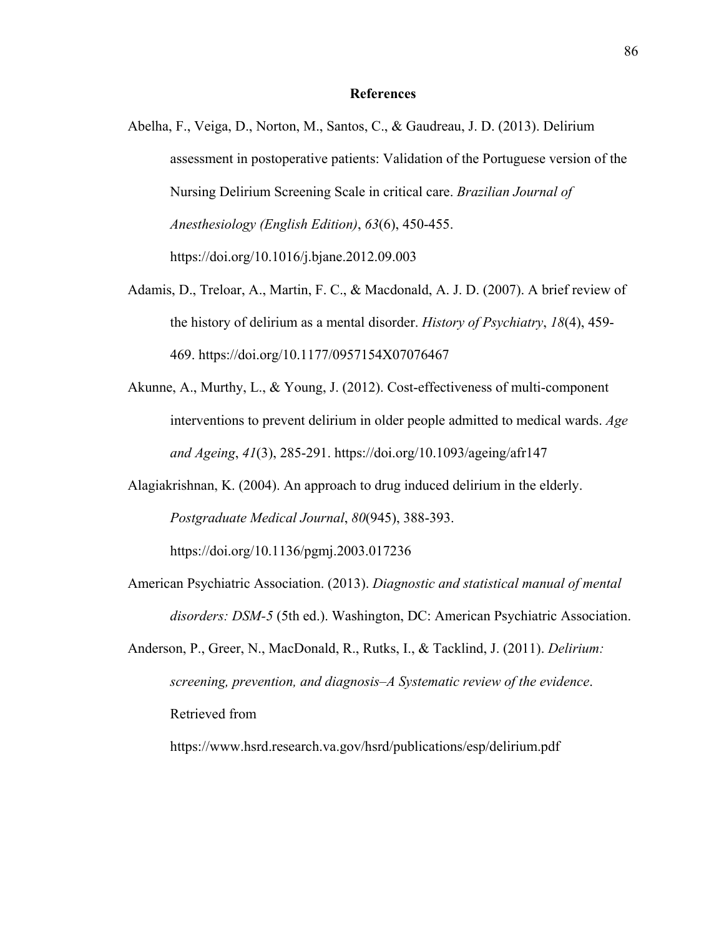#### **References**

- Abelha, F., Veiga, D., Norton, M., Santos, C., & Gaudreau, J. D. (2013). Delirium assessment in postoperative patients: Validation of the Portuguese version of the Nursing Delirium Screening Scale in critical care. *Brazilian Journal of Anesthesiology (English Edition)*, *63*(6), 450-455. https://doi.org/10.1016/j.bjane.2012.09.003
- Adamis, D., Treloar, A., Martin, F. C., & Macdonald, A. J. D. (2007). A brief review of the history of delirium as a mental disorder. *History of Psychiatry*, *18*(4), 459- 469. https://doi.org/10.1177/0957154X07076467
- Akunne, A., Murthy, L., & Young, J. (2012). Cost-effectiveness of multi-component interventions to prevent delirium in older people admitted to medical wards. *Age and Ageing*, *41*(3), 285-291. https://doi.org/10.1093/ageing/afr147
- Alagiakrishnan, K. (2004). An approach to drug induced delirium in the elderly. *Postgraduate Medical Journal*, *80*(945), 388-393. https://doi.org/10.1136/pgmj.2003.017236
- American Psychiatric Association. (2013). *Diagnostic and statistical manual of mental disorders: DSM-5* (5th ed.). Washington, DC: American Psychiatric Association.
- Anderson, P., Greer, N., MacDonald, R., Rutks, I., & Tacklind, J. (2011). *Delirium: screening, prevention, and diagnosis–A Systematic review of the evidence*. Retrieved from

https://www.hsrd.research.va.gov/hsrd/publications/esp/delirium.pdf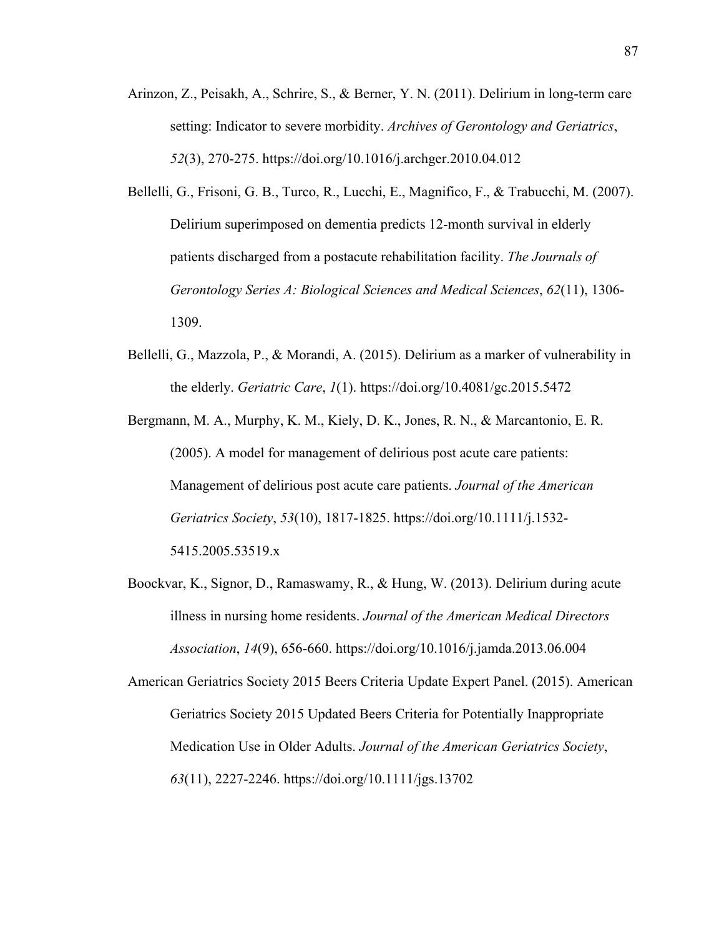- Arinzon, Z., Peisakh, A., Schrire, S., & Berner, Y. N. (2011). Delirium in long-term care setting: Indicator to severe morbidity. *Archives of Gerontology and Geriatrics*, *52*(3), 270-275. https://doi.org/10.1016/j.archger.2010.04.012
- Bellelli, G., Frisoni, G. B., Turco, R., Lucchi, E., Magnifico, F., & Trabucchi, M. (2007). Delirium superimposed on dementia predicts 12-month survival in elderly patients discharged from a postacute rehabilitation facility. *The Journals of Gerontology Series A: Biological Sciences and Medical Sciences*, *62*(11), 1306- 1309.
- Bellelli, G., Mazzola, P., & Morandi, A. (2015). Delirium as a marker of vulnerability in the elderly. *Geriatric Care*, *1*(1). https://doi.org/10.4081/gc.2015.5472

Bergmann, M. A., Murphy, K. M., Kiely, D. K., Jones, R. N., & Marcantonio, E. R. (2005). A model for management of delirious post acute care patients: Management of delirious post acute care patients. *Journal of the American Geriatrics Society*, *53*(10), 1817-1825. https://doi.org/10.1111/j.1532- 5415.2005.53519.x

Boockvar, K., Signor, D., Ramaswamy, R., & Hung, W. (2013). Delirium during acute illness in nursing home residents. *Journal of the American Medical Directors Association*, *14*(9), 656-660. https://doi.org/10.1016/j.jamda.2013.06.004

American Geriatrics Society 2015 Beers Criteria Update Expert Panel. (2015). American Geriatrics Society 2015 Updated Beers Criteria for Potentially Inappropriate Medication Use in Older Adults. *Journal of the American Geriatrics Society*, *63*(11), 2227-2246. https://doi.org/10.1111/jgs.13702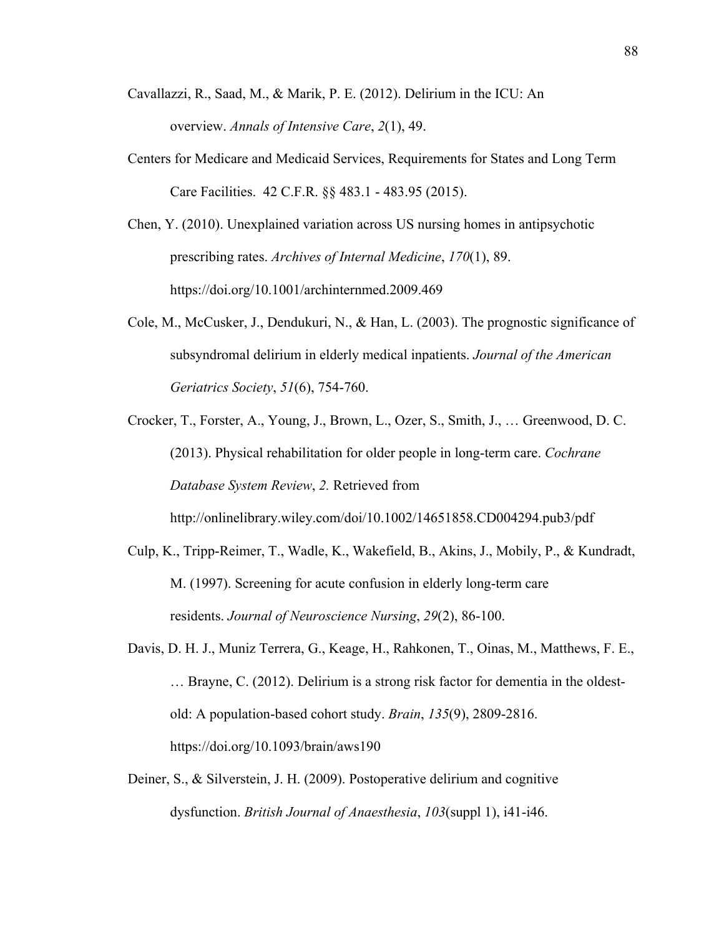- Cavallazzi, R., Saad, M., & Marik, P. E. (2012). Delirium in the ICU: An overview. *Annals of Intensive Care*, *2*(1), 49.
- Centers for Medicare and Medicaid Services, Requirements for States and Long Term Care Facilities. 42 C.F.R. §§ 483.1 - 483.95 (2015).
- Chen, Y. (2010). Unexplained variation across US nursing homes in antipsychotic prescribing rates. *Archives of Internal Medicine*, *170*(1), 89. https://doi.org/10.1001/archinternmed.2009.469
- Cole, M., McCusker, J., Dendukuri, N., & Han, L. (2003). The prognostic significance of subsyndromal delirium in elderly medical inpatients. *Journal of the American Geriatrics Society*, *51*(6), 754-760.
- Crocker, T., Forster, A., Young, J., Brown, L., Ozer, S., Smith, J., … Greenwood, D. C. (2013). Physical rehabilitation for older people in long-term care. *Cochrane Database System Review*, *2.* Retrieved from http://onlinelibrary.wiley.com/doi/10.1002/14651858.CD004294.pub3/pdf
- Culp, K., Tripp-Reimer, T., Wadle, K., Wakefield, B., Akins, J., Mobily, P., & Kundradt, M. (1997). Screening for acute confusion in elderly long-term care residents. *Journal of Neuroscience Nursing*, *29*(2), 86-100.
- Davis, D. H. J., Muniz Terrera, G., Keage, H., Rahkonen, T., Oinas, M., Matthews, F. E., … Brayne, C. (2012). Delirium is a strong risk factor for dementia in the oldestold: A population-based cohort study. *Brain*, *135*(9), 2809-2816. https://doi.org/10.1093/brain/aws190
- Deiner, S., & Silverstein, J. H. (2009). Postoperative delirium and cognitive dysfunction. *British Journal of Anaesthesia*, *103*(suppl 1), i41-i46.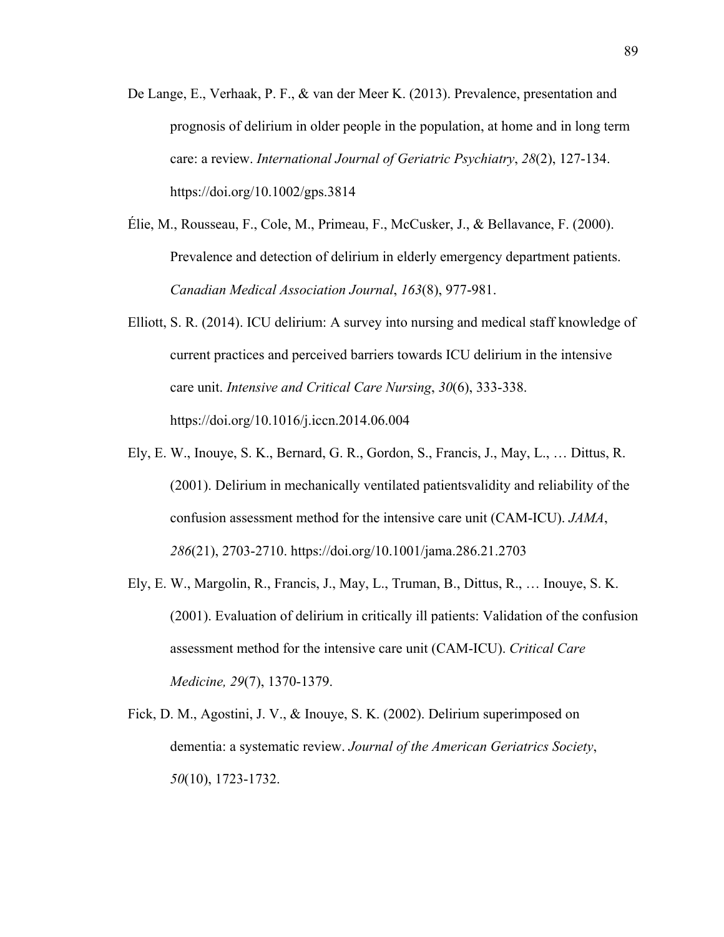- De Lange, E., Verhaak, P. F., & van der Meer K. (2013). Prevalence, presentation and prognosis of delirium in older people in the population, at home and in long term care: a review. *International Journal of Geriatric Psychiatry*, *28*(2), 127-134. https://doi.org/10.1002/gps.3814
- Élie, M., Rousseau, F., Cole, M., Primeau, F., McCusker, J., & Bellavance, F. (2000). Prevalence and detection of delirium in elderly emergency department patients. *Canadian Medical Association Journal*, *163*(8), 977-981.
- Elliott, S. R. (2014). ICU delirium: A survey into nursing and medical staff knowledge of current practices and perceived barriers towards ICU delirium in the intensive care unit. *Intensive and Critical Care Nursing*, *30*(6), 333-338. https://doi.org/10.1016/j.iccn.2014.06.004
- Ely, E. W., Inouye, S. K., Bernard, G. R., Gordon, S., Francis, J., May, L., … Dittus, R. (2001). Delirium in mechanically ventilated patientsvalidity and reliability of the confusion assessment method for the intensive care unit (CAM-ICU). *JAMA*, *286*(21), 2703-2710. https://doi.org/10.1001/jama.286.21.2703
- Ely, E. W., Margolin, R., Francis, J., May, L., Truman, B., Dittus, R., … Inouye, S. K. (2001). Evaluation of delirium in critically ill patients: Validation of the confusion assessment method for the intensive care unit (CAM-ICU). *Critical Care Medicine, 29*(7), 1370-1379.
- Fick, D. M., Agostini, J. V., & Inouye, S. K. (2002). Delirium superimposed on dementia: a systematic review. *Journal of the American Geriatrics Society*, *50*(10), 1723-1732.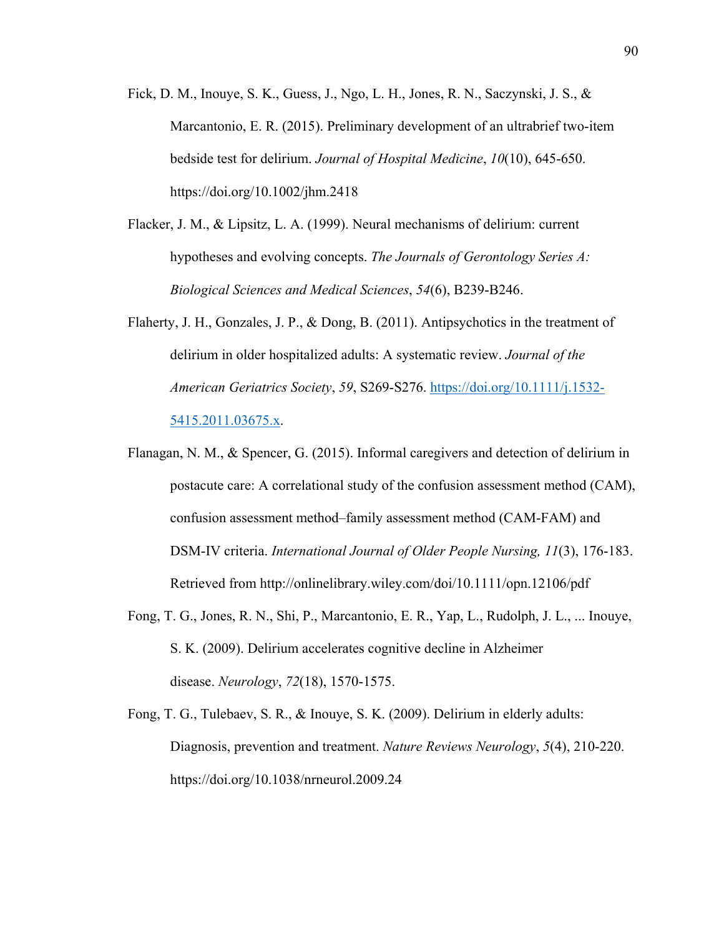- Fick, D. M., Inouye, S. K., Guess, J., Ngo, L. H., Jones, R. N., Saczynski, J. S., & Marcantonio, E. R. (2015). Preliminary development of an ultrabrief two-item bedside test for delirium. *Journal of Hospital Medicine*, *10*(10), 645-650. https://doi.org/10.1002/jhm.2418
- Flacker, J. M., & Lipsitz, L. A. (1999). Neural mechanisms of delirium: current hypotheses and evolving concepts. *The Journals of Gerontology Series A: Biological Sciences and Medical Sciences*, *54*(6), B239-B246.
- Flaherty, J. H., Gonzales, J. P., & Dong, B. (2011). Antipsychotics in the treatment of delirium in older hospitalized adults: A systematic review. *Journal of the American Geriatrics Society*, *59*, S269-S276. https://doi.org/10.1111/j.1532- 5415.2011.03675.x.
- Flanagan, N. M., & Spencer, G. (2015). Informal caregivers and detection of delirium in postacute care: A correlational study of the confusion assessment method (CAM), confusion assessment method–family assessment method (CAM-FAM) and DSM-IV criteria. *International Journal of Older People Nursing, 11*(3), 176-183. Retrieved from http://onlinelibrary.wiley.com/doi/10.1111/opn.12106/pdf
- Fong, T. G., Jones, R. N., Shi, P., Marcantonio, E. R., Yap, L., Rudolph, J. L., ... Inouye, S. K. (2009). Delirium accelerates cognitive decline in Alzheimer disease. *Neurology*, *72*(18), 1570-1575.
- Fong, T. G., Tulebaev, S. R., & Inouye, S. K. (2009). Delirium in elderly adults: Diagnosis, prevention and treatment. *Nature Reviews Neurology*, *5*(4), 210-220. https://doi.org/10.1038/nrneurol.2009.24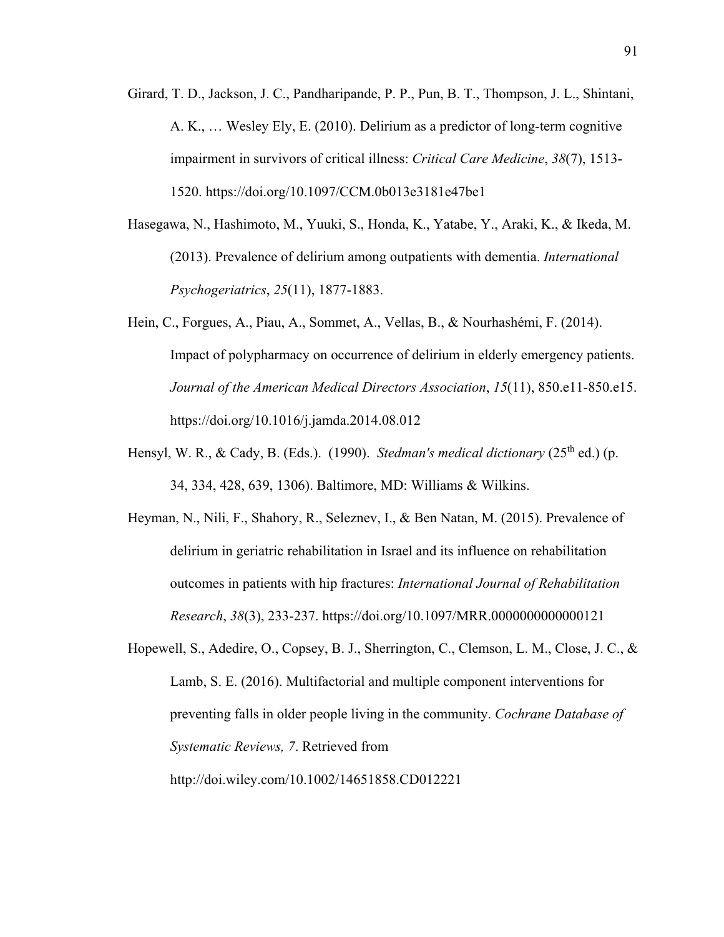- Girard, T. D., Jackson, J. C., Pandharipande, P. P., Pun, B. T., Thompson, J. L., Shintani, A. K., … Wesley Ely, E. (2010). Delirium as a predictor of long-term cognitive impairment in survivors of critical illness: *Critical Care Medicine*, *38*(7), 1513- 1520. https://doi.org/10.1097/CCM.0b013e3181e47be1
- Hasegawa, N., Hashimoto, M., Yuuki, S., Honda, K., Yatabe, Y., Araki, K., & Ikeda, M. (2013). Prevalence of delirium among outpatients with dementia. *International Psychogeriatrics*, *25*(11), 1877-1883.
- Hein, C., Forgues, A., Piau, A., Sommet, A., Vellas, B., & Nourhashémi, F. (2014). Impact of polypharmacy on occurrence of delirium in elderly emergency patients. *Journal of the American Medical Directors Association*, *15*(11), 850.e11-850.e15. https://doi.org/10.1016/j.jamda.2014.08.012
- Hensyl, W. R., & Cady, B. (Eds.). (1990). *Stedman's medical dictionary* (25<sup>th</sup> ed.) (p. 34, 334, 428, 639, 1306). Baltimore, MD: Williams & Wilkins.
- Heyman, N., Nili, F., Shahory, R., Seleznev, I., & Ben Natan, M. (2015). Prevalence of delirium in geriatric rehabilitation in Israel and its influence on rehabilitation outcomes in patients with hip fractures: *International Journal of Rehabilitation Research*, *38*(3), 233-237. https://doi.org/10.1097/MRR.0000000000000121
- Hopewell, S., Adedire, O., Copsey, B. J., Sherrington, C., Clemson, L. M., Close, J. C., & Lamb, S. E. (2016). Multifactorial and multiple component interventions for preventing falls in older people living in the community. *Cochrane Database of Systematic Reviews, 7*. Retrieved from http://doi.wiley.com/10.1002/14651858.CD012221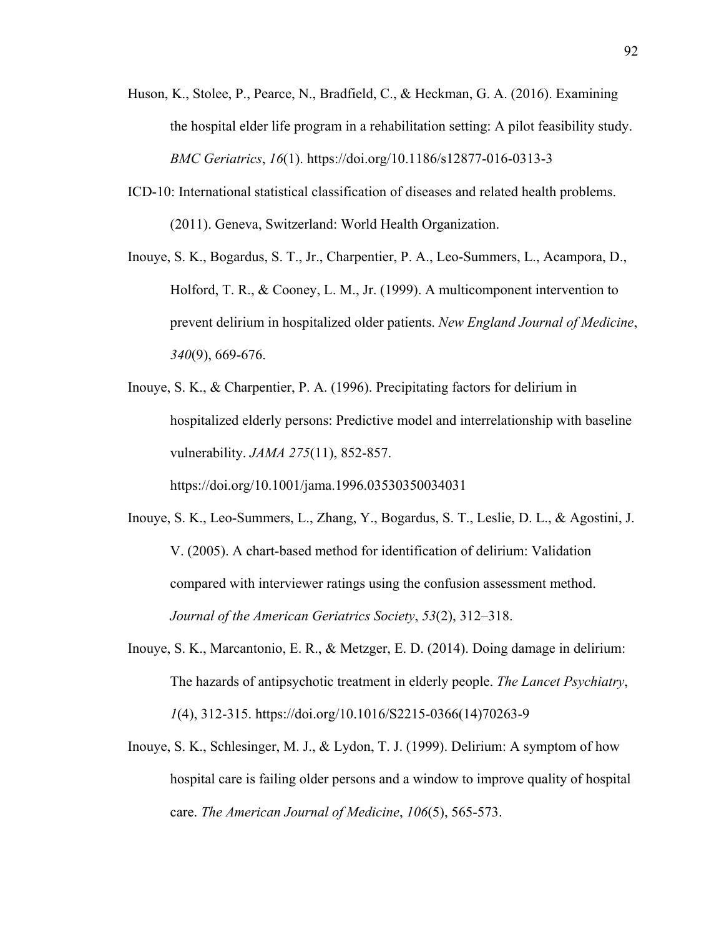- Huson, K., Stolee, P., Pearce, N., Bradfield, C., & Heckman, G. A. (2016). Examining the hospital elder life program in a rehabilitation setting: A pilot feasibility study. *BMC Geriatrics*, *16*(1). https://doi.org/10.1186/s12877-016-0313-3
- ICD-10: International statistical classification of diseases and related health problems. (2011). Geneva, Switzerland: World Health Organization.
- Inouye, S. K., Bogardus, S. T., Jr., Charpentier, P. A., Leo-Summers, L., Acampora, D., Holford, T. R., & Cooney, L. M., Jr. (1999). A multicomponent intervention to prevent delirium in hospitalized older patients. *New England Journal of Medicine*, *340*(9), 669-676.
- Inouye, S. K., & Charpentier, P. A. (1996). Precipitating factors for delirium in hospitalized elderly persons: Predictive model and interrelationship with baseline vulnerability. *JAMA 275*(11), 852-857.

https://doi.org/10.1001/jama.1996.03530350034031

- Inouye, S. K., Leo-Summers, L., Zhang, Y., Bogardus, S. T., Leslie, D. L., & Agostini, J. V. (2005). A chart-based method for identification of delirium: Validation compared with interviewer ratings using the confusion assessment method. *Journal of the American Geriatrics Society*, *53*(2), 312–318.
- Inouye, S. K., Marcantonio, E. R., & Metzger, E. D. (2014). Doing damage in delirium: The hazards of antipsychotic treatment in elderly people. *The Lancet Psychiatry*, *1*(4), 312-315. https://doi.org/10.1016/S2215-0366(14)70263-9
- Inouye, S. K., Schlesinger, M. J., & Lydon, T. J. (1999). Delirium: A symptom of how hospital care is failing older persons and a window to improve quality of hospital care. *The American Journal of Medicine*, *106*(5), 565-573.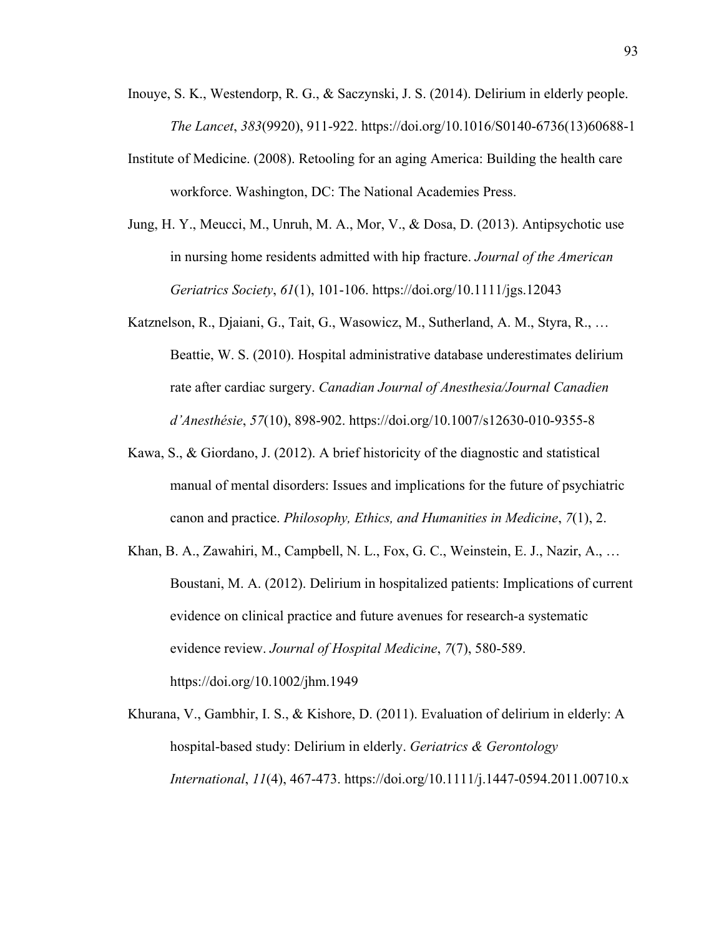- Inouye, S. K., Westendorp, R. G., & Saczynski, J. S. (2014). Delirium in elderly people. *The Lancet*, *383*(9920), 911-922. https://doi.org/10.1016/S0140-6736(13)60688-1
- Institute of Medicine. (2008). Retooling for an aging America: Building the health care workforce. Washington, DC: The National Academies Press.
- Jung, H. Y., Meucci, M., Unruh, M. A., Mor, V., & Dosa, D. (2013). Antipsychotic use in nursing home residents admitted with hip fracture. *Journal of the American Geriatrics Society*, *61*(1), 101-106. https://doi.org/10.1111/jgs.12043
- Katznelson, R., Djaiani, G., Tait, G., Wasowicz, M., Sutherland, A. M., Styra, R., … Beattie, W. S. (2010). Hospital administrative database underestimates delirium rate after cardiac surgery. *Canadian Journal of Anesthesia/Journal Canadien d'Anesthésie*, *57*(10), 898-902. https://doi.org/10.1007/s12630-010-9355-8
- Kawa, S., & Giordano, J. (2012). A brief historicity of the diagnostic and statistical manual of mental disorders: Issues and implications for the future of psychiatric canon and practice. *Philosophy, Ethics, and Humanities in Medicine*, *7*(1), 2.
- Khan, B. A., Zawahiri, M., Campbell, N. L., Fox, G. C., Weinstein, E. J., Nazir, A., … Boustani, M. A. (2012). Delirium in hospitalized patients: Implications of current evidence on clinical practice and future avenues for research-a systematic evidence review. *Journal of Hospital Medicine*, *7*(7), 580-589. https://doi.org/10.1002/jhm.1949
- Khurana, V., Gambhir, I. S., & Kishore, D. (2011). Evaluation of delirium in elderly: A hospital-based study: Delirium in elderly. *Geriatrics & Gerontology International*, *11*(4), 467-473. https://doi.org/10.1111/j.1447-0594.2011.00710.x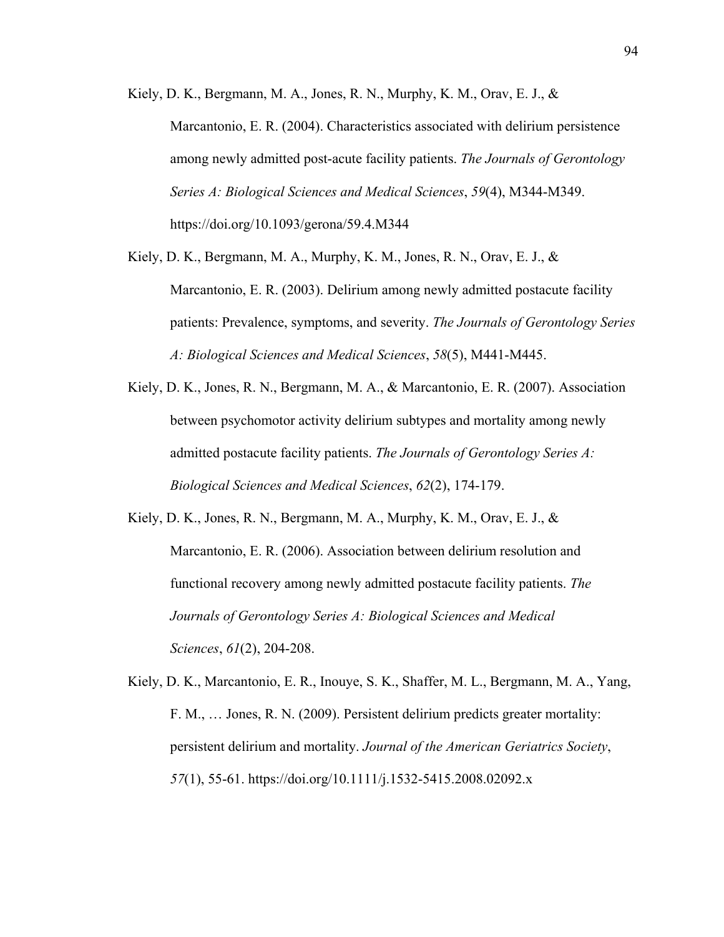Kiely, D. K., Bergmann, M. A., Jones, R. N., Murphy, K. M., Orav, E. J., & Marcantonio, E. R. (2004). Characteristics associated with delirium persistence among newly admitted post-acute facility patients. *The Journals of Gerontology Series A: Biological Sciences and Medical Sciences*, *59*(4), M344-M349. https://doi.org/10.1093/gerona/59.4.M344

Kiely, D. K., Bergmann, M. A., Murphy, K. M., Jones, R. N., Orav, E. J., & Marcantonio, E. R. (2003). Delirium among newly admitted postacute facility patients: Prevalence, symptoms, and severity. *The Journals of Gerontology Series A: Biological Sciences and Medical Sciences*, *58*(5), M441-M445.

Kiely, D. K., Jones, R. N., Bergmann, M. A., & Marcantonio, E. R. (2007). Association between psychomotor activity delirium subtypes and mortality among newly admitted postacute facility patients. *The Journals of Gerontology Series A: Biological Sciences and Medical Sciences*, *62*(2), 174-179.

Kiely, D. K., Jones, R. N., Bergmann, M. A., Murphy, K. M., Orav, E. J., & Marcantonio, E. R. (2006). Association between delirium resolution and functional recovery among newly admitted postacute facility patients. *The Journals of Gerontology Series A: Biological Sciences and Medical Sciences*, *61*(2), 204-208.

Kiely, D. K., Marcantonio, E. R., Inouye, S. K., Shaffer, M. L., Bergmann, M. A., Yang, F. M., … Jones, R. N. (2009). Persistent delirium predicts greater mortality: persistent delirium and mortality. *Journal of the American Geriatrics Society*, *57*(1), 55-61. https://doi.org/10.1111/j.1532-5415.2008.02092.x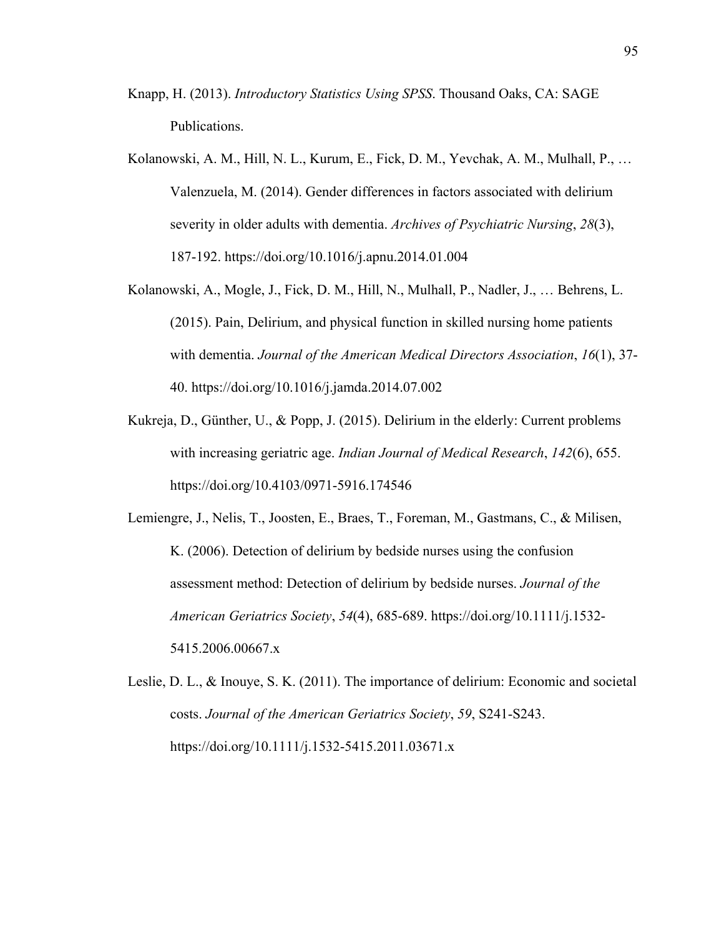- Knapp, H. (2013). *Introductory Statistics Using SPSS*. Thousand Oaks, CA: SAGE Publications.
- Kolanowski, A. M., Hill, N. L., Kurum, E., Fick, D. M., Yevchak, A. M., Mulhall, P., … Valenzuela, M. (2014). Gender differences in factors associated with delirium severity in older adults with dementia. *Archives of Psychiatric Nursing*, *28*(3), 187-192. https://doi.org/10.1016/j.apnu.2014.01.004
- Kolanowski, A., Mogle, J., Fick, D. M., Hill, N., Mulhall, P., Nadler, J., … Behrens, L. (2015). Pain, Delirium, and physical function in skilled nursing home patients with dementia. *Journal of the American Medical Directors Association*, *16*(1), 37- 40. https://doi.org/10.1016/j.jamda.2014.07.002
- Kukreja, D., Günther, U., & Popp, J. (2015). Delirium in the elderly: Current problems with increasing geriatric age. *Indian Journal of Medical Research*, *142*(6), 655. https://doi.org/10.4103/0971-5916.174546

Lemiengre, J., Nelis, T., Joosten, E., Braes, T., Foreman, M., Gastmans, C., & Milisen, K. (2006). Detection of delirium by bedside nurses using the confusion assessment method: Detection of delirium by bedside nurses. *Journal of the American Geriatrics Society*, *54*(4), 685-689. https://doi.org/10.1111/j.1532- 5415.2006.00667.x

Leslie, D. L., & Inouye, S. K. (2011). The importance of delirium: Economic and societal costs. *Journal of the American Geriatrics Society*, *59*, S241-S243. https://doi.org/10.1111/j.1532-5415.2011.03671.x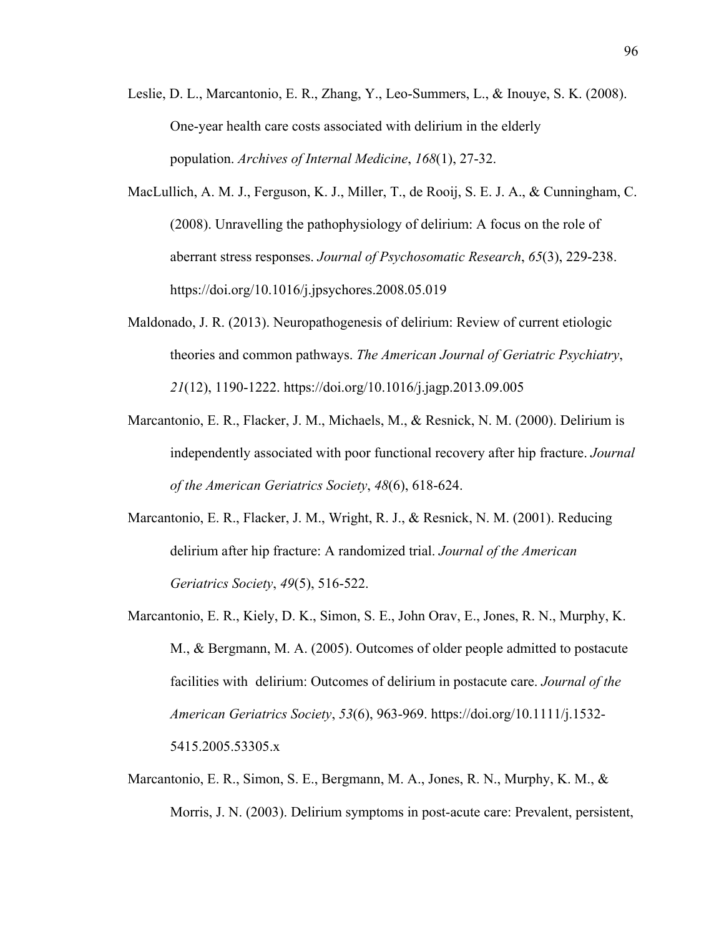- Leslie, D. L., Marcantonio, E. R., Zhang, Y., Leo-Summers, L., & Inouye, S. K. (2008). One-year health care costs associated with delirium in the elderly population. *Archives of Internal Medicine*, *168*(1), 27-32.
- MacLullich, A. M. J., Ferguson, K. J., Miller, T., de Rooij, S. E. J. A., & Cunningham, C. (2008). Unravelling the pathophysiology of delirium: A focus on the role of aberrant stress responses. *Journal of Psychosomatic Research*, *65*(3), 229-238. https://doi.org/10.1016/j.jpsychores.2008.05.019
- Maldonado, J. R. (2013). Neuropathogenesis of delirium: Review of current etiologic theories and common pathways. *The American Journal of Geriatric Psychiatry*, *21*(12), 1190-1222. https://doi.org/10.1016/j.jagp.2013.09.005
- Marcantonio, E. R., Flacker, J. M., Michaels, M., & Resnick, N. M. (2000). Delirium is independently associated with poor functional recovery after hip fracture. *Journal of the American Geriatrics Society*, *48*(6), 618-624.
- Marcantonio, E. R., Flacker, J. M., Wright, R. J., & Resnick, N. M. (2001). Reducing delirium after hip fracture: A randomized trial. *Journal of the American Geriatrics Society*, *49*(5), 516-522.
- Marcantonio, E. R., Kiely, D. K., Simon, S. E., John Orav, E., Jones, R. N., Murphy, K. M., & Bergmann, M. A. (2005). Outcomes of older people admitted to postacute facilities with delirium: Outcomes of delirium in postacute care. *Journal of the American Geriatrics Society*, *53*(6), 963-969. https://doi.org/10.1111/j.1532- 5415.2005.53305.x
- Marcantonio, E. R., Simon, S. E., Bergmann, M. A., Jones, R. N., Murphy, K. M., & Morris, J. N. (2003). Delirium symptoms in post-acute care: Prevalent, persistent,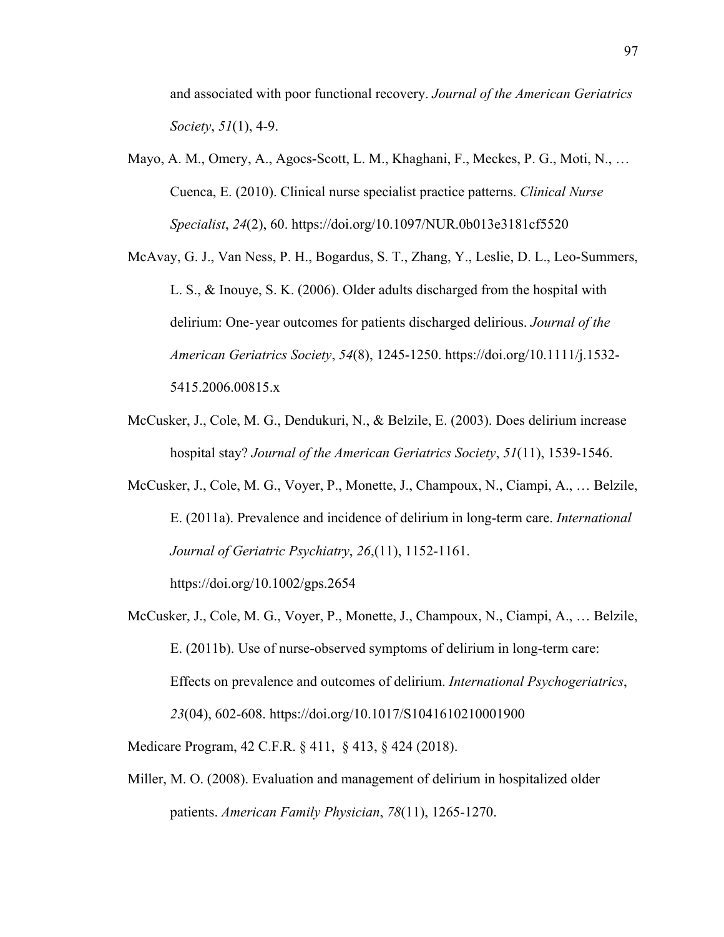and associated with poor functional recovery. *Journal of the American Geriatrics Society*, *51*(1), 4-9.

- Mayo, A. M., Omery, A., Agocs-Scott, L. M., Khaghani, F., Meckes, P. G., Moti, N., … Cuenca, E. (2010). Clinical nurse specialist practice patterns. *Clinical Nurse Specialist*, *24*(2), 60. https://doi.org/10.1097/NUR.0b013e3181cf5520
- McAvay, G. J., Van Ness, P. H., Bogardus, S. T., Zhang, Y., Leslie, D. L., Leo-Summers, L. S., & Inouye, S. K. (2006). Older adults discharged from the hospital with delirium: One- year outcomes for patients discharged delirious. *Journal of the American Geriatrics Society*, *54*(8), 1245-1250. https://doi.org/10.1111/j.1532- 5415.2006.00815.x
- McCusker, J., Cole, M. G., Dendukuri, N., & Belzile, E. (2003). Does delirium increase hospital stay? *Journal of the American Geriatrics Society*, *51*(11), 1539-1546.
- McCusker, J., Cole, M. G., Voyer, P., Monette, J., Champoux, N., Ciampi, A., … Belzile, E. (2011a). Prevalence and incidence of delirium in long-term care. *International Journal of Geriatric Psychiatry*, *26*,(11), 1152-1161.

https://doi.org/10.1002/gps.2654

McCusker, J., Cole, M. G., Voyer, P., Monette, J., Champoux, N., Ciampi, A., … Belzile, E. (2011b). Use of nurse-observed symptoms of delirium in long-term care: Effects on prevalence and outcomes of delirium. *International Psychogeriatrics*, *23*(04), 602-608. https://doi.org/10.1017/S1041610210001900

Medicare Program, 42 C.F.R. § 411, § 413, § 424 (2018).

Miller, M. O. (2008). Evaluation and management of delirium in hospitalized older patients. *American Family Physician*, *78*(11), 1265-1270.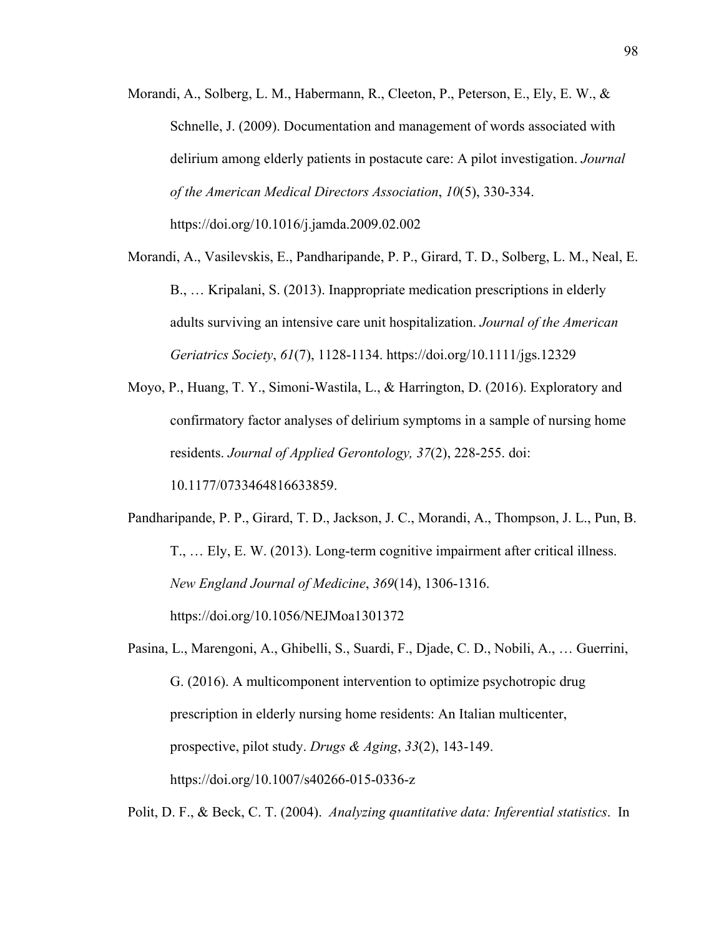- Morandi, A., Solberg, L. M., Habermann, R., Cleeton, P., Peterson, E., Ely, E. W., & Schnelle, J. (2009). Documentation and management of words associated with delirium among elderly patients in postacute care: A pilot investigation. *Journal of the American Medical Directors Association*, *10*(5), 330-334. https://doi.org/10.1016/j.jamda.2009.02.002
- Morandi, A., Vasilevskis, E., Pandharipande, P. P., Girard, T. D., Solberg, L. M., Neal, E. B., … Kripalani, S. (2013). Inappropriate medication prescriptions in elderly adults surviving an intensive care unit hospitalization. *Journal of the American Geriatrics Society*, *61*(7), 1128-1134. https://doi.org/10.1111/jgs.12329
- Moyo, P., Huang, T. Y., Simoni-Wastila, L., & Harrington, D. (2016). Exploratory and confirmatory factor analyses of delirium symptoms in a sample of nursing home residents. *Journal of Applied Gerontology, 37*(2), 228-255. doi: 10.1177/0733464816633859.

Pandharipande, P. P., Girard, T. D., Jackson, J. C., Morandi, A., Thompson, J. L., Pun, B. T., … Ely, E. W. (2013). Long-term cognitive impairment after critical illness. *New England Journal of Medicine*, *369*(14), 1306-1316. https://doi.org/10.1056/NEJMoa1301372

Pasina, L., Marengoni, A., Ghibelli, S., Suardi, F., Djade, C. D., Nobili, A., … Guerrini, G. (2016). A multicomponent intervention to optimize psychotropic drug prescription in elderly nursing home residents: An Italian multicenter, prospective, pilot study. *Drugs & Aging*, *33*(2), 143-149. https://doi.org/10.1007/s40266-015-0336-z

Polit, D. F., & Beck, C. T. (2004). *Analyzing quantitative data: Inferential statistics*. In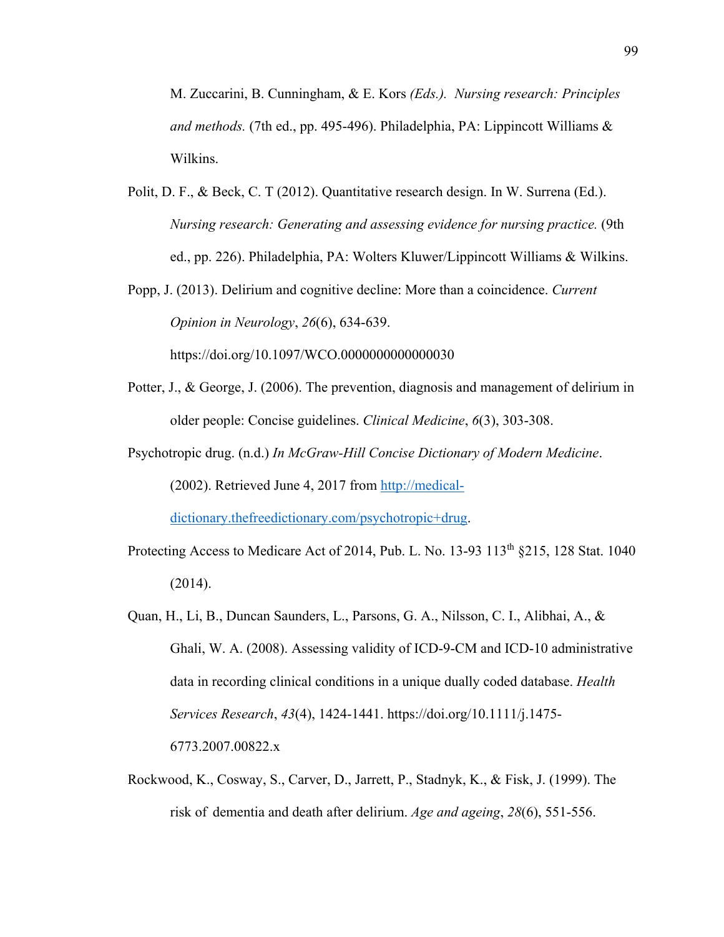M. Zuccarini, B. Cunningham, & E. Kors *(Eds.). Nursing research: Principles and methods.* (7th ed., pp. 495-496). Philadelphia, PA: Lippincott Williams & Wilkins.

- Polit, D. F., & Beck, C. T (2012). Quantitative research design. In W. Surrena (Ed.). *Nursing research: Generating and assessing evidence for nursing practice.* (9th ed., pp. 226). Philadelphia, PA: Wolters Kluwer/Lippincott Williams & Wilkins.
- Popp, J. (2013). Delirium and cognitive decline: More than a coincidence. *Current Opinion in Neurology*, *26*(6), 634-639.

https://doi.org/10.1097/WCO.0000000000000030

- Potter, J., & George, J. (2006). The prevention, diagnosis and management of delirium in older people: Concise guidelines. *Clinical Medicine*, *6*(3), 303-308.
- Psychotropic drug. (n.d.) *In McGraw-Hill Concise Dictionary of Modern Medicine*. (2002). Retrieved June 4, 2017 from http://medicaldictionary.thefreedictionary.com/psychotropic+drug.
- Protecting Access to Medicare Act of 2014, Pub. L. No.  $13-93$   $113<sup>th</sup>$  §215, 128 Stat. 1040 (2014).
- Quan, H., Li, B., Duncan Saunders, L., Parsons, G. A., Nilsson, C. I., Alibhai, A., & Ghali, W. A. (2008). Assessing validity of ICD-9-CM and ICD-10 administrative data in recording clinical conditions in a unique dually coded database. *Health Services Research*, *43*(4), 1424-1441. https://doi.org/10.1111/j.1475- 6773.2007.00822.x
- Rockwood, K., Cosway, S., Carver, D., Jarrett, P., Stadnyk, K., & Fisk, J. (1999). The risk of dementia and death after delirium. *Age and ageing*, *28*(6), 551-556.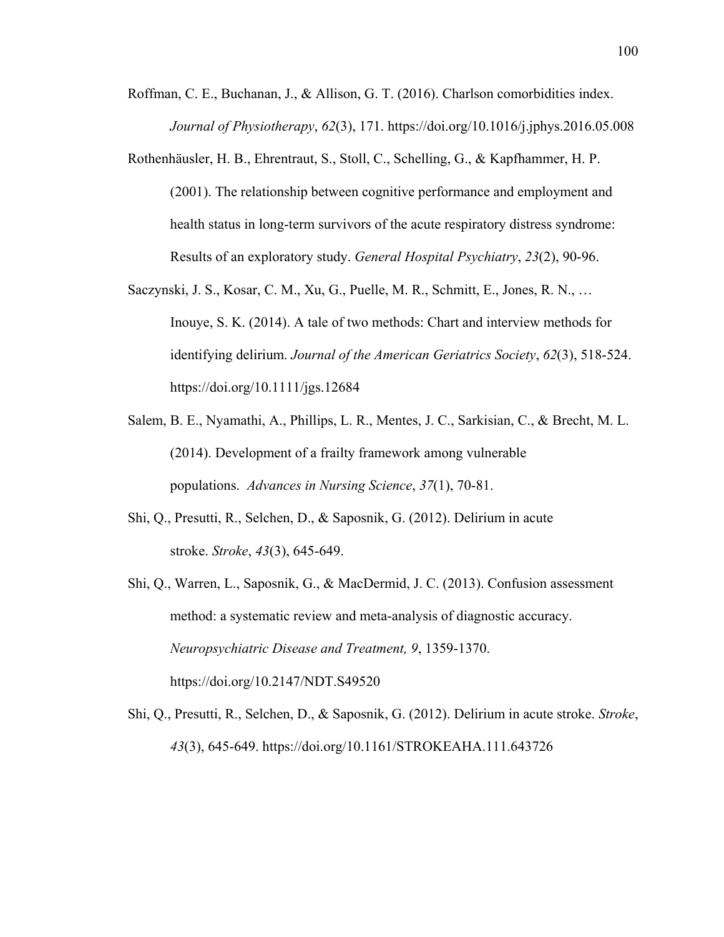- Roffman, C. E., Buchanan, J., & Allison, G. T. (2016). Charlson comorbidities index. *Journal of Physiotherapy*, *62*(3), 171. https://doi.org/10.1016/j.jphys.2016.05.008
- Rothenhäusler, H. B., Ehrentraut, S., Stoll, C., Schelling, G., & Kapfhammer, H. P. (2001). The relationship between cognitive performance and employment and health status in long-term survivors of the acute respiratory distress syndrome: Results of an exploratory study. *General Hospital Psychiatry*, *23*(2), 90-96.
- Saczynski, J. S., Kosar, C. M., Xu, G., Puelle, M. R., Schmitt, E., Jones, R. N., … Inouye, S. K. (2014). A tale of two methods: Chart and interview methods for identifying delirium. *Journal of the American Geriatrics Society*, *62*(3), 518-524. https://doi.org/10.1111/jgs.12684
- Salem, B. E., Nyamathi, A., Phillips, L. R., Mentes, J. C., Sarkisian, C., & Brecht, M. L. (2014). Development of a frailty framework among vulnerable populations. *Advances in Nursing Science*, *37*(1), 70-81.
- Shi, Q., Presutti, R., Selchen, D., & Saposnik, G. (2012). Delirium in acute stroke. *Stroke*, *43*(3), 645-649.
- Shi, Q., Warren, L., Saposnik, G., & MacDermid, J. C. (2013). Confusion assessment method: a systematic review and meta-analysis of diagnostic accuracy. *Neuropsychiatric Disease and Treatment, 9*, 1359-1370. https://doi.org/10.2147/NDT.S49520
- Shi, Q., Presutti, R., Selchen, D., & Saposnik, G. (2012). Delirium in acute stroke. *Stroke*, *43*(3), 645-649. https://doi.org/10.1161/STROKEAHA.111.643726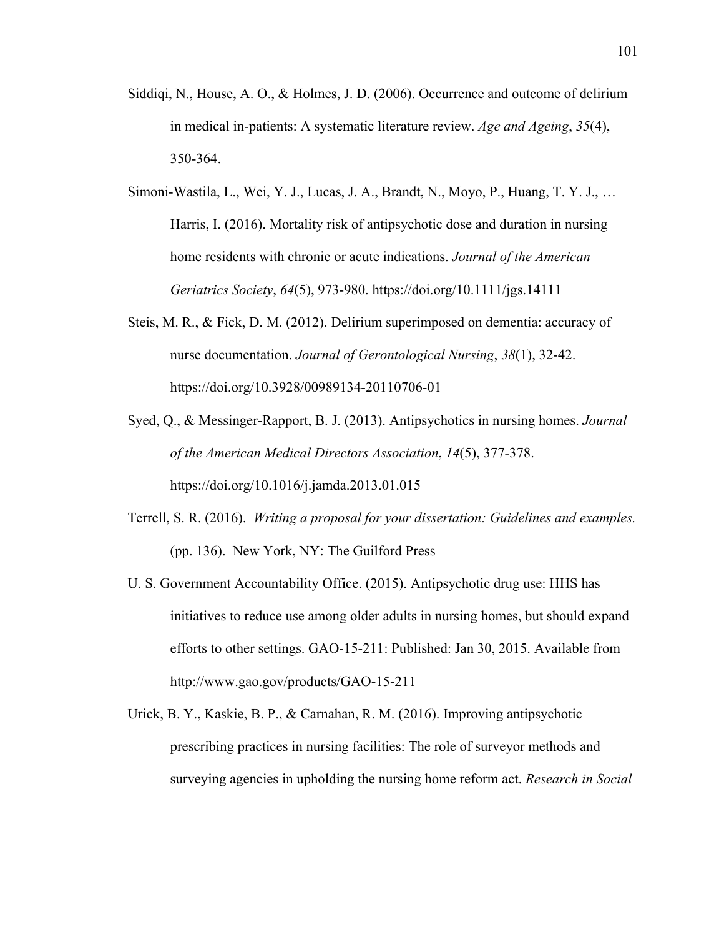- Siddiqi, N., House, A. O., & Holmes, J. D. (2006). Occurrence and outcome of delirium in medical in-patients: A systematic literature review. *Age and Ageing*, *35*(4), 350-364.
- Simoni-Wastila, L., Wei, Y. J., Lucas, J. A., Brandt, N., Moyo, P., Huang, T. Y. J., … Harris, I. (2016). Mortality risk of antipsychotic dose and duration in nursing home residents with chronic or acute indications. *Journal of the American Geriatrics Society*, *64*(5), 973-980. https://doi.org/10.1111/jgs.14111
- Steis, M. R., & Fick, D. M. (2012). Delirium superimposed on dementia: accuracy of nurse documentation. *Journal of Gerontological Nursing*, *38*(1), 32-42. https://doi.org/10.3928/00989134-20110706-01
- Syed, Q., & Messinger-Rapport, B. J. (2013). Antipsychotics in nursing homes. *Journal of the American Medical Directors Association*, *14*(5), 377-378. https://doi.org/10.1016/j.jamda.2013.01.015
- Terrell, S. R. (2016). *Writing a proposal for your dissertation: Guidelines and examples.* (pp. 136). New York, NY: The Guilford Press
- U. S. Government Accountability Office. (2015). Antipsychotic drug use: HHS has initiatives to reduce use among older adults in nursing homes, but should expand efforts to other settings. GAO-15-211: Published: Jan 30, 2015. Available from http://www.gao.gov/products/GAO-15-211
- Urick, B. Y., Kaskie, B. P., & Carnahan, R. M. (2016). Improving antipsychotic prescribing practices in nursing facilities: The role of surveyor methods and surveying agencies in upholding the nursing home reform act. *Research in Social*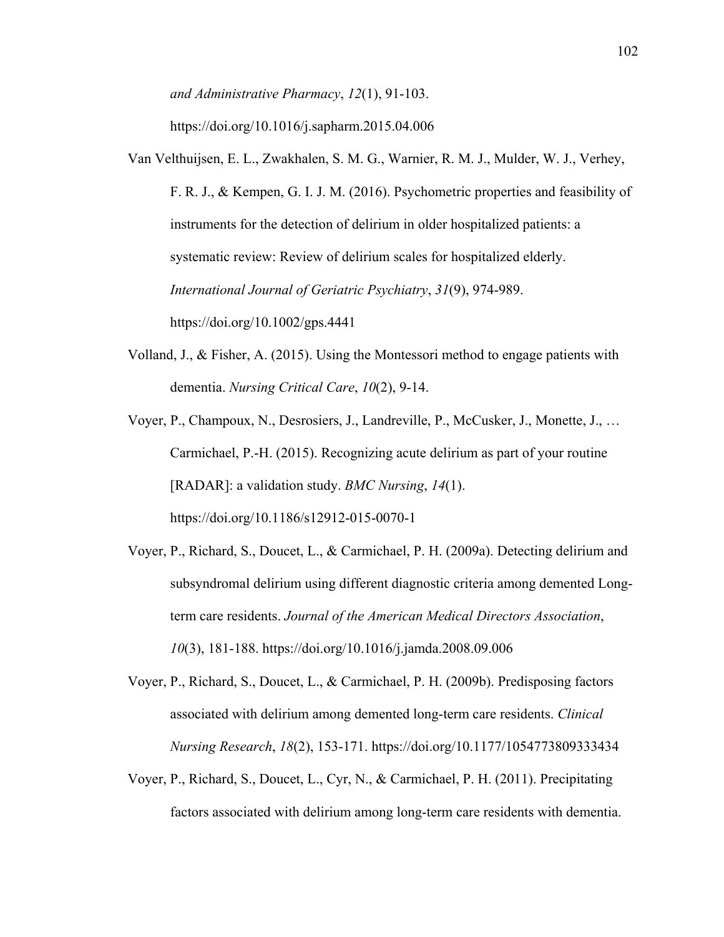*and Administrative Pharmacy*, *12*(1), 91-103.

https://doi.org/10.1016/j.sapharm.2015.04.006

- Van Velthuijsen, E. L., Zwakhalen, S. M. G., Warnier, R. M. J., Mulder, W. J., Verhey, F. R. J., & Kempen, G. I. J. M. (2016). Psychometric properties and feasibility of instruments for the detection of delirium in older hospitalized patients: a systematic review: Review of delirium scales for hospitalized elderly. *International Journal of Geriatric Psychiatry*, *31*(9), 974-989. https://doi.org/10.1002/gps.4441
- Volland, J., & Fisher, A. (2015). Using the Montessori method to engage patients with dementia. *Nursing Critical Care*, *10*(2), 9-14.

Voyer, P., Champoux, N., Desrosiers, J., Landreville, P., McCusker, J., Monette, J., … Carmichael, P.-H. (2015). Recognizing acute delirium as part of your routine [RADAR]: a validation study. *BMC Nursing*, *14*(1). https://doi.org/10.1186/s12912-015-0070-1

- Voyer, P., Richard, S., Doucet, L., & Carmichael, P. H. (2009a). Detecting delirium and subsyndromal delirium using different diagnostic criteria among demented Longterm care residents. *Journal of the American Medical Directors Association*, *10*(3), 181-188. https://doi.org/10.1016/j.jamda.2008.09.006
- Voyer, P., Richard, S., Doucet, L., & Carmichael, P. H. (2009b). Predisposing factors associated with delirium among demented long-term care residents. *Clinical Nursing Research*, *18*(2), 153-171. https://doi.org/10.1177/1054773809333434
- Voyer, P., Richard, S., Doucet, L., Cyr, N., & Carmichael, P. H. (2011). Precipitating factors associated with delirium among long-term care residents with dementia.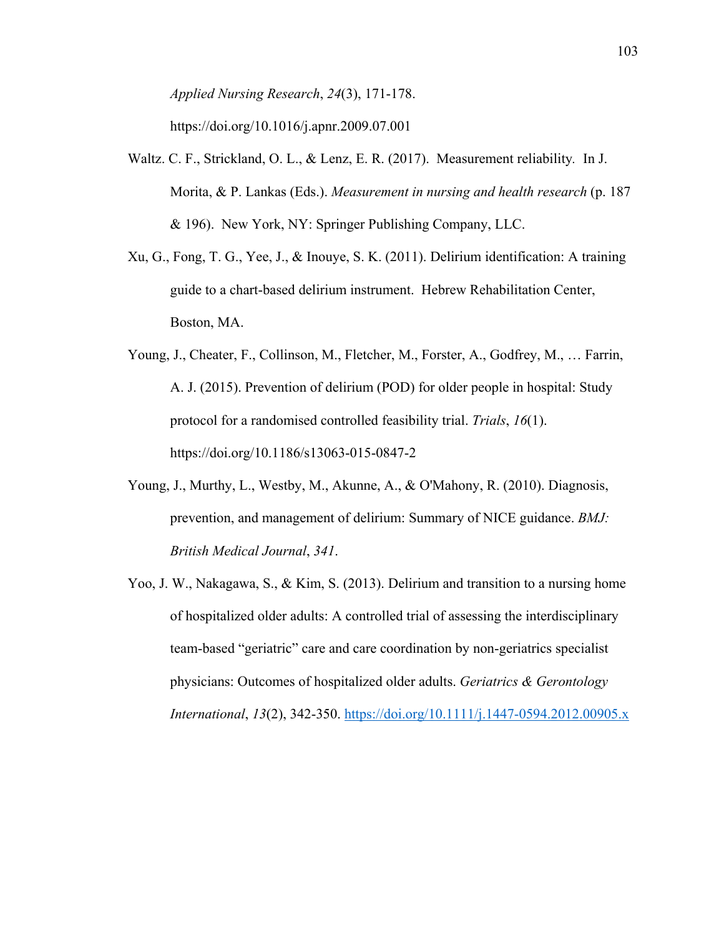*Applied Nursing Research*, *24*(3), 171-178.

https://doi.org/10.1016/j.apnr.2009.07.001

- Waltz. C. F., Strickland, O. L., & Lenz, E. R. (2017). Measurement reliability*.* In J. Morita, & P. Lankas (Eds.). *Measurement in nursing and health research* (p. 187 & 196). New York, NY: Springer Publishing Company, LLC.
- Xu, G., Fong, T. G., Yee, J., & Inouye, S. K. (2011). Delirium identification: A training guide to a chart-based delirium instrument. Hebrew Rehabilitation Center, Boston, MA.
- Young, J., Cheater, F., Collinson, M., Fletcher, M., Forster, A., Godfrey, M., … Farrin, A. J. (2015). Prevention of delirium (POD) for older people in hospital: Study protocol for a randomised controlled feasibility trial. *Trials*, *16*(1). https://doi.org/10.1186/s13063-015-0847-2
- Young, J., Murthy, L., Westby, M., Akunne, A., & O'Mahony, R. (2010). Diagnosis, prevention, and management of delirium: Summary of NICE guidance. *BMJ: British Medical Journal*, *341*.
- Yoo, J. W., Nakagawa, S., & Kim, S. (2013). Delirium and transition to a nursing home of hospitalized older adults: A controlled trial of assessing the interdisciplinary team-based "geriatric" care and care coordination by non-geriatrics specialist physicians: Outcomes of hospitalized older adults. *Geriatrics & Gerontology International*, *13*(2), 342-350. https://doi.org/10.1111/j.1447-0594.2012.00905.x